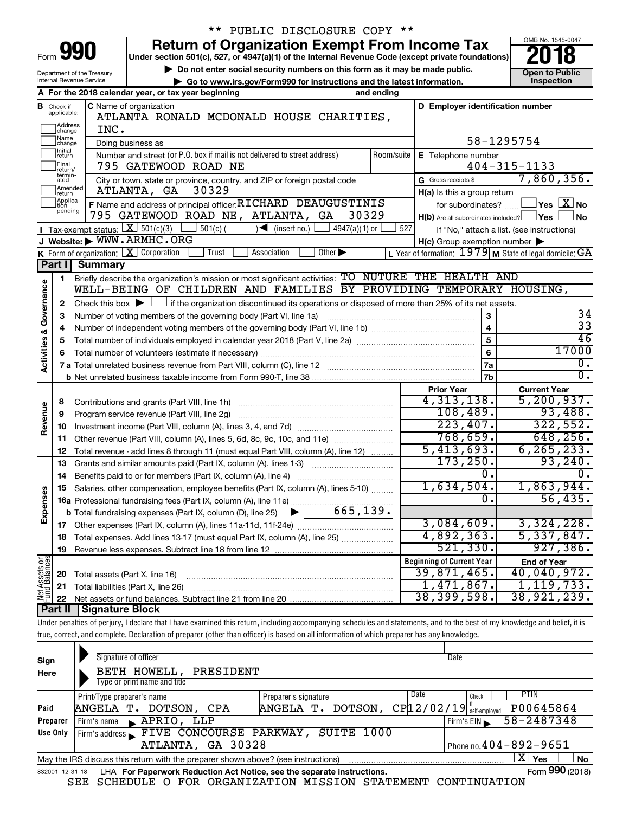|                                                                                                                                             |                                                                             |                                                                                                                                                 | ** PUBLIC DISCLOSURE COPY **                                                                                                                                               |                    |                                                           |                                            |  |  |  |  |  |  |  |
|---------------------------------------------------------------------------------------------------------------------------------------------|-----------------------------------------------------------------------------|-------------------------------------------------------------------------------------------------------------------------------------------------|----------------------------------------------------------------------------------------------------------------------------------------------------------------------------|--------------------|-----------------------------------------------------------|--------------------------------------------|--|--|--|--|--|--|--|
|                                                                                                                                             |                                                                             |                                                                                                                                                 | <b>Return of Organization Exempt From Income Tax</b>                                                                                                                       |                    |                                                           | OMB No. 1545-0047                          |  |  |  |  |  |  |  |
|                                                                                                                                             |                                                                             | Form 990                                                                                                                                        | Under section 501(c), 527, or 4947(a)(1) of the Internal Revenue Code (except private foundations)                                                                         |                    |                                                           |                                            |  |  |  |  |  |  |  |
| Do not enter social security numbers on this form as it may be made public.<br>Department of the Treasury<br>Internal Revenue Service       |                                                                             |                                                                                                                                                 |                                                                                                                                                                            |                    |                                                           |                                            |  |  |  |  |  |  |  |
| Go to www.irs.gov/Form990 for instructions and the latest information.<br>A For the 2018 calendar year, or tax year beginning<br>and ending |                                                                             |                                                                                                                                                 |                                                                                                                                                                            |                    |                                                           |                                            |  |  |  |  |  |  |  |
|                                                                                                                                             |                                                                             |                                                                                                                                                 |                                                                                                                                                                            |                    |                                                           |                                            |  |  |  |  |  |  |  |
| C Name of organization<br>D Employer identification number<br><b>B</b> Check if applicable:<br>ATLANTA RONALD MCDONALD HOUSE CHARITIES,     |                                                                             |                                                                                                                                                 |                                                                                                                                                                            |                    |                                                           |                                            |  |  |  |  |  |  |  |
|                                                                                                                                             | Address<br>change                                                           | INC.                                                                                                                                            |                                                                                                                                                                            |                    |                                                           |                                            |  |  |  |  |  |  |  |
|                                                                                                                                             | Name<br>change                                                              |                                                                                                                                                 | Doing business as                                                                                                                                                          |                    | 58-1295754                                                |                                            |  |  |  |  |  |  |  |
|                                                                                                                                             | Initial<br>return<br>Final                                                  |                                                                                                                                                 | Number and street (or P.O. box if mail is not delivered to street address)<br>Room/suite<br>795 GATEWOOD ROAD NE                                                           |                    | E Telephone number                                        | $404 - 315 - 1133$                         |  |  |  |  |  |  |  |
|                                                                                                                                             | return/<br>termin-                                                          |                                                                                                                                                 |                                                                                                                                                                            |                    |                                                           | 7,860,356.                                 |  |  |  |  |  |  |  |
|                                                                                                                                             | ated<br>Amended<br>return                                                   |                                                                                                                                                 | City or town, state or province, country, and ZIP or foreign postal code<br>30329<br>ATLANTA, GA                                                                           |                    | G Gross receipts \$<br>H(a) Is this a group return        |                                            |  |  |  |  |  |  |  |
|                                                                                                                                             | Applica-<br>tion                                                            |                                                                                                                                                 | F Name and address of principal officer: RICHARD DEAUGUSTINIS                                                                                                              |                    | for subordinates?                                         | $\Box$ Yes $\boxed{\mathrm{X}}$ No         |  |  |  |  |  |  |  |
|                                                                                                                                             | pending                                                                     |                                                                                                                                                 | 795 GATEWOOD ROAD NE, ATLANTA, GA<br>30329                                                                                                                                 |                    | $H(b)$ Are all subordinates included? $\Box$ Yes          | No                                         |  |  |  |  |  |  |  |
|                                                                                                                                             |                                                                             |                                                                                                                                                 | <b>I</b> Tax-exempt status: $X \ 501(c)(3)$<br>$501(c)$ (<br>$\sqrt{\frac{1}{1}}$ (insert no.)<br>4947(a)(1) or $\vert$                                                    | 527                |                                                           | If "No," attach a list. (see instructions) |  |  |  |  |  |  |  |
|                                                                                                                                             |                                                                             |                                                                                                                                                 | J Website: WWW.ARMHC.ORG                                                                                                                                                   |                    | $H(c)$ Group exemption number $\blacktriangleright$       |                                            |  |  |  |  |  |  |  |
|                                                                                                                                             |                                                                             | K Form of organization:   X Corporation                                                                                                         | Trust<br>Association<br>Other $\blacktriangleright$                                                                                                                        |                    | L Year of formation: $1979$ M State of legal domicile: GA |                                            |  |  |  |  |  |  |  |
|                                                                                                                                             | Part I                                                                      | <b>Summary</b>                                                                                                                                  |                                                                                                                                                                            |                    |                                                           |                                            |  |  |  |  |  |  |  |
|                                                                                                                                             | 1                                                                           |                                                                                                                                                 | Briefly describe the organization's mission or most significant activities: TO NUTURE THE HEALTH AND                                                                       |                    |                                                           |                                            |  |  |  |  |  |  |  |
|                                                                                                                                             |                                                                             |                                                                                                                                                 | WELL-BEING OF CHILDREN AND FAMILIES BY PROVIDING TEMPORARY HOUSING,                                                                                                        |                    |                                                           |                                            |  |  |  |  |  |  |  |
|                                                                                                                                             | 2                                                                           | Check this box $\blacktriangleright \Box$ if the organization discontinued its operations or disposed of more than 25% of its net assets.<br>34 |                                                                                                                                                                            |                    |                                                           |                                            |  |  |  |  |  |  |  |
| Activities & Governance                                                                                                                     | 3<br>Number of voting members of the governing body (Part VI, line 1a)<br>З |                                                                                                                                                 |                                                                                                                                                                            |                    |                                                           |                                            |  |  |  |  |  |  |  |
|                                                                                                                                             | 4                                                                           | $\overline{\mathbf{4}}$<br>5                                                                                                                    |                                                                                                                                                                            |                    |                                                           |                                            |  |  |  |  |  |  |  |
|                                                                                                                                             | 5                                                                           |                                                                                                                                                 | 46                                                                                                                                                                         |                    |                                                           |                                            |  |  |  |  |  |  |  |
|                                                                                                                                             | 6                                                                           |                                                                                                                                                 |                                                                                                                                                                            |                    | 6                                                         | 17000                                      |  |  |  |  |  |  |  |
|                                                                                                                                             |                                                                             |                                                                                                                                                 |                                                                                                                                                                            |                    | 7a                                                        | Ο.                                         |  |  |  |  |  |  |  |
|                                                                                                                                             |                                                                             |                                                                                                                                                 |                                                                                                                                                                            |                    | 7b                                                        | σ.                                         |  |  |  |  |  |  |  |
|                                                                                                                                             |                                                                             |                                                                                                                                                 |                                                                                                                                                                            |                    | <b>Prior Year</b>                                         | <b>Current Year</b>                        |  |  |  |  |  |  |  |
|                                                                                                                                             | 8                                                                           |                                                                                                                                                 | Contributions and grants (Part VIII, line 1h)                                                                                                                              |                    | 4,313,138.                                                | 5, 200, 937.                               |  |  |  |  |  |  |  |
| Revenue                                                                                                                                     | 9                                                                           |                                                                                                                                                 | Program service revenue (Part VIII, line 2g)                                                                                                                               |                    | 108,489.<br>223,407.                                      | 93,488.                                    |  |  |  |  |  |  |  |
|                                                                                                                                             | 10                                                                          |                                                                                                                                                 |                                                                                                                                                                            |                    | 768,659.                                                  | 322,552.<br>648, 256.                      |  |  |  |  |  |  |  |
|                                                                                                                                             | 11                                                                          |                                                                                                                                                 | Other revenue (Part VIII, column (A), lines 5, 6d, 8c, 9c, 10c, and 11e)                                                                                                   |                    | 5,413,693.                                                | 6, 265, 233.                               |  |  |  |  |  |  |  |
|                                                                                                                                             | 12                                                                          |                                                                                                                                                 | Total revenue - add lines 8 through 11 (must equal Part VIII, column (A), line 12)                                                                                         |                    | 173, 250.                                                 | 93, 240.                                   |  |  |  |  |  |  |  |
|                                                                                                                                             | 13<br>14                                                                    |                                                                                                                                                 | Grants and similar amounts paid (Part IX, column (A), lines 1-3)<br>Benefits paid to or for members (Part IX, column (A), line 4)                                          |                    | 0.                                                        | 0.                                         |  |  |  |  |  |  |  |
|                                                                                                                                             |                                                                             |                                                                                                                                                 | Salaries, other compensation, employee benefits (Part IX, column (A), lines 5-10)                                                                                          |                    | 1,634,504.                                                | 1,863,944.                                 |  |  |  |  |  |  |  |
| Expenses                                                                                                                                    | 15                                                                          |                                                                                                                                                 |                                                                                                                                                                            |                    | О.                                                        | 56,435.                                    |  |  |  |  |  |  |  |
|                                                                                                                                             |                                                                             |                                                                                                                                                 |                                                                                                                                                                            |                    |                                                           |                                            |  |  |  |  |  |  |  |
|                                                                                                                                             | 17                                                                          |                                                                                                                                                 |                                                                                                                                                                            |                    | 3,084,609.                                                | 3,324,228.                                 |  |  |  |  |  |  |  |
|                                                                                                                                             | 18                                                                          |                                                                                                                                                 | Total expenses. Add lines 13-17 (must equal Part IX, column (A), line 25)                                                                                                  |                    | 4,892,363.                                                | 5,337,847.                                 |  |  |  |  |  |  |  |
|                                                                                                                                             | 19                                                                          |                                                                                                                                                 |                                                                                                                                                                            |                    | 521, 330.                                                 | 927,386.                                   |  |  |  |  |  |  |  |
|                                                                                                                                             |                                                                             |                                                                                                                                                 | <b>Beginning of Current Year</b>                                                                                                                                           | <b>End of Year</b> |                                                           |                                            |  |  |  |  |  |  |  |
| vet Assets or  <br>und Balances                                                                                                             | 20                                                                          | Total assets (Part X, line 16)                                                                                                                  |                                                                                                                                                                            |                    | 39,871,465.                                               | 40,040,972.                                |  |  |  |  |  |  |  |
|                                                                                                                                             | 21                                                                          |                                                                                                                                                 | Total liabilities (Part X, line 26)                                                                                                                                        |                    | $1,471,867$ .                                             | 1, 119, 733.                               |  |  |  |  |  |  |  |
| ž₽                                                                                                                                          | 22                                                                          |                                                                                                                                                 |                                                                                                                                                                            |                    | 38, 399, 598.                                             | 38,921,239.                                |  |  |  |  |  |  |  |
|                                                                                                                                             | Part II                                                                     | <b>Signature Block</b>                                                                                                                          |                                                                                                                                                                            |                    |                                                           |                                            |  |  |  |  |  |  |  |
|                                                                                                                                             |                                                                             |                                                                                                                                                 | Under penalties of perjury, I declare that I have examined this return, including accompanying schedules and statements, and to the best of my knowledge and belief, it is |                    |                                                           |                                            |  |  |  |  |  |  |  |

true, correct, and complete. Declaration of preparer (other than officer) is based on all information of which preparer has any knowledge.

| Sign<br>Here    | Signature of officer<br>BETH HOWELL, PRESIDENT<br>Type or print name and title    |                      | Date                                       |                 |  |  |  |  |  |  |  |
|-----------------|-----------------------------------------------------------------------------------|----------------------|--------------------------------------------|-----------------|--|--|--|--|--|--|--|
|                 | Print/Type preparer's name                                                        | Preparer's signature | Date<br>PTIN<br>Check                      |                 |  |  |  |  |  |  |  |
| Paid            | ANGELA T. DOTSON, CPA                                                             | ANGELA T. DOTSON,    | $CP$ $12/02/19$ self-employed<br>P00645864 |                 |  |  |  |  |  |  |  |
| Preparer        | $\blacktriangleright$ APRIO, LLP<br>l Firm's name                                 |                      | 58-2487348<br>Firm's $EIN$                 |                 |  |  |  |  |  |  |  |
| Use Only        | Firm's address FIVE CONCOURSE PARKWAY,                                            | SUITE 1000           |                                            |                 |  |  |  |  |  |  |  |
|                 | ATLANTA, GA 30328                                                                 |                      | Phone no. $404 - 892 - 9651$               |                 |  |  |  |  |  |  |  |
|                 | May the IRS discuss this return with the preparer shown above? (see instructions) |                      | ΧI<br><b>Yes</b>                           | <b>No</b>       |  |  |  |  |  |  |  |
| 832001 12-31-18 | LHA For Paperwork Reduction Act Notice, see the separate instructions.            |                      |                                            | Form 990 (2018) |  |  |  |  |  |  |  |
|                 | COURDILL O ROD ODCANTRANTANI MICCION CHARREMENT CONTRIBUTION<br>C E E             |                      |                                            |                 |  |  |  |  |  |  |  |

SEE SCHEDULE O FOR ORGANIZATION MISSION STATEMENT CONTINUATION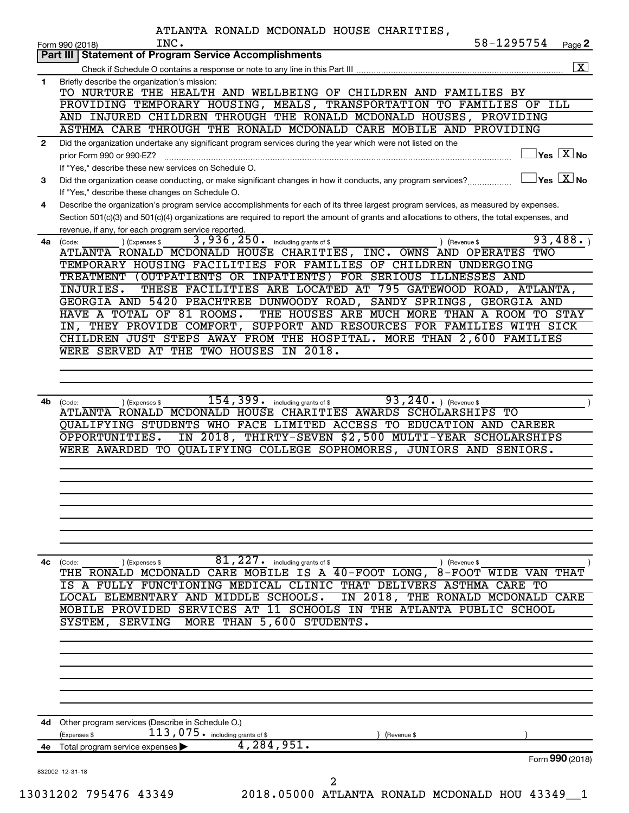|              | 58-1295754<br>INC.<br>Page 2<br>Form 990 (2018)                                                                                                                                                            |
|--------------|------------------------------------------------------------------------------------------------------------------------------------------------------------------------------------------------------------|
|              | Part III   Statement of Program Service Accomplishments                                                                                                                                                    |
|              | $\overline{\mathbf{X}}$                                                                                                                                                                                    |
| $\mathbf{1}$ | Briefly describe the organization's mission:<br>TO NURTURE THE HEALTH AND WELLBEING OF CHILDREN AND FAMILIES BY                                                                                            |
|              | PROVIDING TEMPORARY HOUSING, MEALS, TRANSPORTATION TO FAMILIES OF ILL                                                                                                                                      |
|              | AND INJURED CHILDREN THROUGH THE RONALD MCDONALD HOUSES, PROVIDING                                                                                                                                         |
|              | ASTHMA CARE THROUGH THE RONALD MCDONALD CARE MOBILE AND PROVIDING                                                                                                                                          |
| $\mathbf{2}$ | Did the organization undertake any significant program services during the year which were not listed on the<br>$\exists$ Yes $\boxed{\text{X}}$ No<br>prior Form 990 or 990-EZ?                           |
|              | If "Yes," describe these new services on Schedule O.                                                                                                                                                       |
| 3            | $\Box$ Yes $[\overline{\mathrm{X}}]$ No<br>Did the organization cease conducting, or make significant changes in how it conducts, any program services?<br>If "Yes," describe these changes on Schedule O. |
| 4            | Describe the organization's program service accomplishments for each of its three largest program services, as measured by expenses.                                                                       |
|              | Section 501(c)(3) and 501(c)(4) organizations are required to report the amount of grants and allocations to others, the total expenses, and                                                               |
|              | revenue, if any, for each program service reported.                                                                                                                                                        |
|              | 93,488.<br>3,936,250. including grants of \$<br>) (Expenses \$<br>4a (Code:<br>) (Revenue \$<br>ATLANTA RONALD MCDONALD HOUSE CHARITIES, INC. OWNS AND OPERATES TWO                                        |
|              | TEMPORARY HOUSING FACILITIES FOR FAMILIES OF CHILDREN UNDERGOING                                                                                                                                           |
|              | TREATMENT (OUTPATIENTS OR INPATIENTS) FOR SERIOUS ILLNESSES AND                                                                                                                                            |
|              | THESE FACILITIES ARE LOCATED AT 795 GATEWOOD ROAD, ATLANTA,<br>INJURIES.                                                                                                                                   |
|              | GEORGIA AND 5420 PEACHTREE DUNWOODY ROAD, SANDY SPRINGS, GEORGIA AND                                                                                                                                       |
|              | HAVE A TOTAL OF 81 ROOMS.<br>THE HOUSES ARE MUCH MORE THAN A ROOM TO STAY                                                                                                                                  |
|              | IN, THEY PROVIDE COMFORT, SUPPORT AND RESOURCES FOR FAMILIES WITH SICK                                                                                                                                     |
|              | CHILDREN JUST STEPS AWAY FROM THE HOSPITAL. MORE THAN 2,600 FAMILIES                                                                                                                                       |
|              | WERE SERVED AT THE TWO HOUSES IN 2018.                                                                                                                                                                     |
|              |                                                                                                                                                                                                            |
|              |                                                                                                                                                                                                            |
| 4b           | $93, 240.$ (Revenue \$<br>154, 399. including grants of \$<br>(Expenses \$<br>(Code:                                                                                                                       |
|              | ATLANTA RONALD MCDONALD HOUSE CHARITIES AWARDS SCHOLARSHIPS TO                                                                                                                                             |
|              |                                                                                                                                                                                                            |
|              | OUALIFYING STUDENTS WHO FACE LIMITED ACCESS TO EDUCATION AND CAREER                                                                                                                                        |
|              | IN 2018, THIRTY-SEVEN \$2,500 MULTI-YEAR SCHOLARSHIPS<br>OPPORTUNITIES.                                                                                                                                    |
|              | WERE AWARDED TO QUALIFYING COLLEGE SOPHOMORES, JUNIORS AND SENIORS.                                                                                                                                        |
|              |                                                                                                                                                                                                            |
|              |                                                                                                                                                                                                            |
|              |                                                                                                                                                                                                            |
|              |                                                                                                                                                                                                            |
|              |                                                                                                                                                                                                            |
|              |                                                                                                                                                                                                            |
|              |                                                                                                                                                                                                            |
|              |                                                                                                                                                                                                            |
|              | 81,227.<br>including grants of \$<br>(Expenses \$<br>(Code:<br>(Revenue \$                                                                                                                                 |
|              | THE RONALD MCDONALD CARE MOBILE IS A 40-FOOT LONG, 8-FOOT WIDE VAN                                                                                                                                         |
|              | IS A FULLY FUNCTIONING MEDICAL CLINIC THAT DELIVERS ASTHMA CARE TO<br>LOCAL                                                                                                                                |
|              | ELEMENTARY AND MIDDLE SCHOOLS.<br>MOBILE PROVIDED SERVICES AT 11 SCHOOLS IN THE ATLANTA PUBLIC SCHOOL                                                                                                      |
|              | MORE THAN 5,600 STUDENTS.<br><b>SERVING</b><br>SYSTEM,                                                                                                                                                     |
|              |                                                                                                                                                                                                            |
|              |                                                                                                                                                                                                            |
|              |                                                                                                                                                                                                            |
|              |                                                                                                                                                                                                            |
|              |                                                                                                                                                                                                            |
| 4с           |                                                                                                                                                                                                            |
|              |                                                                                                                                                                                                            |
| 4d           | <b>THAT</b><br>IN 2018, THE RONALD MCDONALD CARE<br>Other program services (Describe in Schedule O.)                                                                                                       |
|              | $113,075$ . including grants of \$<br>(Expenses \$<br>(Revenue \$                                                                                                                                          |
| 4е           | 4,284,951.<br>Total program service expenses ><br>Form 990 (2018)                                                                                                                                          |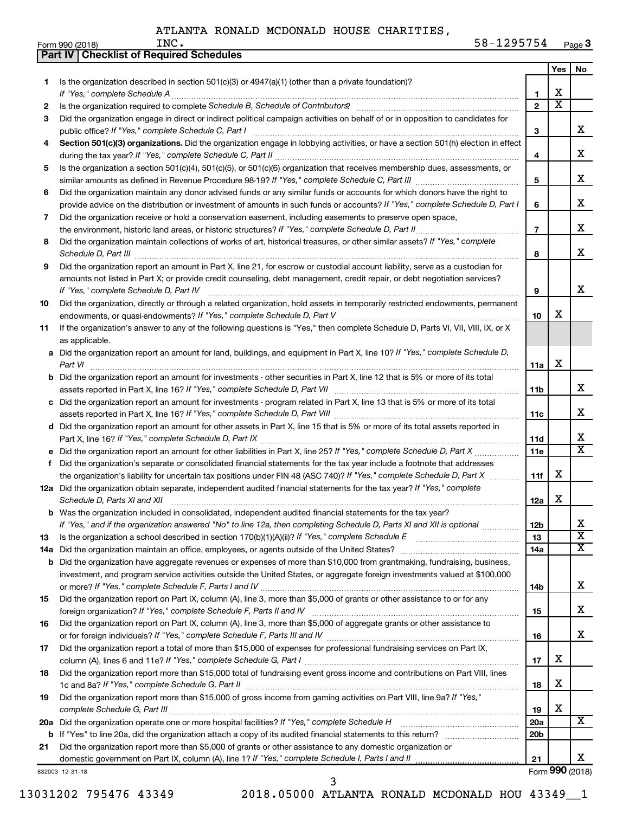|     | Part IV   Checklist of Required Schedules                                                                                                                                                                                            |                 |                         |                         |
|-----|--------------------------------------------------------------------------------------------------------------------------------------------------------------------------------------------------------------------------------------|-----------------|-------------------------|-------------------------|
|     |                                                                                                                                                                                                                                      |                 | Yes                     | No                      |
| 1   | Is the organization described in section $501(c)(3)$ or $4947(a)(1)$ (other than a private foundation)?                                                                                                                              |                 |                         |                         |
|     |                                                                                                                                                                                                                                      | 1               | х                       |                         |
| 2   |                                                                                                                                                                                                                                      | $\overline{2}$  | $\overline{\textbf{x}}$ |                         |
| 3   | Did the organization engage in direct or indirect political campaign activities on behalf of or in opposition to candidates for                                                                                                      |                 |                         |                         |
|     |                                                                                                                                                                                                                                      | 3               |                         | х                       |
| 4   | Section 501(c)(3) organizations. Did the organization engage in lobbying activities, or have a section 501(h) election in effect                                                                                                     |                 |                         |                         |
|     |                                                                                                                                                                                                                                      | 4               |                         | х                       |
|     |                                                                                                                                                                                                                                      |                 |                         |                         |
| 5   | Is the organization a section 501(c)(4), 501(c)(5), or 501(c)(6) organization that receives membership dues, assessments, or                                                                                                         |                 |                         | х                       |
|     |                                                                                                                                                                                                                                      | 5               |                         |                         |
| 6   | Did the organization maintain any donor advised funds or any similar funds or accounts for which donors have the right to                                                                                                            |                 |                         | х                       |
|     | provide advice on the distribution or investment of amounts in such funds or accounts? If "Yes," complete Schedule D, Part I                                                                                                         | 6               |                         |                         |
| 7   | Did the organization receive or hold a conservation easement, including easements to preserve open space,                                                                                                                            |                 |                         |                         |
|     |                                                                                                                                                                                                                                      | $\overline{7}$  |                         | х                       |
| 8   | Did the organization maintain collections of works of art, historical treasures, or other similar assets? If "Yes," complete                                                                                                         |                 |                         |                         |
|     | Schedule D, Part III <b>Marting Community Contract Contract Contract Contract Contract Contract Contract Contract Contract Contract Contract Contract Contract Contract Contract Contract Contract Contract Contract Contract Co</b> | 8               |                         | x                       |
| 9   | Did the organization report an amount in Part X, line 21, for escrow or custodial account liability, serve as a custodian for                                                                                                        |                 |                         |                         |
|     | amounts not listed in Part X; or provide credit counseling, debt management, credit repair, or debt negotiation services?                                                                                                            |                 |                         |                         |
|     | If "Yes," complete Schedule D, Part IV                                                                                                                                                                                               | 9               |                         | x                       |
| 10  | Did the organization, directly or through a related organization, hold assets in temporarily restricted endowments, permanent                                                                                                        |                 |                         |                         |
|     |                                                                                                                                                                                                                                      | 10              | х                       |                         |
| 11  | If the organization's answer to any of the following questions is "Yes," then complete Schedule D, Parts VI, VII, VIII, IX, or X                                                                                                     |                 |                         |                         |
|     | as applicable.                                                                                                                                                                                                                       |                 |                         |                         |
|     | a Did the organization report an amount for land, buildings, and equipment in Part X, line 10? If "Yes," complete Schedule D,                                                                                                        |                 |                         |                         |
|     | Part VI                                                                                                                                                                                                                              | 11a             | х                       |                         |
|     | <b>b</b> Did the organization report an amount for investments - other securities in Part X, line 12 that is 5% or more of its total                                                                                                 |                 |                         |                         |
|     |                                                                                                                                                                                                                                      | 11b             |                         | х                       |
|     | c Did the organization report an amount for investments - program related in Part X, line 13 that is 5% or more of its total                                                                                                         |                 |                         |                         |
|     |                                                                                                                                                                                                                                      | 11c             |                         | х                       |
|     | d Did the organization report an amount for other assets in Part X, line 15 that is 5% or more of its total assets reported in                                                                                                       |                 |                         |                         |
|     |                                                                                                                                                                                                                                      | 11d             |                         | х                       |
|     | Did the organization report an amount for other liabilities in Part X, line 25? If "Yes," complete Schedule D, Part X                                                                                                                | 11e             |                         | $\overline{\texttt{x}}$ |
| f   | Did the organization's separate or consolidated financial statements for the tax year include a footnote that addresses                                                                                                              |                 |                         |                         |
|     | the organization's liability for uncertain tax positions under FIN 48 (ASC 740)? If "Yes," complete Schedule D, Part X                                                                                                               | 11f             | х                       |                         |
|     | 12a Did the organization obtain separate, independent audited financial statements for the tax year? If "Yes," complete                                                                                                              |                 |                         |                         |
|     | Schedule D, Parts XI and XII                                                                                                                                                                                                         | 12a             | х                       |                         |
|     | b Was the organization included in consolidated, independent audited financial statements for the tax year?                                                                                                                          |                 |                         |                         |
|     | If "Yes," and if the organization answered "No" to line 12a, then completing Schedule D, Parts XI and XII is optional                                                                                                                | 12b             |                         | х                       |
| 13  |                                                                                                                                                                                                                                      | 13              |                         | $\overline{\mathbf{X}}$ |
| 14a | Did the organization maintain an office, employees, or agents outside of the United States?                                                                                                                                          | 14a             |                         | $\overline{\texttt{x}}$ |
|     | <b>b</b> Did the organization have aggregate revenues or expenses of more than \$10,000 from grantmaking, fundraising, business,                                                                                                     |                 |                         |                         |
|     | investment, and program service activities outside the United States, or aggregate foreign investments valued at \$100,000                                                                                                           |                 |                         |                         |
|     |                                                                                                                                                                                                                                      | 14b             |                         | x                       |
| 15  | Did the organization report on Part IX, column (A), line 3, more than \$5,000 of grants or other assistance to or for any                                                                                                            |                 |                         |                         |
|     | foreign organization? If "Yes," complete Schedule F, Parts II and IV                                                                                                                                                                 | 15              |                         | x                       |
| 16  | Did the organization report on Part IX, column (A), line 3, more than \$5,000 of aggregate grants or other assistance to                                                                                                             |                 |                         |                         |
|     |                                                                                                                                                                                                                                      | 16              |                         | x                       |
| 17  | Did the organization report a total of more than \$15,000 of expenses for professional fundraising services on Part IX,                                                                                                              |                 |                         |                         |
|     |                                                                                                                                                                                                                                      | 17              | х                       |                         |
| 18  | Did the organization report more than \$15,000 total of fundraising event gross income and contributions on Part VIII, lines                                                                                                         |                 |                         |                         |
|     |                                                                                                                                                                                                                                      | 18              | х                       |                         |
| 19  | Did the organization report more than \$15,000 of gross income from gaming activities on Part VIII, line 9a? If "Yes,"                                                                                                               |                 |                         |                         |
|     |                                                                                                                                                                                                                                      | 19              | х                       |                         |
|     | 20a Did the organization operate one or more hospital facilities? If "Yes," complete Schedule H                                                                                                                                      | 20a             |                         | x                       |
|     |                                                                                                                                                                                                                                      | 20 <sub>b</sub> |                         |                         |
| 21  | Did the organization report more than \$5,000 of grants or other assistance to any domestic organization or                                                                                                                          |                 |                         |                         |
|     | domestic government on Part IX, column (A), line 1? If "Yes," complete Schedule I, Parts I and II                                                                                                                                    | 21              |                         | x.                      |
|     | 832003 12-31-18                                                                                                                                                                                                                      |                 |                         | Form 990 (2018)         |

13031202 795476 43349 2018.05000 ATLANTA RONALD MCDONALD HOU 43349\_\_1

3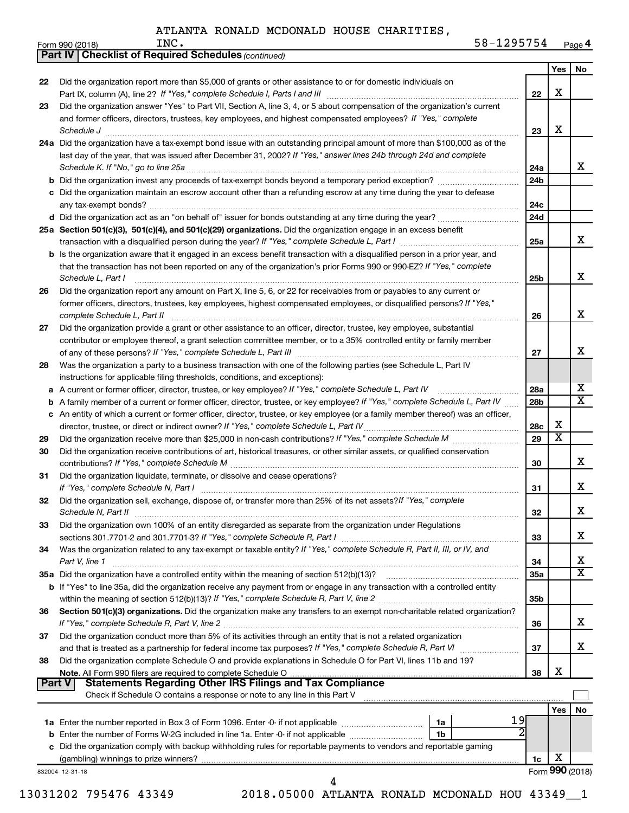|               |                                                                                                                                                                                                                                |            | Yes                     | No                      |
|---------------|--------------------------------------------------------------------------------------------------------------------------------------------------------------------------------------------------------------------------------|------------|-------------------------|-------------------------|
| 22            | Did the organization report more than \$5,000 of grants or other assistance to or for domestic individuals on                                                                                                                  | 22         | X                       |                         |
| 23            | Did the organization answer "Yes" to Part VII, Section A, line 3, 4, or 5 about compensation of the organization's current                                                                                                     |            |                         |                         |
|               | and former officers, directors, trustees, key employees, and highest compensated employees? If "Yes," complete                                                                                                                 |            |                         |                         |
|               | Schedule J <b>www.communications.communications.communications.com</b>                                                                                                                                                         | 23         | X                       |                         |
|               | 24a Did the organization have a tax-exempt bond issue with an outstanding principal amount of more than \$100,000 as of the                                                                                                    |            |                         |                         |
|               | last day of the year, that was issued after December 31, 2002? If "Yes," answer lines 24b through 24d and complete                                                                                                             |            |                         |                         |
|               |                                                                                                                                                                                                                                | 24a        |                         | x                       |
|               |                                                                                                                                                                                                                                | 24b        |                         |                         |
|               | c Did the organization maintain an escrow account other than a refunding escrow at any time during the year to defease                                                                                                         | 24с        |                         |                         |
|               |                                                                                                                                                                                                                                | 24d        |                         |                         |
|               | 25a Section 501(c)(3), 501(c)(4), and 501(c)(29) organizations. Did the organization engage in an excess benefit                                                                                                               |            |                         |                         |
|               |                                                                                                                                                                                                                                | 25a        |                         | X                       |
|               | <b>b</b> Is the organization aware that it engaged in an excess benefit transaction with a disqualified person in a prior year, and                                                                                            |            |                         |                         |
|               | that the transaction has not been reported on any of the organization's prior Forms 990 or 990-EZ? If "Yes," complete                                                                                                          |            |                         | X                       |
|               | Schedule L, Part I<br>Did the organization report any amount on Part X, line 5, 6, or 22 for receivables from or payables to any current or                                                                                    | 25b        |                         |                         |
| 26            | former officers, directors, trustees, key employees, highest compensated employees, or disqualified persons? If "Yes,"                                                                                                         |            |                         |                         |
|               |                                                                                                                                                                                                                                | 26         |                         | X                       |
| 27            | Did the organization provide a grant or other assistance to an officer, director, trustee, key employee, substantial                                                                                                           |            |                         |                         |
|               | contributor or employee thereof, a grant selection committee member, or to a 35% controlled entity or family member                                                                                                            |            |                         |                         |
|               |                                                                                                                                                                                                                                | 27         |                         | X                       |
| 28            | Was the organization a party to a business transaction with one of the following parties (see Schedule L, Part IV                                                                                                              |            |                         |                         |
|               | instructions for applicable filing thresholds, conditions, and exceptions):                                                                                                                                                    |            |                         |                         |
| a             | A current or former officer, director, trustee, or key employee? If "Yes," complete Schedule L, Part IV                                                                                                                        | 28a        |                         | х                       |
|               | A family member of a current or former officer, director, trustee, or key employee? If "Yes," complete Schedule L, Part IV                                                                                                     | 28b        |                         | $\overline{\mathbf{x}}$ |
|               | c An entity of which a current or former officer, director, trustee, or key employee (or a family member thereof) was an officer,                                                                                              |            |                         |                         |
|               | director, trustee, or direct or indirect owner? If "Yes," complete Schedule L, Part IV                                                                                                                                         | 28c        | х                       |                         |
| 29            |                                                                                                                                                                                                                                | 29         | $\overline{\mathbf{X}}$ |                         |
| 30            | Did the organization receive contributions of art, historical treasures, or other similar assets, or qualified conservation                                                                                                    | 30         |                         | x                       |
| 31            | Did the organization liquidate, terminate, or dissolve and cease operations?                                                                                                                                                   |            |                         |                         |
|               |                                                                                                                                                                                                                                | 31         |                         | x                       |
| 32            | Did the organization sell, exchange, dispose of, or transfer more than 25% of its net assets? If "Yes," complete                                                                                                               |            |                         |                         |
|               |                                                                                                                                                                                                                                | 32         |                         |                         |
| 33            | Did the organization own 100% of an entity disregarded as separate from the organization under Regulations                                                                                                                     | 33         |                         |                         |
| 34            | Was the organization related to any tax-exempt or taxable entity? If "Yes," complete Schedule R, Part II, III, or IV, and                                                                                                      |            |                         |                         |
|               | Part V, line 1                                                                                                                                                                                                                 | 34         |                         |                         |
|               |                                                                                                                                                                                                                                | <b>35a</b> |                         | $\overline{\mathbf{X}}$ |
|               | b If "Yes" to line 35a, did the organization receive any payment from or engage in any transaction with a controlled entity                                                                                                    |            |                         |                         |
|               |                                                                                                                                                                                                                                | 35b        |                         |                         |
| 36            | Section 501(c)(3) organizations. Did the organization make any transfers to an exempt non-charitable related organization?                                                                                                     |            |                         |                         |
|               |                                                                                                                                                                                                                                | 36         |                         |                         |
| 37            | Did the organization conduct more than 5% of its activities through an entity that is not a related organization                                                                                                               |            |                         |                         |
|               |                                                                                                                                                                                                                                | 37         |                         |                         |
| 38            | Did the organization complete Schedule O and provide explanations in Schedule O for Part VI, lines 11b and 19?                                                                                                                 |            |                         |                         |
|               |                                                                                                                                                                                                                                | 38         | X                       |                         |
| <b>Part V</b> | <b>Statements Regarding Other IRS Filings and Tax Compliance</b>                                                                                                                                                               |            |                         |                         |
|               | Check if Schedule O contains a response or note to any line in this Part V [100] contains a contained a response or note to any line in this Part V [100] contains a response or note to any line in this Part V [100] contain |            |                         |                         |
|               |                                                                                                                                                                                                                                |            | Yes   No                |                         |
|               | 19                                                                                                                                                                                                                             |            |                         |                         |
|               |                                                                                                                                                                                                                                |            |                         |                         |
|               | c Did the organization comply with backup withholding rules for reportable payments to vendors and reportable gaming                                                                                                           |            | х                       |                         |
|               |                                                                                                                                                                                                                                | 1c         |                         |                         |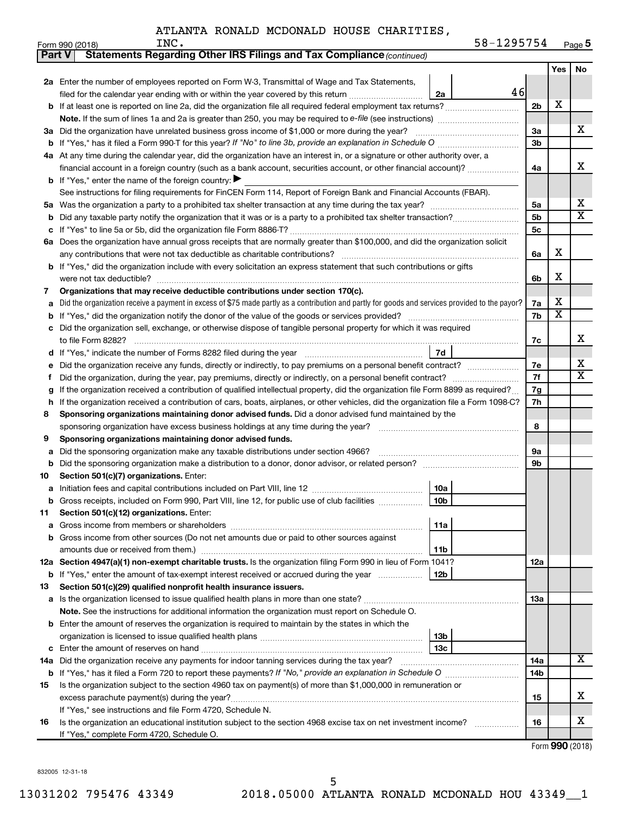| <b>Part V</b> | <b>Statements Regarding Other IRS Filings and Tax Compliance (continued)</b>                                                                    |     |                         |             |  |  |  |  |  |
|---------------|-------------------------------------------------------------------------------------------------------------------------------------------------|-----|-------------------------|-------------|--|--|--|--|--|
|               |                                                                                                                                                 |     | Yes                     | No          |  |  |  |  |  |
|               | 2a Enter the number of employees reported on Form W-3, Transmittal of Wage and Tax Statements,                                                  |     |                         |             |  |  |  |  |  |
|               | 46<br>filed for the calendar year ending with or within the year covered by this return<br>2a                                                   |     |                         |             |  |  |  |  |  |
|               |                                                                                                                                                 | 2b  | х                       |             |  |  |  |  |  |
|               |                                                                                                                                                 |     |                         |             |  |  |  |  |  |
|               | 3a Did the organization have unrelated business gross income of \$1,000 or more during the year?                                                | За  |                         | х           |  |  |  |  |  |
|               | <b>b</b> If "Yes," has it filed a Form 990-T for this year? If "No" to line 3b, provide an explanation in Schedule O manumum                    |     |                         |             |  |  |  |  |  |
|               | 4a At any time during the calendar year, did the organization have an interest in, or a signature or other authority over, a                    |     |                         |             |  |  |  |  |  |
|               | financial account in a foreign country (such as a bank account, securities account, or other financial account)?                                | 4a  |                         | х           |  |  |  |  |  |
|               | <b>b</b> If "Yes," enter the name of the foreign country: $\blacktriangleright$                                                                 |     |                         |             |  |  |  |  |  |
|               | See instructions for filing requirements for FinCEN Form 114, Report of Foreign Bank and Financial Accounts (FBAR).                             |     |                         |             |  |  |  |  |  |
|               |                                                                                                                                                 | 5a  |                         | х           |  |  |  |  |  |
| b             |                                                                                                                                                 | 5b  |                         | $\mathbf x$ |  |  |  |  |  |
| с             |                                                                                                                                                 | 5с  |                         |             |  |  |  |  |  |
|               | 6a Does the organization have annual gross receipts that are normally greater than \$100,000, and did the organization solicit                  |     |                         |             |  |  |  |  |  |
|               |                                                                                                                                                 | 6a  | х                       |             |  |  |  |  |  |
|               | <b>b</b> If "Yes," did the organization include with every solicitation an express statement that such contributions or gifts                   |     |                         |             |  |  |  |  |  |
|               |                                                                                                                                                 | 6b  | х                       |             |  |  |  |  |  |
| 7             | Organizations that may receive deductible contributions under section 170(c).                                                                   |     |                         |             |  |  |  |  |  |
| a             | Did the organization receive a payment in excess of \$75 made partly as a contribution and partly for goods and services provided to the payor? | 7a  | х                       |             |  |  |  |  |  |
|               |                                                                                                                                                 | 7b  | $\overline{\textbf{x}}$ |             |  |  |  |  |  |
|               | c Did the organization sell, exchange, or otherwise dispose of tangible personal property for which it was required                             |     |                         |             |  |  |  |  |  |
|               |                                                                                                                                                 | 7c  |                         | x           |  |  |  |  |  |
|               | <b>7d</b><br>d If "Yes," indicate the number of Forms 8282 filed during the year manufactured intervent in the set of the N                     |     |                         |             |  |  |  |  |  |
| е             | Did the organization receive any funds, directly or indirectly, to pay premiums on a personal benefit contract?                                 | 7е  |                         | х           |  |  |  |  |  |
| f.            |                                                                                                                                                 | 7f  |                         | x           |  |  |  |  |  |
|               | If the organization received a contribution of qualified intellectual property, did the organization file Form 8899 as required?                |     |                         |             |  |  |  |  |  |
|               | h If the organization received a contribution of cars, boats, airplanes, or other vehicles, did the organization file a Form 1098-C?            | 7h  |                         |             |  |  |  |  |  |
| 8             | Sponsoring organizations maintaining donor advised funds. Did a donor advised fund maintained by the                                            |     |                         |             |  |  |  |  |  |
|               |                                                                                                                                                 | 8   |                         |             |  |  |  |  |  |
| 9             | Sponsoring organizations maintaining donor advised funds.                                                                                       |     |                         |             |  |  |  |  |  |
| а             | Did the sponsoring organization make any taxable distributions under section 4966?                                                              | 9а  |                         |             |  |  |  |  |  |
|               |                                                                                                                                                 | 9b  |                         |             |  |  |  |  |  |
| 10            | Section 501(c)(7) organizations. Enter:                                                                                                         |     |                         |             |  |  |  |  |  |
|               | 10a                                                                                                                                             |     |                         |             |  |  |  |  |  |
|               | 10 <sub>b</sub><br>b Gross receipts, included on Form 990, Part VIII, line 12, for public use of club facilities                                |     |                         |             |  |  |  |  |  |
| 11            | Section 501(c)(12) organizations. Enter:                                                                                                        |     |                         |             |  |  |  |  |  |
| а             | 11a                                                                                                                                             |     |                         |             |  |  |  |  |  |
|               | b Gross income from other sources (Do not net amounts due or paid to other sources against                                                      |     |                         |             |  |  |  |  |  |
|               | amounts due or received from them.)<br>11b                                                                                                      |     |                         |             |  |  |  |  |  |
|               | 12a Section 4947(a)(1) non-exempt charitable trusts. Is the organization filing Form 990 in lieu of Form 1041?                                  | 12a |                         |             |  |  |  |  |  |
|               | 12 <sub>b</sub><br><b>b</b> If "Yes," enter the amount of tax-exempt interest received or accrued during the year                               |     |                         |             |  |  |  |  |  |
| 13            | Section 501(c)(29) qualified nonprofit health insurance issuers.                                                                                |     |                         |             |  |  |  |  |  |
|               | a Is the organization licensed to issue qualified health plans in more than one state?                                                          | 1За |                         |             |  |  |  |  |  |
|               | Note. See the instructions for additional information the organization must report on Schedule O.                                               |     |                         |             |  |  |  |  |  |
|               | <b>b</b> Enter the amount of reserves the organization is required to maintain by the states in which the                                       |     |                         |             |  |  |  |  |  |
|               | 13b                                                                                                                                             |     |                         |             |  |  |  |  |  |
| с             | 13с                                                                                                                                             |     |                         |             |  |  |  |  |  |
|               | 14a Did the organization receive any payments for indoor tanning services during the tax year?                                                  | 14a |                         | x           |  |  |  |  |  |
|               |                                                                                                                                                 | 14b |                         |             |  |  |  |  |  |
| 15            | Is the organization subject to the section 4960 tax on payment(s) of more than \$1,000,000 in remuneration or                                   |     |                         | x.          |  |  |  |  |  |
|               |                                                                                                                                                 | 15  |                         |             |  |  |  |  |  |
|               | If "Yes," see instructions and file Form 4720, Schedule N.                                                                                      |     |                         | х           |  |  |  |  |  |
| 16            | Is the organization an educational institution subject to the section 4968 excise tax on net investment income?                                 | 16  |                         |             |  |  |  |  |  |
|               | If "Yes," complete Form 4720, Schedule O.                                                                                                       |     |                         |             |  |  |  |  |  |

Form (2018) **990**

832005 12-31-18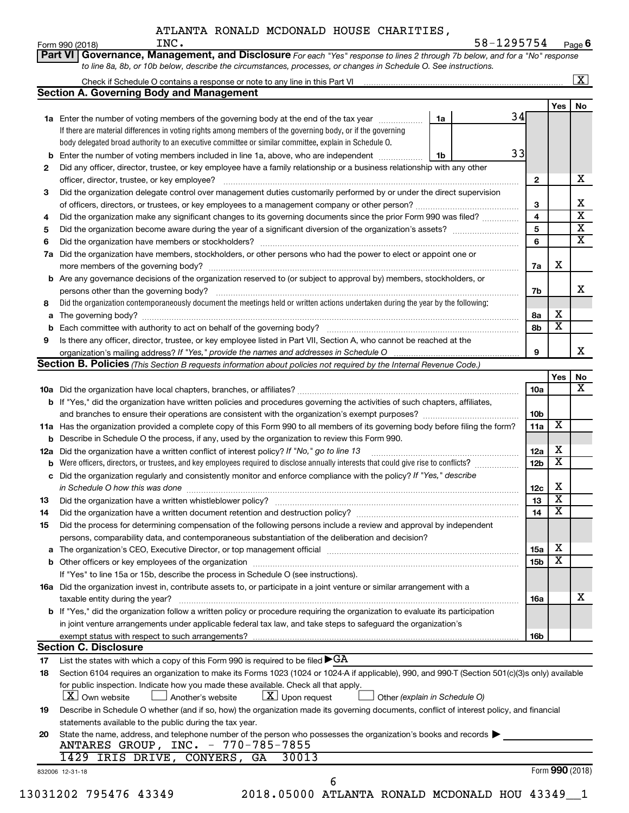|    | INC.<br>Form 990 (2018)                                                                                                                                                                                                             | 58-1295754 |                 |                         | Page 6                  |
|----|-------------------------------------------------------------------------------------------------------------------------------------------------------------------------------------------------------------------------------------|------------|-----------------|-------------------------|-------------------------|
|    | Part VI Governance, Management, and Disclosure For each "Yes" response to lines 2 through 7b below, and for a "No" response                                                                                                         |            |                 |                         |                         |
|    | to line 8a, 8b, or 10b below, describe the circumstances, processes, or changes in Schedule O. See instructions.                                                                                                                    |            |                 |                         |                         |
|    |                                                                                                                                                                                                                                     |            |                 |                         | $\overline{\mathbf{x}}$ |
|    | <b>Section A. Governing Body and Management</b>                                                                                                                                                                                     |            |                 |                         |                         |
|    |                                                                                                                                                                                                                                     |            |                 | Yes                     | No                      |
|    | <b>1a</b> Enter the number of voting members of the governing body at the end of the tax year<br>1a                                                                                                                                 | 34         |                 |                         |                         |
|    | If there are material differences in voting rights among members of the governing body, or if the governing                                                                                                                         |            |                 |                         |                         |
|    | body delegated broad authority to an executive committee or similar committee, explain in Schedule O.                                                                                                                               | 33         |                 |                         |                         |
| b  | Enter the number of voting members included in line 1a, above, who are independent<br>1b                                                                                                                                            |            |                 |                         |                         |
| 2  | Did any officer, director, trustee, or key employee have a family relationship or a business relationship with any other                                                                                                            |            |                 |                         | x                       |
| З  | officer, director, trustee, or key employee?<br>Did the organization delegate control over management duties customarily performed by or under the direct supervision                                                               |            | 2               |                         |                         |
|    |                                                                                                                                                                                                                                     |            | 3               |                         | х                       |
| 4  | Did the organization make any significant changes to its governing documents since the prior Form 990 was filed?                                                                                                                    |            | 4               |                         | $\overline{\textbf{x}}$ |
| 5  |                                                                                                                                                                                                                                     |            | 5               |                         | $\overline{\textbf{X}}$ |
| 6  |                                                                                                                                                                                                                                     |            | 6               |                         | $\overline{\mathtt{x}}$ |
| 7a | Did the organization have members, stockholders, or other persons who had the power to elect or appoint one or                                                                                                                      |            |                 |                         |                         |
|    |                                                                                                                                                                                                                                     |            | 7a              | х                       |                         |
|    | <b>b</b> Are any governance decisions of the organization reserved to (or subject to approval by) members, stockholders, or                                                                                                         |            |                 |                         |                         |
|    |                                                                                                                                                                                                                                     |            | 7b              |                         | x                       |
| 8  | Did the organization contemporaneously document the meetings held or written actions undertaken during the year by the following:                                                                                                   |            |                 |                         |                         |
| a  |                                                                                                                                                                                                                                     |            | 8а              | х                       |                         |
|    |                                                                                                                                                                                                                                     |            | 8b              | $\overline{\textbf{x}}$ |                         |
| 9  | Is there any officer, director, trustee, or key employee listed in Part VII, Section A, who cannot be reached at the                                                                                                                |            |                 |                         |                         |
|    |                                                                                                                                                                                                                                     |            | 9               |                         | x                       |
|    | <b>Section B. Policies</b> (This Section B requests information about policies not required by the Internal Revenue Code.)                                                                                                          |            |                 |                         |                         |
|    |                                                                                                                                                                                                                                     |            |                 | Yes                     | No                      |
|    |                                                                                                                                                                                                                                     |            | 10a             |                         | $\overline{\mathbf{X}}$ |
|    | b If "Yes," did the organization have written policies and procedures governing the activities of such chapters, affiliates,                                                                                                        |            |                 |                         |                         |
|    |                                                                                                                                                                                                                                     |            | 10 <sub>b</sub> |                         |                         |
|    | 11a Has the organization provided a complete copy of this Form 990 to all members of its governing body before filing the form?                                                                                                     |            | 11a             | X                       |                         |
|    | <b>b</b> Describe in Schedule O the process, if any, used by the organization to review this Form 990.                                                                                                                              |            |                 |                         |                         |
|    | 12a Did the organization have a written conflict of interest policy? If "No," go to line 13                                                                                                                                         |            | 12a             | х                       |                         |
|    | <b>b</b> Were officers, directors, or trustees, and key employees required to disclose annually interests that could give rise to conflicts?                                                                                        |            | 12 <sub>b</sub> | $\overline{\textbf{x}}$ |                         |
|    | c Did the organization regularly and consistently monitor and enforce compliance with the policy? If "Yes," describe                                                                                                                |            |                 |                         |                         |
|    | in Schedule O how this was done <b>construction</b> and construction of the state of the state of the state of the state of the state of the state of the state of the state of the state of the state of the state of the state of |            | 12c             | х                       |                         |
| 13 |                                                                                                                                                                                                                                     |            | 13              | $\overline{\texttt{x}}$ |                         |
| 14 |                                                                                                                                                                                                                                     |            | 14              | $\overline{\textbf{x}}$ |                         |
| 15 | Did the process for determining compensation of the following persons include a review and approval by independent                                                                                                                  |            |                 |                         |                         |
|    | persons, comparability data, and contemporaneous substantiation of the deliberation and decision?                                                                                                                                   |            |                 |                         |                         |
| a  |                                                                                                                                                                                                                                     |            | <b>15a</b>      | х                       |                         |
|    |                                                                                                                                                                                                                                     |            | 15 <sub>b</sub> | $\overline{\textbf{x}}$ |                         |
|    | If "Yes" to line 15a or 15b, describe the process in Schedule O (see instructions).                                                                                                                                                 |            |                 |                         |                         |
|    | 16a Did the organization invest in, contribute assets to, or participate in a joint venture or similar arrangement with a                                                                                                           |            |                 |                         |                         |
|    | taxable entity during the year?                                                                                                                                                                                                     |            | 16a             |                         | х                       |
|    | b If "Yes," did the organization follow a written policy or procedure requiring the organization to evaluate its participation                                                                                                      |            |                 |                         |                         |
|    | in joint venture arrangements under applicable federal tax law, and take steps to safeguard the organization's                                                                                                                      |            |                 |                         |                         |
|    |                                                                                                                                                                                                                                     |            | 16b             |                         |                         |
|    | <b>Section C. Disclosure</b>                                                                                                                                                                                                        |            |                 |                         |                         |
| 17 | List the states with which a copy of this Form 990 is required to be filed $\blacktriangleright$ GA                                                                                                                                 |            |                 |                         |                         |
| 18 | Section 6104 requires an organization to make its Forms 1023 (1024 or 1024 A if applicable), 990, and 990 T (Section 501(c)(3)s only) available                                                                                     |            |                 |                         |                         |
|    | for public inspection. Indicate how you made these available. Check all that apply.                                                                                                                                                 |            |                 |                         |                         |
|    | $\lfloor x \rfloor$ Upon request<br><b>X</b> Own website<br>Another's website<br>Other (explain in Schedule O)                                                                                                                      |            |                 |                         |                         |
| 19 | Describe in Schedule O whether (and if so, how) the organization made its governing documents, conflict of interest policy, and financial                                                                                           |            |                 |                         |                         |
|    | statements available to the public during the tax year.                                                                                                                                                                             |            |                 |                         |                         |
| 20 | State the name, address, and telephone number of the person who possesses the organization's books and records                                                                                                                      |            |                 |                         |                         |
|    | ANTARES GROUP, INC. - 770-785-7855                                                                                                                                                                                                  |            |                 |                         |                         |
|    | 1429 IRIS DRIVE, CONYERS, GA<br>30013                                                                                                                                                                                               |            |                 |                         |                         |
|    | 832006 12-31-18                                                                                                                                                                                                                     |            |                 | Form 990 (2018)         |                         |
|    |                                                                                                                                                                                                                                     |            |                 |                         |                         |
|    | 13031202 795476 43349<br>2018.05000 ATLANTA RONALD MCDONALD HOU 43349 1                                                                                                                                                             |            |                 |                         |                         |
|    |                                                                                                                                                                                                                                     |            |                 |                         |                         |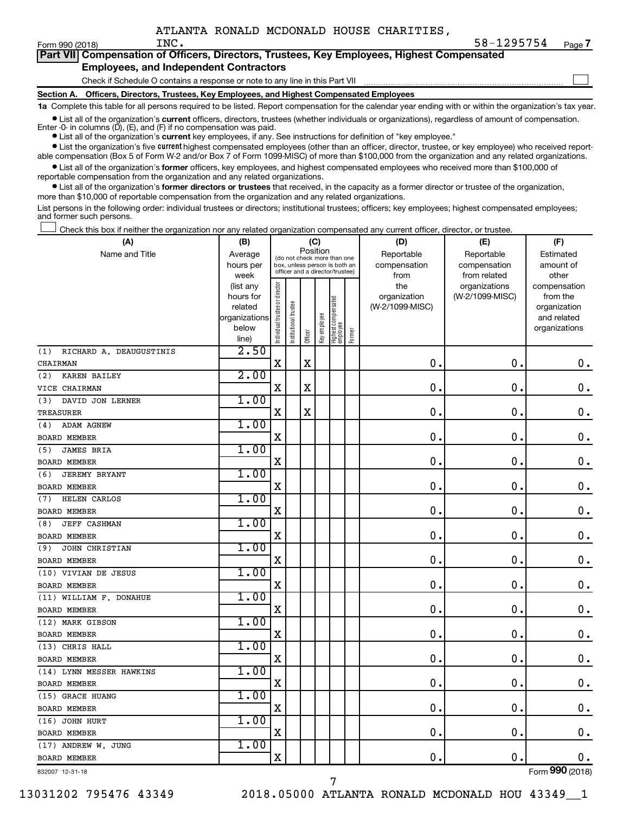$\Box$ 

| Part VII Compensation of Officers, Directors, Trustees, Key Employees, Highest Compensated |
|--------------------------------------------------------------------------------------------|
| <b>Employees, and Independent Contractors</b>                                              |

Check if Schedule O contains a response or note to any line in this Part VII

**Section A. Officers, Directors, Trustees, Key Employees, and Highest Compensated Employees**

**1a**  Complete this table for all persons required to be listed. Report compensation for the calendar year ending with or within the organization's tax year.

**•** List all of the organization's current officers, directors, trustees (whether individuals or organizations), regardless of amount of compensation. Enter -0- in columns  $(D)$ ,  $(E)$ , and  $(F)$  if no compensation was paid.

**•** List all of the organization's **current** key employees, if any. See instructions for definition of "key employee."

**•** List the organization's five current highest compensated employees (other than an officer, director, trustee, or key employee) who received reportable compensation (Box 5 of Form W-2 and/or Box 7 of Form 1099-MISC) of more than \$100,000 from the organization and any related organizations.

**•** List all of the organization's former officers, key employees, and highest compensated employees who received more than \$100,000 of reportable compensation from the organization and any related organizations.

**•** List all of the organization's former directors or trustees that received, in the capacity as a former director or trustee of the organization, more than \$10,000 of reportable compensation from the organization and any related organizations.

List persons in the following order: individual trustees or directors; institutional trustees; officers; key employees; highest compensated employees; and former such persons.

Check this box if neither the organization nor any related organization compensated any current officer, director, or trustee.  $\Box$ 

| (A)                            | (B)                    |                                |                                                                  | (C)         |              |                                 |        | (D)             | (E)                              | (F)                      |
|--------------------------------|------------------------|--------------------------------|------------------------------------------------------------------|-------------|--------------|---------------------------------|--------|-----------------|----------------------------------|--------------------------|
| Name and Title                 | Average                |                                | (do not check more than one                                      | Position    |              |                                 |        | Reportable      | Reportable                       | Estimated                |
|                                | hours per              |                                | box, unless person is both an<br>officer and a director/trustee) |             |              |                                 |        | compensation    | compensation                     | amount of                |
|                                | week                   |                                |                                                                  |             |              |                                 |        | from<br>the     | from related                     | other                    |
|                                | (list any<br>hours for | Individual trustee or director |                                                                  |             |              |                                 |        | organization    | organizations<br>(W-2/1099-MISC) | compensation<br>from the |
|                                | related                |                                |                                                                  |             |              |                                 |        | (W-2/1099-MISC) |                                  | organization             |
|                                | organizations          |                                |                                                                  |             |              |                                 |        |                 |                                  | and related              |
|                                | below                  |                                | nstitutional trustee                                             |             | Key employee | Highest compensated<br>employee |        |                 |                                  | organizations            |
|                                | line)                  |                                |                                                                  | Officer     |              |                                 | Former |                 |                                  |                          |
| RICHARD A. DEAUGUSTINIS<br>(1) | 2.50                   |                                |                                                                  |             |              |                                 |        |                 |                                  |                          |
| CHAIRMAN                       |                        | $\mathbf X$                    |                                                                  | X           |              |                                 |        | 0.              | $\mathbf 0$ .                    | 0.                       |
| <b>KAREN BAILEY</b><br>(2)     | 2.00                   |                                |                                                                  |             |              |                                 |        |                 |                                  |                          |
| VICE CHAIRMAN                  |                        | $\mathbf X$                    |                                                                  | $\mathbf X$ |              |                                 |        | $\mathbf 0$ .   | $\mathbf 0$ .                    | $\mathbf 0$ .            |
| (3)<br>DAVID JON LERNER        | 1.00                   |                                |                                                                  |             |              |                                 |        |                 |                                  |                          |
| <b>TREASURER</b>               |                        | X                              |                                                                  | X           |              |                                 |        | $\mathbf 0$ .   | 0.                               | 0.                       |
| ADAM AGNEW<br>(4)              | 1.00                   |                                |                                                                  |             |              |                                 |        |                 |                                  |                          |
| <b>BOARD MEMBER</b>            |                        | $\mathbf X$                    |                                                                  |             |              |                                 |        | $\mathbf 0$ .   | 0.                               | $\mathbf 0$ .            |
| <b>JAMES BRIA</b><br>(5)       | 1.00                   |                                |                                                                  |             |              |                                 |        |                 |                                  |                          |
| <b>BOARD MEMBER</b>            |                        | $\mathbf X$                    |                                                                  |             |              |                                 |        | 0               | $\mathbf 0$ .                    | $\mathbf 0$ .            |
| <b>JEREMY BRYANT</b><br>(6)    | 1.00                   |                                |                                                                  |             |              |                                 |        |                 |                                  |                          |
| <b>BOARD MEMBER</b>            |                        | $\mathbf X$                    |                                                                  |             |              |                                 |        | $\mathbf 0$ .   | 0.                               | $\mathbf 0$ .            |
| <b>HELEN CARLOS</b><br>(7)     | 1.00                   |                                |                                                                  |             |              |                                 |        |                 |                                  |                          |
| <b>BOARD MEMBER</b>            |                        | X                              |                                                                  |             |              |                                 |        | $\mathbf 0$ .   | $\mathbf 0$                      | $\mathbf 0$ .            |
| JEFF CASHMAN<br>(8)            | 1.00                   |                                |                                                                  |             |              |                                 |        |                 |                                  |                          |
| <b>BOARD MEMBER</b>            |                        | X                              |                                                                  |             |              |                                 |        | $\mathbf 0$ .   | 0.                               | $\mathbf 0$ .            |
| JOHN CHRISTIAN<br>(9)          | 1.00                   |                                |                                                                  |             |              |                                 |        |                 |                                  |                          |
| <b>BOARD MEMBER</b>            |                        | $\mathbf X$                    |                                                                  |             |              |                                 |        | О.              | $\mathbf 0$                      | $\mathbf 0$ .            |
| (10) VIVIAN DE JESUS           | 1.00                   |                                |                                                                  |             |              |                                 |        |                 |                                  |                          |
| <b>BOARD MEMBER</b>            |                        | Χ                              |                                                                  |             |              |                                 |        | $\mathbf 0$ .   | $\mathbf 0$ .                    | 0.                       |
| (11) WILLIAM F. DONAHUE        | 1.00                   |                                |                                                                  |             |              |                                 |        |                 |                                  |                          |
| <b>BOARD MEMBER</b>            |                        | X                              |                                                                  |             |              |                                 |        | $\mathbf 0$ .   | $\mathbf 0$                      | $\mathbf 0$ .            |
| (12) MARK GIBSON               | 1.00                   |                                |                                                                  |             |              |                                 |        |                 |                                  |                          |
| <b>BOARD MEMBER</b>            |                        | X                              |                                                                  |             |              |                                 |        | $\mathbf 0$ .   | $\mathbf 0$ .                    | $\mathbf 0$ .            |
| (13) CHRIS HALL                | 1.00                   |                                |                                                                  |             |              |                                 |        |                 |                                  |                          |
| <b>BOARD MEMBER</b>            |                        | X                              |                                                                  |             |              |                                 |        | $\mathbf 0$ .   | 0.                               | $\mathbf 0$ .            |
| (14) LYNN MESSER HAWKINS       | 1.00                   |                                |                                                                  |             |              |                                 |        |                 |                                  |                          |
| <b>BOARD MEMBER</b>            |                        | $\overline{\mathbf{X}}$        |                                                                  |             |              |                                 |        | 0.              | $\mathbf 0$ .                    | $\mathbf 0$ .            |
| (15) GRACE HUANG               | 1.00                   |                                |                                                                  |             |              |                                 |        |                 |                                  |                          |
| <b>BOARD MEMBER</b>            |                        | X                              |                                                                  |             |              |                                 |        | $\mathbf 0$     | $\mathbf 0$                      | $\mathbf 0$ .            |
| (16) JOHN HURT                 | 1.00                   |                                |                                                                  |             |              |                                 |        |                 |                                  |                          |
| <b>BOARD MEMBER</b>            |                        | $\mathbf X$                    |                                                                  |             |              |                                 |        | 0.              | $\mathbf 0$ .                    | 0.                       |
| (17) ANDREW W. JUNG            | 1.00                   |                                |                                                                  |             |              |                                 |        |                 |                                  |                          |
| <b>BOARD MEMBER</b>            |                        | X                              |                                                                  |             |              |                                 |        | 0.              | $\mathbf 0$ .                    | $0$ .                    |
| 832007 12-31-18                |                        |                                |                                                                  |             |              |                                 |        |                 |                                  | Form 990 (2018)          |

832007 12-31-18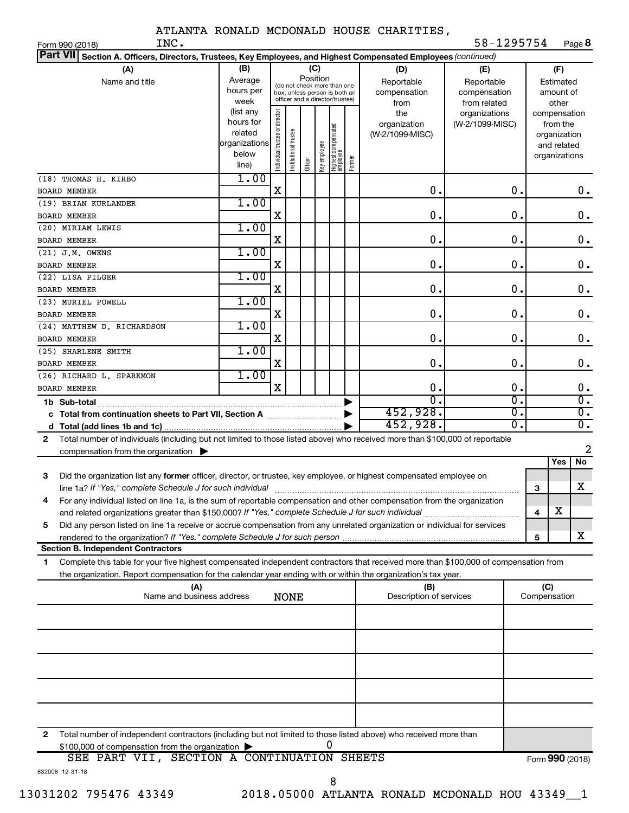Form 990 (2018) Page **8** INC. 58-1295754

| Part VII Section A. Officers, Directors, Trustees, Key Employees, and Highest Compensated Employees (continued)                              |                                                      |                                |                       |          |              |                                                              |        |                         |                  |              |                              |                             |
|----------------------------------------------------------------------------------------------------------------------------------------------|------------------------------------------------------|--------------------------------|-----------------------|----------|--------------|--------------------------------------------------------------|--------|-------------------------|------------------|--------------|------------------------------|-----------------------------|
| (A)                                                                                                                                          | (B)                                                  | (C)                            |                       |          |              |                                                              |        | (D)                     | (E)              |              | (F)                          |                             |
| Name and title                                                                                                                               | Average                                              |                                |                       | Position |              |                                                              |        | Reportable              | Reportable       | Estimated    |                              |                             |
|                                                                                                                                              | hours per                                            |                                |                       |          |              | (do not check more than one<br>box, unless person is both an |        | compensation            | compensation     |              | amount of                    |                             |
|                                                                                                                                              | week                                                 |                                |                       |          |              | officer and a director/trustee)                              |        | from                    | from related     |              | other                        |                             |
|                                                                                                                                              | (list any                                            |                                |                       |          |              |                                                              |        | the                     | organizations    |              | compensation                 |                             |
|                                                                                                                                              | hours for                                            |                                |                       |          |              |                                                              |        | organization            | (W-2/1099-MISC)  |              | from the                     |                             |
|                                                                                                                                              | related<br>organizations                             |                                |                       |          |              |                                                              |        | (W-2/1099-MISC)         |                  |              | organization                 |                             |
|                                                                                                                                              | below                                                |                                |                       |          |              |                                                              |        |                         |                  |              | and related<br>organizations |                             |
|                                                                                                                                              | line)                                                | Individual trustee or director | Institutional trustee | Officer  | Key employee | Highest compensated<br>  employee                            | Former |                         |                  |              |                              |                             |
| (18) THOMAS H. KIRBO                                                                                                                         | 1.00                                                 |                                |                       |          |              |                                                              |        |                         |                  |              |                              |                             |
| <b>BOARD MEMBER</b>                                                                                                                          |                                                      | X                              |                       |          |              |                                                              |        | 0.                      | 0.               |              |                              | 0.                          |
| (19) BRIAN KURLANDER                                                                                                                         | 1.00                                                 |                                |                       |          |              |                                                              |        |                         |                  |              |                              |                             |
|                                                                                                                                              |                                                      | X                              |                       |          |              |                                                              |        | 0.                      | 0.               |              |                              | $\mathbf 0$ .               |
| <b>BOARD MEMBER</b>                                                                                                                          | 1.00                                                 |                                |                       |          |              |                                                              |        |                         |                  |              |                              |                             |
| (20) MIRIAM LEWIS                                                                                                                            |                                                      | X                              |                       |          |              |                                                              |        | 0.                      | 0.               |              |                              | $\mathbf 0$ .               |
| <b>BOARD MEMBER</b>                                                                                                                          |                                                      |                                |                       |          |              |                                                              |        |                         |                  |              |                              |                             |
| $(21)$ J.M. OWENS                                                                                                                            | 1.00                                                 |                                |                       |          |              |                                                              |        |                         |                  |              |                              |                             |
| <b>BOARD MEMBER</b>                                                                                                                          |                                                      | X                              |                       |          |              |                                                              |        | $\mathbf 0$ .           | 0.               |              |                              | $\mathbf 0$ .               |
| (22) LISA PILGER                                                                                                                             | 1.00                                                 |                                |                       |          |              |                                                              |        |                         |                  |              |                              |                             |
| <b>BOARD MEMBER</b>                                                                                                                          |                                                      | X                              |                       |          |              |                                                              |        | $\mathbf 0$ .           | 0.               |              |                              | $\mathbf 0$ .               |
| (23) MURIEL POWELL                                                                                                                           | 1.00                                                 |                                |                       |          |              |                                                              |        |                         |                  |              |                              |                             |
| <b>BOARD MEMBER</b>                                                                                                                          |                                                      | X                              |                       |          |              |                                                              |        | $\mathbf 0$ .           | 0.               |              |                              | $\mathbf 0$ .               |
| (24) MATTHEW D. RICHARDSON                                                                                                                   | 1.00                                                 |                                |                       |          |              |                                                              |        |                         |                  |              |                              |                             |
| <b>BOARD MEMBER</b>                                                                                                                          |                                                      | X                              |                       |          |              |                                                              |        | 0.                      | 0.               |              |                              | $\mathbf 0$ .               |
| (25) SHARLENE SMITH                                                                                                                          | 1.00                                                 |                                |                       |          |              |                                                              |        |                         |                  |              |                              |                             |
| <b>BOARD MEMBER</b>                                                                                                                          |                                                      | X                              |                       |          |              |                                                              |        | 0.                      | 0.               |              |                              | $\mathbf 0$ .               |
| (26) RICHARD L. SPARKMON                                                                                                                     | 1.00                                                 |                                |                       |          |              |                                                              |        |                         |                  |              |                              |                             |
| <b>BOARD MEMBER</b>                                                                                                                          |                                                      | X                              |                       |          |              |                                                              |        | 0.                      | 0.               |              |                              | $\mathbf 0$ .               |
| 1b Sub-total                                                                                                                                 |                                                      |                                |                       |          |              |                                                              |        | $\overline{0}$ .        | σ.               |              |                              | $\overline{0}$ .            |
|                                                                                                                                              |                                                      |                                |                       |          |              |                                                              |        | 452,928.                | $\overline{0}$ . |              |                              | $\overline{0}$ .            |
|                                                                                                                                              |                                                      |                                |                       |          |              |                                                              |        | 452,928.                | σ.               |              |                              | $\overline{\mathfrak{o}}$ . |
| Total number of individuals (including but not limited to those listed above) who received more than \$100,000 of reportable<br>$\mathbf{2}$ |                                                      |                                |                       |          |              |                                                              |        |                         |                  |              |                              |                             |
| compensation from the organization $\blacktriangleright$                                                                                     |                                                      |                                |                       |          |              |                                                              |        |                         |                  |              |                              | 2                           |
|                                                                                                                                              |                                                      |                                |                       |          |              |                                                              |        |                         |                  |              | Yes                          | No                          |
| Did the organization list any former officer, director, or trustee, key employee, or highest compensated employee on<br>3                    |                                                      |                                |                       |          |              |                                                              |        |                         |                  |              |                              |                             |
| line 1a? If "Yes," complete Schedule J for such individual                                                                                   |                                                      |                                |                       |          |              |                                                              |        |                         |                  | 3            |                              | х                           |
| For any individual listed on line 1a, is the sum of reportable compensation and other compensation from the organization<br>4                |                                                      |                                |                       |          |              |                                                              |        |                         |                  |              |                              |                             |
|                                                                                                                                              |                                                      |                                |                       |          |              |                                                              |        |                         |                  | 4            | $\rm X$                      |                             |
| Did any person listed on line 1a receive or accrue compensation from any unrelated organization or individual for services<br>5              |                                                      |                                |                       |          |              |                                                              |        |                         |                  |              |                              |                             |
|                                                                                                                                              |                                                      |                                |                       |          |              |                                                              |        |                         |                  | 5            |                              | x                           |
| <b>Section B. Independent Contractors</b>                                                                                                    |                                                      |                                |                       |          |              |                                                              |        |                         |                  |              |                              |                             |
| Complete this table for your five highest compensated independent contractors that received more than \$100,000 of compensation from<br>1    |                                                      |                                |                       |          |              |                                                              |        |                         |                  |              |                              |                             |
| the organization. Report compensation for the calendar year ending with or within the organization's tax year.                               |                                                      |                                |                       |          |              |                                                              |        |                         |                  |              |                              |                             |
| (A)                                                                                                                                          |                                                      |                                |                       |          |              |                                                              |        | (B)                     |                  | (C)          |                              |                             |
| Name and business address                                                                                                                    |                                                      |                                | <b>NONE</b>           |          |              |                                                              |        | Description of services |                  | Compensation |                              |                             |
|                                                                                                                                              |                                                      |                                |                       |          |              |                                                              |        |                         |                  |              |                              |                             |
|                                                                                                                                              |                                                      |                                |                       |          |              |                                                              |        |                         |                  |              |                              |                             |
|                                                                                                                                              |                                                      |                                |                       |          |              |                                                              |        |                         |                  |              |                              |                             |
|                                                                                                                                              |                                                      |                                |                       |          |              |                                                              |        |                         |                  |              |                              |                             |
|                                                                                                                                              |                                                      |                                |                       |          |              |                                                              |        |                         |                  |              |                              |                             |
|                                                                                                                                              |                                                      |                                |                       |          |              |                                                              |        |                         |                  |              |                              |                             |
|                                                                                                                                              |                                                      |                                |                       |          |              |                                                              |        |                         |                  |              |                              |                             |
|                                                                                                                                              |                                                      |                                |                       |          |              |                                                              |        |                         |                  |              |                              |                             |
|                                                                                                                                              |                                                      |                                |                       |          |              |                                                              |        |                         |                  |              |                              |                             |
|                                                                                                                                              |                                                      |                                |                       |          |              |                                                              |        |                         |                  |              |                              |                             |
| $\mathbf{2}$<br>Total number of independent contractors (including but not limited to those listed above) who received more than             |                                                      |                                |                       |          |              |                                                              |        |                         |                  |              |                              |                             |
|                                                                                                                                              | 0<br>\$100,000 of compensation from the organization |                                |                       |          |              |                                                              |        |                         |                  |              |                              |                             |
| SEE PART VII, SECTION A CONTINUATION SHEETS                                                                                                  |                                                      |                                |                       |          |              |                                                              |        |                         |                  |              |                              | Form 990 (2018)             |
| 832008 12-31-18                                                                                                                              |                                                      |                                |                       |          |              |                                                              |        |                         |                  |              |                              |                             |

8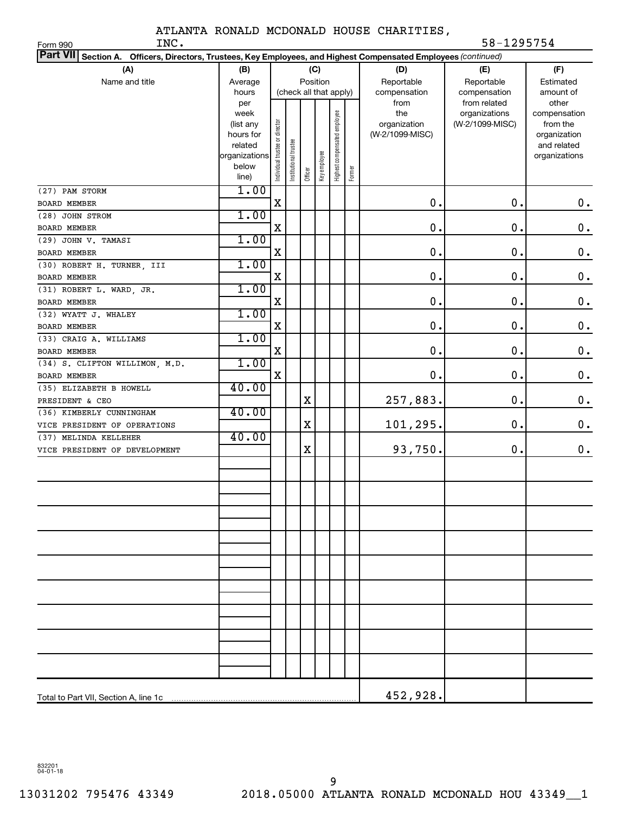Form 990

INC. 58-1295754

| Part VII Section A. Officers, Directors, Trustees, Key Employees, and Highest Compensated Employees (continued) |                   |                                |                        |         |              |                              |        |                     |                                  |                          |
|-----------------------------------------------------------------------------------------------------------------|-------------------|--------------------------------|------------------------|---------|--------------|------------------------------|--------|---------------------|----------------------------------|--------------------------|
| (A)                                                                                                             | (B)               | (C)                            |                        |         |              |                              |        | (D)                 | (E)                              | (F)                      |
| Name and title                                                                                                  | Average           | Position                       |                        |         |              |                              |        | Reportable          | Reportable                       | Estimated                |
|                                                                                                                 | hours             |                                | (check all that apply) |         |              |                              |        | compensation        | compensation                     | amount of                |
|                                                                                                                 | per               |                                |                        |         |              |                              |        | from                | from related                     | other                    |
|                                                                                                                 | week<br>(list any |                                |                        |         |              |                              |        | the<br>organization | organizations<br>(W-2/1099-MISC) | compensation<br>from the |
|                                                                                                                 | hours for         |                                |                        |         |              |                              |        | (W-2/1099-MISC)     |                                  | organization             |
|                                                                                                                 | related           |                                |                        |         |              |                              |        |                     |                                  | and related              |
|                                                                                                                 | organizations     |                                |                        |         |              |                              |        |                     |                                  | organizations            |
|                                                                                                                 | below             | Individual trustee or director | Institutional trustee  | Officer | Key employee | Highest compensated employee | Former |                     |                                  |                          |
|                                                                                                                 | line)             |                                |                        |         |              |                              |        |                     |                                  |                          |
| (27) PAM STORM                                                                                                  | 1.00              | X                              |                        |         |              |                              |        | 0.                  | 0.                               |                          |
| <b>BOARD MEMBER</b><br>(28) JOHN STROM                                                                          | 1.00              |                                |                        |         |              |                              |        |                     |                                  | $\mathbf 0$ .            |
| BOARD MEMBER                                                                                                    |                   | х                              |                        |         |              |                              |        | 0.                  | 0.                               | $\mathbf 0$ .            |
| (29) JOHN V. TAMASI                                                                                             | 1.00              |                                |                        |         |              |                              |        |                     |                                  |                          |
| <b>BOARD MEMBER</b>                                                                                             |                   | X                              |                        |         |              |                              |        | 0.                  | 0.                               | $\mathbf 0$ .            |
| (30) ROBERT H. TURNER, III                                                                                      | 1.00              |                                |                        |         |              |                              |        |                     |                                  |                          |
| <b>BOARD MEMBER</b>                                                                                             |                   | X                              |                        |         |              |                              |        | 0.                  | 0.                               | $\mathbf 0$ .            |
| (31) ROBERT L. WARD, JR.                                                                                        | 1.00              |                                |                        |         |              |                              |        |                     |                                  |                          |
| <b>BOARD MEMBER</b>                                                                                             |                   | X                              |                        |         |              |                              |        | 0.                  | 0.                               | $\mathbf 0$ .            |
| (32) WYATT J. WHALEY                                                                                            | 1.00              |                                |                        |         |              |                              |        |                     |                                  |                          |
| BOARD MEMBER                                                                                                    |                   | X                              |                        |         |              |                              |        | 0.                  | 0.                               | $\mathbf 0$ .            |
| (33) CRAIG A. WILLIAMS                                                                                          | 1.00              |                                |                        |         |              |                              |        |                     |                                  |                          |
| BOARD MEMBER                                                                                                    |                   | X                              |                        |         |              |                              |        | 0.                  | 0.                               | $\mathbf 0$ .            |
| (34) S. CLIFTON WILLIMON, M.D.                                                                                  | 1.00              |                                |                        |         |              |                              |        |                     |                                  |                          |
| <b>BOARD MEMBER</b>                                                                                             |                   | X                              |                        |         |              |                              |        | 0.                  | 0.                               | $\mathbf 0$ .            |
| (35) ELIZABETH B HOWELL                                                                                         | 40.00             |                                |                        |         |              |                              |        |                     |                                  |                          |
| PRESIDENT & CEO                                                                                                 |                   |                                |                        | X       |              |                              |        | 257,883.            | 0.                               | $\mathbf 0$ .            |
| (36) KIMBERLY CUNNINGHAM                                                                                        | 40.00             |                                |                        |         |              |                              |        |                     |                                  |                          |
| VICE PRESIDENT OF OPERATIONS                                                                                    |                   |                                |                        | X       |              |                              |        | 101,295.            | 0.                               | $\mathbf 0$ .            |
| (37) MELINDA KELLEHER                                                                                           | 40.00             |                                |                        |         |              |                              |        |                     |                                  |                          |
| VICE PRESIDENT OF DEVELOPMENT                                                                                   |                   |                                |                        | X       |              |                              |        | 93,750.             | 0.                               | $\mathbf 0$ .            |
|                                                                                                                 |                   |                                |                        |         |              |                              |        |                     |                                  |                          |
|                                                                                                                 |                   |                                |                        |         |              |                              |        |                     |                                  |                          |
|                                                                                                                 |                   |                                |                        |         |              |                              |        |                     |                                  |                          |
|                                                                                                                 |                   |                                |                        |         |              |                              |        |                     |                                  |                          |
|                                                                                                                 |                   |                                |                        |         |              |                              |        |                     |                                  |                          |
|                                                                                                                 |                   |                                |                        |         |              |                              |        |                     |                                  |                          |
|                                                                                                                 |                   |                                |                        |         |              |                              |        |                     |                                  |                          |
|                                                                                                                 |                   |                                |                        |         |              |                              |        |                     |                                  |                          |
|                                                                                                                 |                   |                                |                        |         |              |                              |        |                     |                                  |                          |
|                                                                                                                 |                   |                                |                        |         |              |                              |        |                     |                                  |                          |
|                                                                                                                 |                   |                                |                        |         |              |                              |        |                     |                                  |                          |
|                                                                                                                 |                   |                                |                        |         |              |                              |        |                     |                                  |                          |
|                                                                                                                 |                   |                                |                        |         |              |                              |        |                     |                                  |                          |
|                                                                                                                 |                   |                                |                        |         |              |                              |        |                     |                                  |                          |
|                                                                                                                 |                   |                                |                        |         |              |                              |        |                     |                                  |                          |
|                                                                                                                 |                   |                                |                        |         |              |                              |        |                     |                                  |                          |
|                                                                                                                 |                   |                                |                        |         |              |                              |        |                     |                                  |                          |
|                                                                                                                 |                   |                                |                        |         |              |                              |        |                     |                                  |                          |
|                                                                                                                 |                   |                                |                        |         |              |                              |        | 452,928.            |                                  |                          |

832201 04-01-18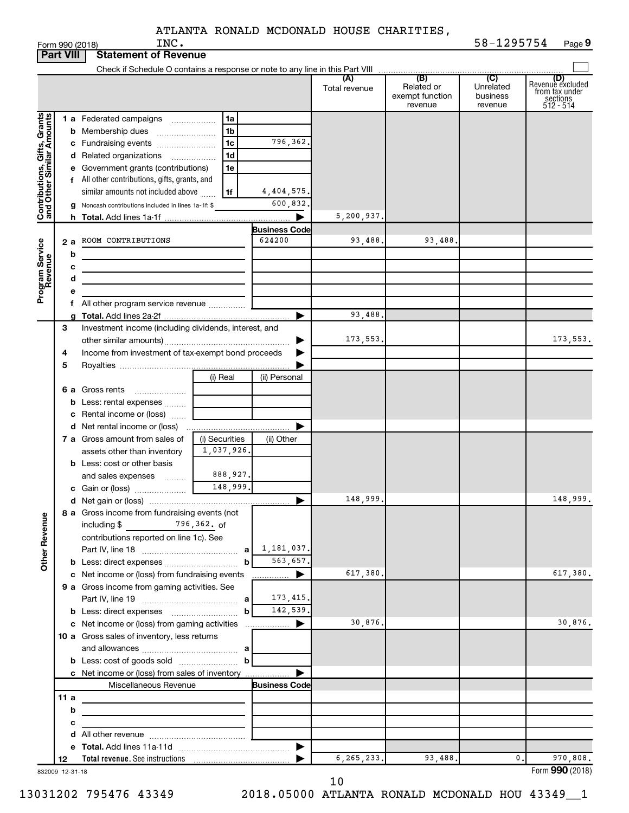|                                                           | <b>Part VIII</b> | <b>Statement of Revenue</b>                                                |                                |                                |                      |                                                 |                                         |                                                                      |
|-----------------------------------------------------------|------------------|----------------------------------------------------------------------------|--------------------------------|--------------------------------|----------------------|-------------------------------------------------|-----------------------------------------|----------------------------------------------------------------------|
|                                                           |                  |                                                                            |                                |                                |                      |                                                 |                                         |                                                                      |
|                                                           |                  |                                                                            |                                |                                | (A)<br>Total revenue | (B)<br>Related or<br>exempt function<br>revenue | (C)<br>Unrelated<br>business<br>revenue | (D)<br>Revenue excluded<br>from tax under<br>sections<br>$512 - 514$ |
|                                                           |                  | <b>1 a</b> Federated campaigns                                             | 1a                             |                                |                      |                                                 |                                         |                                                                      |
|                                                           |                  | <b>b</b> Membership dues                                                   | 1b                             |                                |                      |                                                 |                                         |                                                                      |
| Contributions, Gifts, Grants<br>and Other Similar Amounts |                  | c Fundraising events                                                       | 1c                             | 796,362.                       |                      |                                                 |                                         |                                                                      |
|                                                           |                  | d Related organizations                                                    | 1d<br>$\overline{\phantom{a}}$ |                                |                      |                                                 |                                         |                                                                      |
|                                                           |                  | e Government grants (contributions)                                        | 1e                             |                                |                      |                                                 |                                         |                                                                      |
|                                                           |                  | f All other contributions, gifts, grants, and                              |                                |                                |                      |                                                 |                                         |                                                                      |
|                                                           |                  | similar amounts not included above                                         | 1f                             | 4, 404, 575.                   |                      |                                                 |                                         |                                                                      |
|                                                           |                  | g Noncash contributions included in lines 1a-1f: \$                        |                                | 600,832.                       |                      |                                                 |                                         |                                                                      |
|                                                           |                  |                                                                            |                                |                                | 5,200,937.           |                                                 |                                         |                                                                      |
|                                                           |                  |                                                                            |                                | <b>Business Code</b><br>624200 |                      |                                                 |                                         |                                                                      |
| Program Service<br>Revenue                                | 2 a              | ROOM CONTRIBUTIONS                                                         |                                |                                | 93,488.              | 93,488                                          |                                         |                                                                      |
|                                                           | b                |                                                                            |                                |                                |                      |                                                 |                                         |                                                                      |
|                                                           | с<br>d           |                                                                            |                                |                                |                      |                                                 |                                         |                                                                      |
|                                                           |                  |                                                                            |                                |                                |                      |                                                 |                                         |                                                                      |
|                                                           |                  |                                                                            |                                |                                |                      |                                                 |                                         |                                                                      |
|                                                           |                  |                                                                            |                                |                                | 93,488.              |                                                 |                                         |                                                                      |
|                                                           | З                | Investment income (including dividends, interest, and                      |                                |                                |                      |                                                 |                                         |                                                                      |
|                                                           |                  |                                                                            |                                |                                | 173,553.             |                                                 |                                         | 173,553.                                                             |
|                                                           | 4                | Income from investment of tax-exempt bond proceeds                         |                                |                                |                      |                                                 |                                         |                                                                      |
|                                                           | 5                |                                                                            |                                |                                |                      |                                                 |                                         |                                                                      |
|                                                           |                  |                                                                            | (i) Real                       | (ii) Personal                  |                      |                                                 |                                         |                                                                      |
|                                                           |                  | <b>6 a</b> Gross rents                                                     |                                |                                |                      |                                                 |                                         |                                                                      |
|                                                           | b                | Less: rental expenses                                                      |                                |                                |                      |                                                 |                                         |                                                                      |
|                                                           |                  | <b>c</b> Rental income or (loss) $\ldots$                                  |                                |                                |                      |                                                 |                                         |                                                                      |
|                                                           |                  | <b>d</b> Net rental income or (loss)                                       |                                |                                |                      |                                                 |                                         |                                                                      |
|                                                           |                  | 7 a Gross amount from sales of                                             | (i) Securities                 | (ii) Other                     |                      |                                                 |                                         |                                                                      |
|                                                           |                  | assets other than inventory                                                | 1,037,926.                     |                                |                      |                                                 |                                         |                                                                      |
|                                                           |                  | <b>b</b> Less: cost or other basis<br>and sales expenses                   | 888,927.                       |                                |                      |                                                 |                                         |                                                                      |
|                                                           |                  |                                                                            | 148,999.                       |                                |                      |                                                 |                                         |                                                                      |
|                                                           |                  |                                                                            |                                | ▶                              | 148,999.             |                                                 |                                         | 148,999.                                                             |
|                                                           |                  | 8 a Gross income from fundraising events (not                              |                                |                                |                      |                                                 |                                         |                                                                      |
| <b>Other Revenue</b>                                      |                  | $796, 362.$ of<br>including $$$                                            |                                |                                |                      |                                                 |                                         |                                                                      |
|                                                           |                  | contributions reported on line 1c). See                                    |                                |                                |                      |                                                 |                                         |                                                                      |
|                                                           |                  |                                                                            |                                | 1,181,037.                     |                      |                                                 |                                         |                                                                      |
|                                                           |                  |                                                                            | $\mathbf b$                    | 563,657.                       |                      |                                                 |                                         |                                                                      |
|                                                           |                  | c Net income or (loss) from fundraising events                             |                                |                                | 617,380.             |                                                 |                                         | 617,380.                                                             |
|                                                           |                  | 9 a Gross income from gaming activities. See                               |                                |                                |                      |                                                 |                                         |                                                                      |
|                                                           |                  |                                                                            |                                | 173, 415.                      |                      |                                                 |                                         |                                                                      |
|                                                           |                  |                                                                            | b                              | 142,539.                       |                      |                                                 |                                         |                                                                      |
|                                                           |                  |                                                                            |                                |                                | 30,876.              |                                                 |                                         | 30,876.                                                              |
|                                                           |                  | 10 a Gross sales of inventory, less returns                                |                                |                                |                      |                                                 |                                         |                                                                      |
|                                                           |                  |                                                                            |                                |                                |                      |                                                 |                                         |                                                                      |
|                                                           |                  | c Net income or (loss) from sales of inventory                             |                                |                                |                      |                                                 |                                         |                                                                      |
|                                                           |                  | Miscellaneous Revenue                                                      |                                | <b>Business Code</b>           |                      |                                                 |                                         |                                                                      |
|                                                           | 11 a             | the control of the control of the control of the control of the control of |                                |                                |                      |                                                 |                                         |                                                                      |
|                                                           | b                |                                                                            |                                |                                |                      |                                                 |                                         |                                                                      |
|                                                           | с                | <u> 1980 - Johann Barbara, martin a</u>                                    |                                |                                |                      |                                                 |                                         |                                                                      |
|                                                           |                  |                                                                            |                                |                                |                      |                                                 |                                         |                                                                      |
|                                                           |                  |                                                                            |                                | $\blacktriangleright$          |                      |                                                 |                                         |                                                                      |
|                                                           | 12               |                                                                            |                                |                                | 6, 265, 233.         | 93,488.                                         | 0.                                      | 970,808.                                                             |
|                                                           | 832009 12-31-18  |                                                                            |                                |                                |                      |                                                 |                                         | Form 990 (2018)                                                      |

10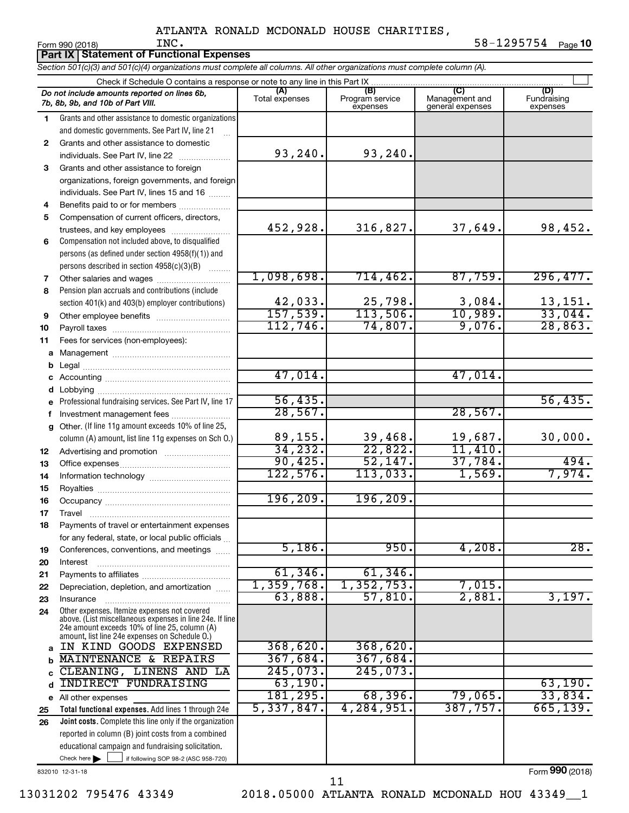|              | INC.<br>Form 990 (2018)                                                                                                    |                |                             |                                    | 58-1295754 Page 10      |
|--------------|----------------------------------------------------------------------------------------------------------------------------|----------------|-----------------------------|------------------------------------|-------------------------|
|              | <b>Part IX   Statement of Functional Expenses</b>                                                                          |                |                             |                                    |                         |
|              | Section 501(c)(3) and 501(c)(4) organizations must complete all columns. All other organizations must complete column (A). |                |                             |                                    |                         |
|              | Check if Schedule O contains a response or note to any line in this Part IX                                                | (A)            | (B)                         | (C)                                | (D)                     |
|              | Do not include amounts reported on lines 6b,<br>7b, 8b, 9b, and 10b of Part VIII.                                          | Total expenses | Program service<br>expenses | Management and<br>general expenses | Fundraising<br>expenses |
| 1.           | Grants and other assistance to domestic organizations                                                                      |                |                             |                                    |                         |
|              | and domestic governments. See Part IV, line 21                                                                             |                |                             |                                    |                         |
| $\mathbf{2}$ | Grants and other assistance to domestic                                                                                    |                |                             |                                    |                         |
|              | individuals. See Part IV, line 22                                                                                          | 93, 240.       | 93,240.                     |                                    |                         |
| 3            | Grants and other assistance to foreign                                                                                     |                |                             |                                    |                         |
|              | organizations, foreign governments, and foreign                                                                            |                |                             |                                    |                         |
|              | individuals. See Part IV, lines 15 and 16                                                                                  |                |                             |                                    |                         |
| 4            | Benefits paid to or for members                                                                                            |                |                             |                                    |                         |
| 5            | Compensation of current officers, directors,                                                                               |                |                             |                                    |                         |
|              | trustees, and key employees                                                                                                | 452,928.       | 316,827.                    | 37,649.                            | 98,452.                 |
| 6            | Compensation not included above, to disqualified                                                                           |                |                             |                                    |                         |
|              | persons (as defined under section 4958(f)(1)) and                                                                          |                |                             |                                    |                         |
|              | persons described in section 4958(c)(3)(B)                                                                                 |                |                             |                                    |                         |
| 7            | Other salaries and wages                                                                                                   | 1,098,698.     | 714, 462.                   | 87,759.                            | 296,477.                |
| 8            | Pension plan accruals and contributions (include                                                                           |                |                             |                                    |                         |
|              | section 401(k) and 403(b) employer contributions)                                                                          | 42,033.        | 25,798.                     | 3,084.                             | 13, 151.                |
| 9            |                                                                                                                            | 157,539.       | 113,506.                    | 10,989.                            | 33,044.                 |
| 10           |                                                                                                                            | 112,746.       | 74,807.                     | 9,076.                             | 28,863.                 |
| 11           | Fees for services (non-employees):                                                                                         |                |                             |                                    |                         |
|              |                                                                                                                            |                |                             |                                    |                         |
| b            |                                                                                                                            |                |                             |                                    |                         |
|              |                                                                                                                            | 47,014.        |                             | 47,014.                            |                         |
| d            |                                                                                                                            |                |                             |                                    |                         |
|              | e Professional fundraising services. See Part IV, line 17                                                                  | 56,435.        |                             |                                    | 56,435.                 |
| f            | Investment management fees                                                                                                 | 28,567.        |                             | 28,567.                            |                         |
| g            | Other. (If line 11g amount exceeds 10% of line 25,                                                                         | 89, 155.       | 39,468.                     | 19,687.                            | 30,000.                 |
|              | column (A) amount, list line 11g expenses on Sch O.)                                                                       | 34, 232.       | 22,822.                     | 11,410.                            |                         |
| 12           |                                                                                                                            | 90,425.        | 52, 147.                    | 37,784.                            | 494.                    |
| 13           |                                                                                                                            | 122,576.       | 113,033.                    | 1,569.                             | 7,974.                  |
| 14           |                                                                                                                            |                |                             |                                    |                         |
| 15<br>16     |                                                                                                                            | 196,209.       | 196, 209.                   |                                    |                         |
| 17           | Travel                                                                                                                     |                |                             |                                    |                         |
| 18           | Payments of travel or entertainment expenses                                                                               |                |                             |                                    |                         |
|              | for any federal, state, or local public officials                                                                          |                |                             |                                    |                         |
| 19           | Conferences, conventions, and meetings                                                                                     | 5,186.         | 950.                        | 4,208.                             | 28.                     |
| 20           | Interest                                                                                                                   |                |                             |                                    |                         |
| 21           |                                                                                                                            | 61,346.        | 61,346.                     |                                    |                         |
| 22           | Depreciation, depletion, and amortization                                                                                  | 1,359,768.     | 1,352,753.                  | 7,015.                             |                         |
| 23           | Insurance                                                                                                                  | 63,888.        | 57,810.                     | 2,881.                             | 3,197.                  |
| 24           | Other expenses. Itemize expenses not covered                                                                               |                |                             |                                    |                         |
|              | above. (List miscellaneous expenses in line 24e. If line<br>24e amount exceeds 10% of line 25, column (A)                  |                |                             |                                    |                         |
|              | amount, list line 24e expenses on Schedule O.)                                                                             |                |                             |                                    |                         |
| a            | IN KIND GOODS EXPENSED                                                                                                     | 368,620.       | 368,620.                    |                                    |                         |
| b            | MAINTENANCE & REPAIRS                                                                                                      | 367,684.       | 367,684.                    |                                    |                         |
|              | CLEANING, LINENS AND LA                                                                                                    | 245,073.       | 245,073.                    |                                    |                         |
| d            | <b>INDIRECT FUNDRAISING</b>                                                                                                | 63,190.        |                             |                                    | 63,190.                 |
|              | e All other expenses                                                                                                       | 181,295.       | 68,396.                     | 79,065.                            | 33,834.                 |
| 25           | Total functional expenses. Add lines 1 through 24e                                                                         | 5,337,847.     | 4,284,951.                  | 387,757.                           | 665, 139.               |
| 26           | Joint costs. Complete this line only if the organization<br>reported in column (B) joint costs from a combined             |                |                             |                                    |                         |
|              | educational campaign and fundraising solicitation.                                                                         |                |                             |                                    |                         |
|              |                                                                                                                            |                |                             |                                    |                         |

832010 12-31-18

 $Check here$ 

Form (2018) **990**

Check here  $\begin{array}{c} \begin{array}{|c} \hline \end{array} \end{array}$  if following SOP 98-2 (ASC 958-720)

13031202 795476 43349 2018.05000 ATLANTA RONALD MCDONALD HOU 43349\_\_1

11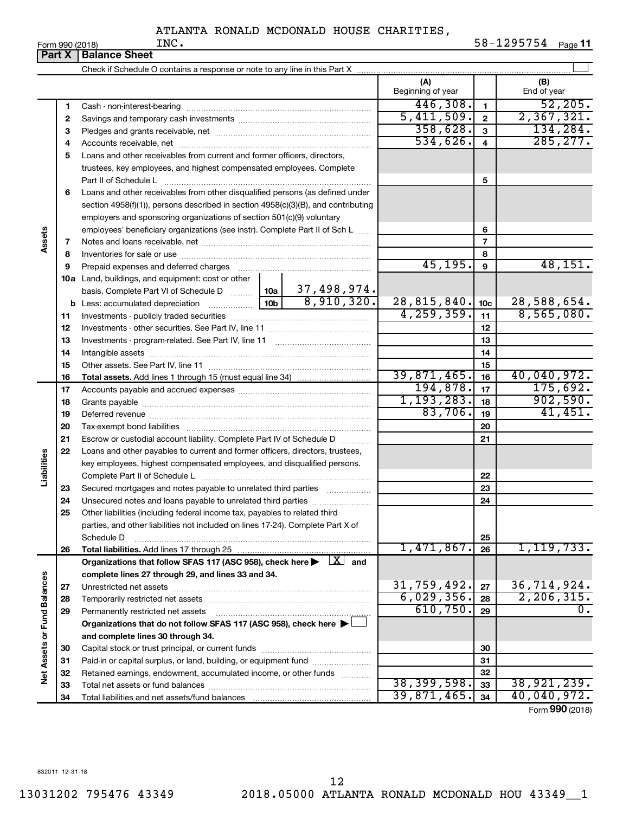|                             | Part X      | <b>Balance Sheet</b>                                                                                                                                     |  |             |                          |                         |                                            |
|-----------------------------|-------------|----------------------------------------------------------------------------------------------------------------------------------------------------------|--|-------------|--------------------------|-------------------------|--------------------------------------------|
|                             |             |                                                                                                                                                          |  |             |                          |                         |                                            |
|                             |             |                                                                                                                                                          |  |             | (A)<br>Beginning of year |                         | (B)<br>End of year                         |
|                             | $\mathbf 1$ |                                                                                                                                                          |  |             | 446,308.                 | $\mathbf{1}$            | 52,205.                                    |
|                             | 2           |                                                                                                                                                          |  |             | 5,411,509.               | $\mathbf{2}$            | 2,367,321.                                 |
|                             | З           |                                                                                                                                                          |  |             | 358,628.                 | $\overline{3}$          | 134, 284.                                  |
|                             | 4           |                                                                                                                                                          |  |             | 534,626.                 | $\overline{\mathbf{4}}$ | 285, 277.                                  |
|                             | 5           | Loans and other receivables from current and former officers, directors,                                                                                 |  |             |                          |                         |                                            |
|                             |             | trustees, key employees, and highest compensated employees. Complete                                                                                     |  |             |                          |                         |                                            |
|                             |             |                                                                                                                                                          |  |             |                          | 5                       |                                            |
|                             | 6           | Loans and other receivables from other disqualified persons (as defined under                                                                            |  |             |                          |                         |                                            |
|                             |             | section 4958(f)(1)), persons described in section 4958(c)(3)(B), and contributing                                                                        |  |             |                          |                         |                                            |
|                             |             | employers and sponsoring organizations of section 501(c)(9) voluntary                                                                                    |  |             |                          |                         |                                            |
|                             |             | employees' beneficiary organizations (see instr). Complete Part II of Sch L                                                                              |  |             |                          | 6                       |                                            |
| Assets                      | 7           |                                                                                                                                                          |  |             |                          | $\overline{7}$          |                                            |
|                             | 8           |                                                                                                                                                          |  |             |                          | 8                       |                                            |
|                             | 9           | Prepaid expenses and deferred charges                                                                                                                    |  |             | 45, 195.                 | 9                       | 48,151.                                    |
|                             |             | 10a Land, buildings, and equipment: cost or other                                                                                                        |  |             |                          |                         |                                            |
|                             |             | basis. Complete Part VI of Schedule D  10a                                                                                                               |  | 37,498,974. |                          |                         |                                            |
|                             |             | $\frac{1}{2}$ 10b<br><b>b</b> Less: accumulated depreciation                                                                                             |  | 8,910,320.  | 28,815,840.              | 10 <sub>c</sub>         | 28,588,654.                                |
|                             | 11          |                                                                                                                                                          |  |             | 4, 259, 359.             | 11                      | 8,565,080.                                 |
|                             | 12          |                                                                                                                                                          |  |             |                          | 12                      |                                            |
|                             | 13          |                                                                                                                                                          |  |             |                          | 13                      |                                            |
|                             | 14          |                                                                                                                                                          |  |             |                          | 14                      |                                            |
|                             | 15          |                                                                                                                                                          |  |             | 39,871,465.              | 15                      | 40,040,972.                                |
|                             | 16          |                                                                                                                                                          |  |             | 194,878.                 | 16                      | 175,692.                                   |
|                             | 17          |                                                                                                                                                          |  |             | 1, 193, 283.             | 17                      | 902,590.                                   |
|                             | 18          |                                                                                                                                                          |  |             | 83,706.                  | 18                      | 41,451.                                    |
|                             | 19          |                                                                                                                                                          |  |             |                          | 19                      |                                            |
|                             | 20          |                                                                                                                                                          |  |             |                          | 20                      |                                            |
|                             | 21          | Escrow or custodial account liability. Complete Part IV of Schedule D                                                                                    |  |             |                          | 21                      |                                            |
| Liabilities                 | 22          | Loans and other payables to current and former officers, directors, trustees,<br>key employees, highest compensated employees, and disqualified persons. |  |             |                          |                         |                                            |
|                             |             |                                                                                                                                                          |  |             |                          | 22                      |                                            |
|                             | 23          | Secured mortgages and notes payable to unrelated third parties                                                                                           |  |             |                          | 23                      |                                            |
|                             | 24          | Unsecured notes and loans payable to unrelated third parties                                                                                             |  |             |                          | 24                      |                                            |
|                             | 25          | Other liabilities (including federal income tax, payables to related third                                                                               |  |             |                          |                         |                                            |
|                             |             | parties, and other liabilities not included on lines 17-24). Complete Part X of                                                                          |  |             |                          |                         |                                            |
|                             |             | Schedule D                                                                                                                                               |  |             |                          | 25                      |                                            |
|                             | 26          | Total liabilities. Add lines 17 through 25                                                                                                               |  |             | 1,471,867.               | 26                      | 1, 119, 733.                               |
|                             |             | Organizations that follow SFAS 117 (ASC 958), check here $\blacktriangleright \begin{array}{c} \boxed{X} \\ \end{array}$ and                             |  |             |                          |                         |                                            |
|                             |             | complete lines 27 through 29, and lines 33 and 34.                                                                                                       |  |             |                          |                         |                                            |
|                             | 27          |                                                                                                                                                          |  |             | 31,759,492.              | 27                      | 36,714,924.                                |
|                             | 28          | Temporarily restricted net assets                                                                                                                        |  |             | 6,029,356.               | 28                      | 2, 206, 315.                               |
|                             | 29          | Permanently restricted net assets                                                                                                                        |  |             | 610,750.                 | 29                      | 0.                                         |
|                             |             | Organizations that do not follow SFAS 117 (ASC 958), check here ▶ □                                                                                      |  |             |                          |                         |                                            |
|                             |             | and complete lines 30 through 34.                                                                                                                        |  |             |                          |                         |                                            |
|                             | 30          |                                                                                                                                                          |  |             |                          | 30                      |                                            |
|                             | 31          | Paid-in or capital surplus, or land, building, or equipment fund                                                                                         |  |             |                          | 31                      |                                            |
| Net Assets or Fund Balances | 32          | Retained earnings, endowment, accumulated income, or other funds                                                                                         |  |             |                          | 32                      |                                            |
|                             | 33          |                                                                                                                                                          |  |             | 38,399,598.              | 33                      | 38,921,239.                                |
|                             | 34          |                                                                                                                                                          |  |             | 39,871,465.              | 34                      | 40,040,972.<br>$F_{\text{sum}}$ 000 (2018) |

Form (2018) **990**

832011 12-31-18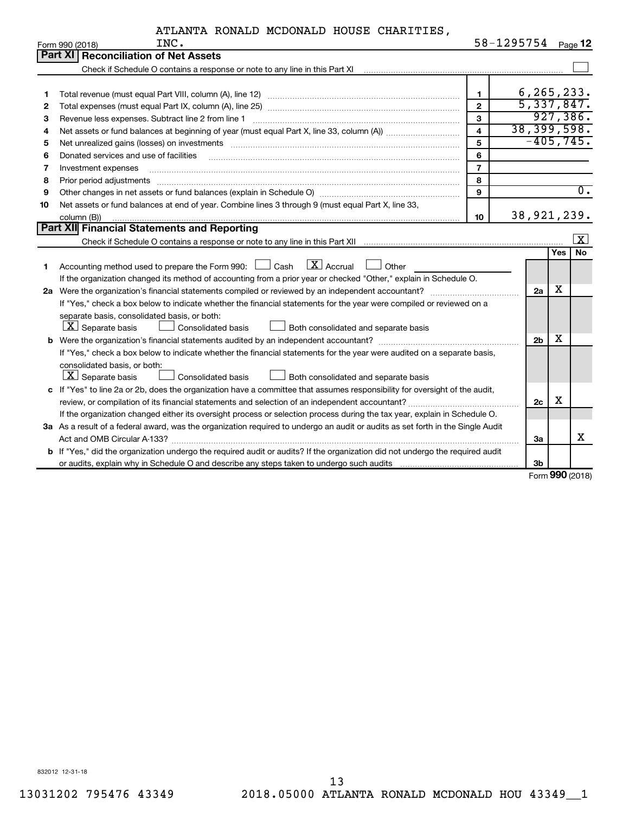| ATLANTA RONALD MCDONALD HOUSE CHARITIES, |  |
|------------------------------------------|--|
|------------------------------------------|--|

|    | INC.<br>Form 990 (2018)                                                                                                         |                         | 58-1295754 |                         |            | Page 12          |  |
|----|---------------------------------------------------------------------------------------------------------------------------------|-------------------------|------------|-------------------------|------------|------------------|--|
|    | <b>Part XI Reconciliation of Net Assets</b>                                                                                     |                         |            |                         |            |                  |  |
|    |                                                                                                                                 |                         |            |                         |            |                  |  |
|    |                                                                                                                                 |                         |            |                         |            |                  |  |
| 1  |                                                                                                                                 | 1.                      |            | 6, 265, 233.            |            |                  |  |
| 2  |                                                                                                                                 | $\mathbf{2}$            |            | 5,337,847.<br>927, 386. |            |                  |  |
| З  | 3<br>Revenue less expenses. Subtract line 2 from line 1                                                                         |                         |            |                         |            |                  |  |
| 4  |                                                                                                                                 | $\overline{\mathbf{4}}$ |            | 38, 399, 598.           |            |                  |  |
| 5  |                                                                                                                                 | 5                       |            | $-405, 745.$            |            |                  |  |
| 6  | Donated services and use of facilities                                                                                          | 6                       |            |                         |            |                  |  |
| 7  | Investment expenses                                                                                                             | $\overline{7}$          |            |                         |            |                  |  |
| 8  | Prior period adjustments www.communication.communication.communication.com/                                                     | 8                       |            |                         |            |                  |  |
| 9  |                                                                                                                                 | $\mathbf{Q}$            |            |                         |            | $\overline{0}$ . |  |
| 10 | Net assets or fund balances at end of year. Combine lines 3 through 9 (must equal Part X, line 33,                              |                         |            |                         |            |                  |  |
|    | column (B))                                                                                                                     | 10                      |            | 38, 921, 239.           |            |                  |  |
|    | Part XII Financial Statements and Reporting                                                                                     |                         |            |                         |            |                  |  |
|    |                                                                                                                                 |                         |            |                         |            | $\vert x \vert$  |  |
|    |                                                                                                                                 |                         |            |                         | <b>Yes</b> | No               |  |
| 1  | $\mathbf{X}$ Accrual<br>Accounting method used to prepare the Form 990: $\Box$ Cash<br>Other<br><b>Contract</b>                 |                         |            |                         |            |                  |  |
|    | If the organization changed its method of accounting from a prior year or checked "Other," explain in Schedule O.               |                         |            |                         | X          |                  |  |
|    |                                                                                                                                 |                         |            |                         |            |                  |  |
|    | If "Yes," check a box below to indicate whether the financial statements for the year were compiled or reviewed on a            |                         |            |                         |            |                  |  |
|    | separate basis, consolidated basis, or both:                                                                                    |                         |            |                         |            |                  |  |
|    | $\lfloor x \rfloor$ Separate basis<br>Both consolidated and separate basis<br>Consolidated basis                                |                         |            |                         | х          |                  |  |
|    |                                                                                                                                 |                         |            |                         |            |                  |  |
|    | If "Yes," check a box below to indicate whether the financial statements for the year were audited on a separate basis,         |                         |            |                         |            |                  |  |
|    | consolidated basis, or both:                                                                                                    |                         |            |                         |            |                  |  |
|    | $ \mathbf{X} $ Separate basis<br><b>Consolidated basis</b><br>Both consolidated and separate basis                              |                         |            |                         |            |                  |  |
|    | c If "Yes" to line 2a or 2b, does the organization have a committee that assumes responsibility for oversight of the audit,     |                         |            |                         |            |                  |  |
|    |                                                                                                                                 |                         |            | 2c                      | х          |                  |  |
|    | If the organization changed either its oversight process or selection process during the tax year, explain in Schedule O.       |                         |            |                         |            |                  |  |
|    | 3a As a result of a federal award, was the organization required to undergo an audit or audits as set forth in the Single Audit |                         |            |                         |            |                  |  |
|    |                                                                                                                                 |                         |            | За                      |            | х                |  |
|    | b If "Yes," did the organization undergo the required audit or audits? If the organization did not undergo the required audit   |                         |            |                         |            |                  |  |
|    |                                                                                                                                 |                         |            | 3 <sub>b</sub>          |            |                  |  |

Form (2018) **990**

832012 12-31-18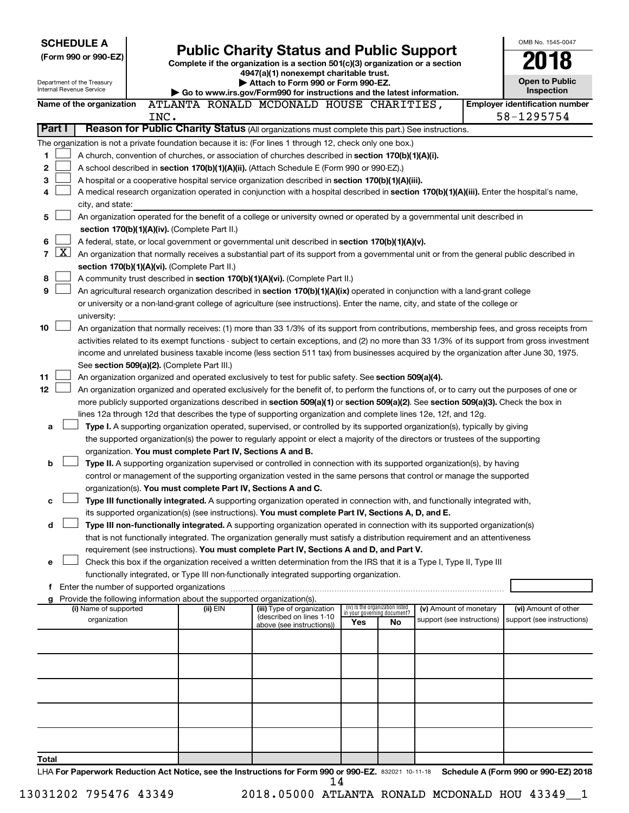| <b>SCHEDULE A</b>                                                                                                                                        |      |                                                                        |                                                                                                                                                                                                                                                                |     |                                                                |                            | OMB No. 1545-0047                                   |
|----------------------------------------------------------------------------------------------------------------------------------------------------------|------|------------------------------------------------------------------------|----------------------------------------------------------------------------------------------------------------------------------------------------------------------------------------------------------------------------------------------------------------|-----|----------------------------------------------------------------|----------------------------|-----------------------------------------------------|
| <b>Public Charity Status and Public Support</b><br>(Form 990 or 990-EZ)<br>Complete if the organization is a section 501(c)(3) organization or a section |      |                                                                        |                                                                                                                                                                                                                                                                |     |                                                                |                            |                                                     |
|                                                                                                                                                          |      |                                                                        | 4947(a)(1) nonexempt charitable trust.                                                                                                                                                                                                                         |     |                                                                |                            |                                                     |
| Department of the Treasury<br>Internal Revenue Service                                                                                                   |      |                                                                        | Attach to Form 990 or Form 990-EZ.                                                                                                                                                                                                                             |     |                                                                |                            | <b>Open to Public</b>                               |
|                                                                                                                                                          |      |                                                                        | Go to www.irs.gov/Form990 for instructions and the latest information.                                                                                                                                                                                         |     |                                                                |                            | Inspection                                          |
| Name of the organization                                                                                                                                 | INC. |                                                                        | ATLANTA RONALD MCDONALD HOUSE CHARITIES,                                                                                                                                                                                                                       |     |                                                                |                            | <b>Employer identification number</b><br>58-1295754 |
| Part I                                                                                                                                                   |      |                                                                        | Reason for Public Charity Status (All organizations must complete this part.) See instructions.                                                                                                                                                                |     |                                                                |                            |                                                     |
| The organization is not a private foundation because it is: (For lines 1 through 12, check only one box.)                                                |      |                                                                        |                                                                                                                                                                                                                                                                |     |                                                                |                            |                                                     |
| 1                                                                                                                                                        |      |                                                                        | A church, convention of churches, or association of churches described in section 170(b)(1)(A)(i).                                                                                                                                                             |     |                                                                |                            |                                                     |
| $\mathbf{2}$                                                                                                                                             |      |                                                                        | A school described in section 170(b)(1)(A)(ii). (Attach Schedule E (Form 990 or 990-EZ).)                                                                                                                                                                      |     |                                                                |                            |                                                     |
| 3                                                                                                                                                        |      |                                                                        | A hospital or a cooperative hospital service organization described in section 170(b)(1)(A)(iii).                                                                                                                                                              |     |                                                                |                            |                                                     |
| 4                                                                                                                                                        |      |                                                                        | A medical research organization operated in conjunction with a hospital described in section 170(b)(1)(A)(iii). Enter the hospital's name,                                                                                                                     |     |                                                                |                            |                                                     |
| city, and state:                                                                                                                                         |      |                                                                        |                                                                                                                                                                                                                                                                |     |                                                                |                            |                                                     |
| 5                                                                                                                                                        |      |                                                                        | An organization operated for the benefit of a college or university owned or operated by a governmental unit described in                                                                                                                                      |     |                                                                |                            |                                                     |
|                                                                                                                                                          |      | section 170(b)(1)(A)(iv). (Complete Part II.)                          |                                                                                                                                                                                                                                                                |     |                                                                |                            |                                                     |
| 6                                                                                                                                                        |      |                                                                        | A federal, state, or local government or governmental unit described in section $170(b)(1)(A)(v)$ .                                                                                                                                                            |     |                                                                |                            |                                                     |
| $\mathbf{X}$<br>7                                                                                                                                        |      |                                                                        | An organization that normally receives a substantial part of its support from a governmental unit or from the general public described in                                                                                                                      |     |                                                                |                            |                                                     |
| 8                                                                                                                                                        |      | section 170(b)(1)(A)(vi). (Complete Part II.)                          | A community trust described in section 170(b)(1)(A)(vi). (Complete Part II.)                                                                                                                                                                                   |     |                                                                |                            |                                                     |
| 9                                                                                                                                                        |      |                                                                        | An agricultural research organization described in section 170(b)(1)(A)(ix) operated in conjunction with a land-grant college                                                                                                                                  |     |                                                                |                            |                                                     |
|                                                                                                                                                          |      |                                                                        | or university or a non-land-grant college of agriculture (see instructions). Enter the name, city, and state of the college or                                                                                                                                 |     |                                                                |                            |                                                     |
| university:                                                                                                                                              |      |                                                                        |                                                                                                                                                                                                                                                                |     |                                                                |                            |                                                     |
| 10                                                                                                                                                       |      |                                                                        | An organization that normally receives: (1) more than 33 1/3% of its support from contributions, membership fees, and gross receipts from                                                                                                                      |     |                                                                |                            |                                                     |
|                                                                                                                                                          |      |                                                                        | activities related to its exempt functions - subject to certain exceptions, and (2) no more than 33 1/3% of its support from gross investment                                                                                                                  |     |                                                                |                            |                                                     |
|                                                                                                                                                          |      |                                                                        | income and unrelated business taxable income (less section 511 tax) from businesses acquired by the organization after June 30, 1975.                                                                                                                          |     |                                                                |                            |                                                     |
|                                                                                                                                                          |      | See section 509(a)(2). (Complete Part III.)                            |                                                                                                                                                                                                                                                                |     |                                                                |                            |                                                     |
| 11                                                                                                                                                       |      |                                                                        | An organization organized and operated exclusively to test for public safety. See section 509(a)(4).                                                                                                                                                           |     |                                                                |                            |                                                     |
| 12                                                                                                                                                       |      |                                                                        | An organization organized and operated exclusively for the benefit of, to perform the functions of, or to carry out the purposes of one or                                                                                                                     |     |                                                                |                            |                                                     |
|                                                                                                                                                          |      |                                                                        | more publicly supported organizations described in section 509(a)(1) or section 509(a)(2). See section 509(a)(3). Check the box in                                                                                                                             |     |                                                                |                            |                                                     |
|                                                                                                                                                          |      |                                                                        | lines 12a through 12d that describes the type of supporting organization and complete lines 12e, 12f, and 12g.                                                                                                                                                 |     |                                                                |                            |                                                     |
| a                                                                                                                                                        |      |                                                                        | Type I. A supporting organization operated, supervised, or controlled by its supported organization(s), typically by giving<br>the supported organization(s) the power to regularly appoint or elect a majority of the directors or trustees of the supporting |     |                                                                |                            |                                                     |
|                                                                                                                                                          |      | organization. You must complete Part IV, Sections A and B.             |                                                                                                                                                                                                                                                                |     |                                                                |                            |                                                     |
| b                                                                                                                                                        |      |                                                                        | Type II. A supporting organization supervised or controlled in connection with its supported organization(s), by having                                                                                                                                        |     |                                                                |                            |                                                     |
|                                                                                                                                                          |      |                                                                        | control or management of the supporting organization vested in the same persons that control or manage the supported                                                                                                                                           |     |                                                                |                            |                                                     |
|                                                                                                                                                          |      | organization(s). You must complete Part IV, Sections A and C.          |                                                                                                                                                                                                                                                                |     |                                                                |                            |                                                     |
| с                                                                                                                                                        |      |                                                                        | Type III functionally integrated. A supporting organization operated in connection with, and functionally integrated with,                                                                                                                                     |     |                                                                |                            |                                                     |
|                                                                                                                                                          |      |                                                                        | its supported organization(s) (see instructions). You must complete Part IV, Sections A, D, and E.                                                                                                                                                             |     |                                                                |                            |                                                     |
| d                                                                                                                                                        |      |                                                                        | Type III non-functionally integrated. A supporting organization operated in connection with its supported organization(s)                                                                                                                                      |     |                                                                |                            |                                                     |
|                                                                                                                                                          |      |                                                                        | that is not functionally integrated. The organization generally must satisfy a distribution requirement and an attentiveness                                                                                                                                   |     |                                                                |                            |                                                     |
|                                                                                                                                                          |      |                                                                        | requirement (see instructions). You must complete Part IV, Sections A and D, and Part V.                                                                                                                                                                       |     |                                                                |                            |                                                     |
| е                                                                                                                                                        |      |                                                                        | Check this box if the organization received a written determination from the IRS that it is a Type I, Type II, Type III<br>functionally integrated, or Type III non-functionally integrated supporting organization.                                           |     |                                                                |                            |                                                     |
|                                                                                                                                                          |      |                                                                        |                                                                                                                                                                                                                                                                |     |                                                                |                            |                                                     |
| g                                                                                                                                                        |      | Provide the following information about the supported organization(s). |                                                                                                                                                                                                                                                                |     |                                                                |                            |                                                     |
| (i) Name of supported                                                                                                                                    |      | (ii) EIN                                                               | (iii) Type of organization                                                                                                                                                                                                                                     |     | (iv) Is the organization listed<br>in vour governing document? | (v) Amount of monetary     | (vi) Amount of other                                |
| organization                                                                                                                                             |      |                                                                        | (described on lines 1-10<br>above (see instructions))                                                                                                                                                                                                          | Yes | No                                                             | support (see instructions) | support (see instructions)                          |
|                                                                                                                                                          |      |                                                                        |                                                                                                                                                                                                                                                                |     |                                                                |                            |                                                     |
|                                                                                                                                                          |      |                                                                        |                                                                                                                                                                                                                                                                |     |                                                                |                            |                                                     |
|                                                                                                                                                          |      |                                                                        |                                                                                                                                                                                                                                                                |     |                                                                |                            |                                                     |
|                                                                                                                                                          |      |                                                                        |                                                                                                                                                                                                                                                                |     |                                                                |                            |                                                     |
|                                                                                                                                                          |      |                                                                        |                                                                                                                                                                                                                                                                |     |                                                                |                            |                                                     |
|                                                                                                                                                          |      |                                                                        |                                                                                                                                                                                                                                                                |     |                                                                |                            |                                                     |
|                                                                                                                                                          |      |                                                                        |                                                                                                                                                                                                                                                                |     |                                                                |                            |                                                     |
|                                                                                                                                                          |      |                                                                        |                                                                                                                                                                                                                                                                |     |                                                                |                            |                                                     |
|                                                                                                                                                          |      |                                                                        |                                                                                                                                                                                                                                                                |     |                                                                |                            |                                                     |
| Total                                                                                                                                                    |      |                                                                        |                                                                                                                                                                                                                                                                |     |                                                                |                            |                                                     |
|                                                                                                                                                          |      |                                                                        | UA For Danoruark Poduction Act Notice, see the Instructions for Form 000 or 000 FZ, seeses se see Rahodule A (Form 000 or 000 FZ) 2012                                                                                                                         |     |                                                                |                            |                                                     |

832021 10-11-18 **For Paperwork Reduction Act Notice, see the Instructions for Form 990 or 990-EZ. Schedule A (Form 990 or 990-EZ) 2018** LHA For Paperwork Reduction Act Notice, see the Instructions for Form 14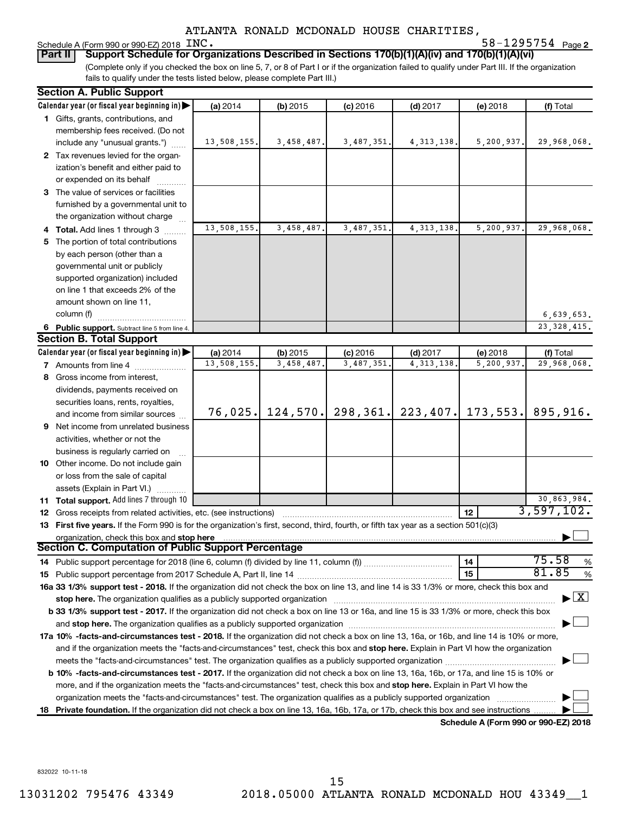# Schedule A (Form 990 or 990-EZ) 2018 INC.<br>**Part II** | Support Schedule for Orga

**2** INC. 58-1295754  $_{\text{Page 2}}$ 

(Complete only if you checked the box on line 5, 7, or 8 of Part I or if the organization failed to qualify under Part III. If the organization fails to qualify under the tests listed below, please complete Part III.) **Bupport Schedule for Organizations Described in Sections 170(b)(1)(A)(iv) and 170(b)(1)(A)(vi)** 

|    | <b>Section A. Public Support</b>                                                                                                           |                         |                          |                         |                           |                                      |                                    |
|----|--------------------------------------------------------------------------------------------------------------------------------------------|-------------------------|--------------------------|-------------------------|---------------------------|--------------------------------------|------------------------------------|
|    | Calendar year (or fiscal year beginning in)                                                                                                | (a) 2014                | (b) 2015                 | $(c)$ 2016              | $(d)$ 2017                | (e) 2018                             | (f) Total                          |
|    | 1 Gifts, grants, contributions, and                                                                                                        |                         |                          |                         |                           |                                      |                                    |
|    | membership fees received. (Do not                                                                                                          |                         |                          |                         |                           |                                      |                                    |
|    | include any "unusual grants.")                                                                                                             | 13,508,155.             | 3,458,487.               | 3,487,351.              | 4, 313, 138.              | 5,200,937.                           | 29,968,068.                        |
|    | 2 Tax revenues levied for the organ-                                                                                                       |                         |                          |                         |                           |                                      |                                    |
|    | ization's benefit and either paid to                                                                                                       |                         |                          |                         |                           |                                      |                                    |
|    | or expended on its behalf                                                                                                                  |                         |                          |                         |                           |                                      |                                    |
|    | 3 The value of services or facilities                                                                                                      |                         |                          |                         |                           |                                      |                                    |
|    | furnished by a governmental unit to                                                                                                        |                         |                          |                         |                           |                                      |                                    |
|    | the organization without charge                                                                                                            |                         |                          |                         |                           |                                      |                                    |
|    | 4 Total. Add lines 1 through 3                                                                                                             | 13,508,155.             | 3,458,487.               | 3,487,351               | 4, 313, 138.              | 5,200,937.                           | 29,968,068.                        |
| 5. | The portion of total contributions                                                                                                         |                         |                          |                         |                           |                                      |                                    |
|    | by each person (other than a                                                                                                               |                         |                          |                         |                           |                                      |                                    |
|    | governmental unit or publicly                                                                                                              |                         |                          |                         |                           |                                      |                                    |
|    | supported organization) included                                                                                                           |                         |                          |                         |                           |                                      |                                    |
|    | on line 1 that exceeds 2% of the                                                                                                           |                         |                          |                         |                           |                                      |                                    |
|    | amount shown on line 11,                                                                                                                   |                         |                          |                         |                           |                                      |                                    |
|    | column (f)                                                                                                                                 |                         |                          |                         |                           |                                      | 6,639,653.                         |
|    |                                                                                                                                            |                         |                          |                         |                           |                                      | 23, 328, 415.                      |
|    | 6 Public support. Subtract line 5 from line 4.<br><b>Section B. Total Support</b>                                                          |                         |                          |                         |                           |                                      |                                    |
|    | Calendar year (or fiscal year beginning in)                                                                                                |                         |                          |                         |                           |                                      |                                    |
|    |                                                                                                                                            | (a) 2014<br>13,508,155. | $(b)$ 2015<br>3,458,487. | $(c)$ 2016<br>3,487,351 | $(d)$ 2017<br>4, 313, 138 | (e) 2018<br>5,200,937                | (f) Total<br>29,968,068.           |
|    | <b>7</b> Amounts from line 4                                                                                                               |                         |                          |                         |                           |                                      |                                    |
| 8  | Gross income from interest,                                                                                                                |                         |                          |                         |                           |                                      |                                    |
|    | dividends, payments received on                                                                                                            |                         |                          |                         |                           |                                      |                                    |
|    | securities loans, rents, royalties,                                                                                                        |                         |                          | 298, 361.               |                           |                                      |                                    |
|    | and income from similar sources                                                                                                            | 76,025.                 | 124,570.                 |                         | 223, 407.                 | 173,553.                             | 895,916.                           |
|    | <b>9</b> Net income from unrelated business                                                                                                |                         |                          |                         |                           |                                      |                                    |
|    | activities, whether or not the                                                                                                             |                         |                          |                         |                           |                                      |                                    |
|    | business is regularly carried on                                                                                                           |                         |                          |                         |                           |                                      |                                    |
|    | 10 Other income. Do not include gain                                                                                                       |                         |                          |                         |                           |                                      |                                    |
|    | or loss from the sale of capital                                                                                                           |                         |                          |                         |                           |                                      |                                    |
|    | assets (Explain in Part VI.)                                                                                                               |                         |                          |                         |                           |                                      |                                    |
|    | 11 Total support. Add lines 7 through 10                                                                                                   |                         |                          |                         |                           |                                      | 30,863,984.                        |
|    | <b>12</b> Gross receipts from related activities, etc. (see instructions)                                                                  |                         |                          |                         |                           | 12                                   | $\overline{3}$ , 597, 102.         |
|    | 13 First five years. If the Form 990 is for the organization's first, second, third, fourth, or fifth tax year as a section 501(c)(3)      |                         |                          |                         |                           |                                      |                                    |
|    | organization, check this box and stop here                                                                                                 |                         |                          |                         |                           |                                      |                                    |
|    | <b>Section C. Computation of Public Support Percentage</b>                                                                                 |                         |                          |                         |                           |                                      |                                    |
|    |                                                                                                                                            |                         |                          |                         |                           | 14                                   | 75.58<br>%                         |
|    |                                                                                                                                            |                         |                          |                         |                           | 15                                   | 81.85<br>%                         |
|    | 16a 33 1/3% support test - 2018. If the organization did not check the box on line 13, and line 14 is 33 1/3% or more, check this box and  |                         |                          |                         |                           |                                      |                                    |
|    |                                                                                                                                            |                         |                          |                         |                           |                                      | $\blacktriangleright$ $\mathbf{X}$ |
|    | b 33 1/3% support test - 2017. If the organization did not check a box on line 13 or 16a, and line 15 is 33 1/3% or more, check this box   |                         |                          |                         |                           |                                      |                                    |
|    |                                                                                                                                            |                         |                          |                         |                           |                                      |                                    |
|    | 17a 10% -facts-and-circumstances test - 2018. If the organization did not check a box on line 13, 16a, or 16b, and line 14 is 10% or more, |                         |                          |                         |                           |                                      |                                    |
|    | and if the organization meets the "facts-and-circumstances" test, check this box and stop here. Explain in Part VI how the organization    |                         |                          |                         |                           |                                      |                                    |
|    |                                                                                                                                            |                         |                          |                         |                           |                                      |                                    |
|    | b 10% -facts-and-circumstances test - 2017. If the organization did not check a box on line 13, 16a, 16b, or 17a, and line 15 is 10% or    |                         |                          |                         |                           |                                      |                                    |
|    | more, and if the organization meets the "facts-and-circumstances" test, check this box and stop here. Explain in Part VI how the           |                         |                          |                         |                           |                                      |                                    |
|    | organization meets the "facts-and-circumstances" test. The organization qualifies as a publicly supported organization                     |                         |                          |                         |                           |                                      |                                    |
| 18 | Private foundation. If the organization did not check a box on line 13, 16a, 16b, 17a, or 17b, check this box and see instructions         |                         |                          |                         |                           |                                      |                                    |
|    |                                                                                                                                            |                         |                          |                         |                           | Schodule A (Form 990 or 990-F7) 2018 |                                    |

**Schedule A (Form 990 or 990-EZ) 2018**

832022 10-11-18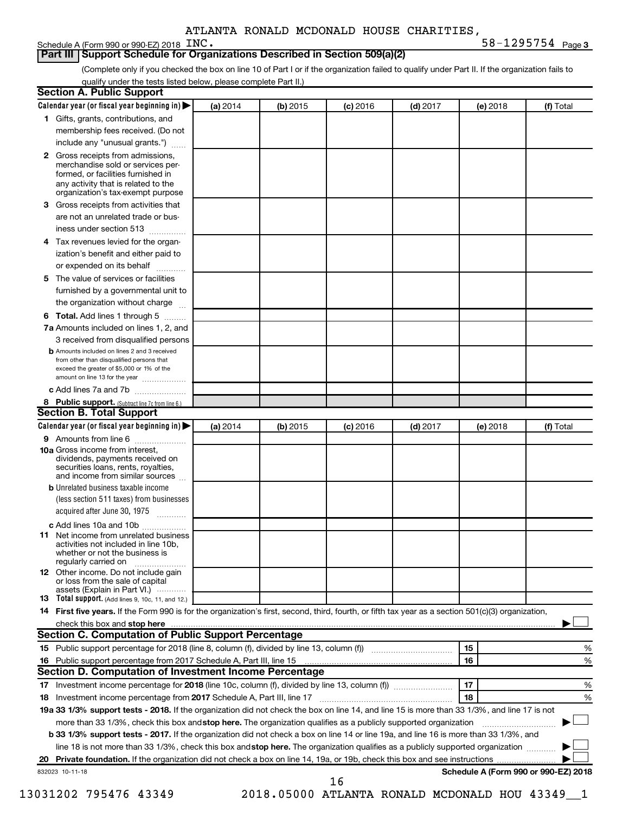### Schedule A (Form 990 or 990-EZ) 2018 INC.

**3** INC. 58-1295754  $_{\text{Page 3}}$ 

### **Part III Support Schedule for Organizations Described in Section 509(a)(2)**

(Complete only if you checked the box on line 10 of Part I or if the organization failed to qualify under Part II. If the organization fails to qualify under the tests listed below, please complete Part II.)

|              | Calendar year (or fiscal year beginning in)                                                                                                                                                                                          | (a) 2014 | (b) 2015 | $(c)$ 2016                                         | $(d)$ 2017 |    | (e) 2018 | (f) Total                            |
|--------------|--------------------------------------------------------------------------------------------------------------------------------------------------------------------------------------------------------------------------------------|----------|----------|----------------------------------------------------|------------|----|----------|--------------------------------------|
|              | 1 Gifts, grants, contributions, and                                                                                                                                                                                                  |          |          |                                                    |            |    |          |                                      |
|              | membership fees received. (Do not                                                                                                                                                                                                    |          |          |                                                    |            |    |          |                                      |
|              | include any "unusual grants.")                                                                                                                                                                                                       |          |          |                                                    |            |    |          |                                      |
| $\mathbf{2}$ | Gross receipts from admissions,<br>merchandise sold or services per-<br>formed, or facilities furnished in<br>any activity that is related to the<br>organization's tax-exempt purpose                                               |          |          |                                                    |            |    |          |                                      |
| 3.           | Gross receipts from activities that                                                                                                                                                                                                  |          |          |                                                    |            |    |          |                                      |
|              | are not an unrelated trade or bus-                                                                                                                                                                                                   |          |          |                                                    |            |    |          |                                      |
|              | iness under section 513                                                                                                                                                                                                              |          |          |                                                    |            |    |          |                                      |
| 4            | Tax revenues levied for the organ-                                                                                                                                                                                                   |          |          |                                                    |            |    |          |                                      |
|              | ization's benefit and either paid to<br>or expended on its behalf<br>.                                                                                                                                                               |          |          |                                                    |            |    |          |                                      |
| 5            | The value of services or facilities                                                                                                                                                                                                  |          |          |                                                    |            |    |          |                                      |
|              | furnished by a governmental unit to<br>the organization without charge                                                                                                                                                               |          |          |                                                    |            |    |          |                                      |
|              |                                                                                                                                                                                                                                      |          |          |                                                    |            |    |          |                                      |
| 6            | Total. Add lines 1 through 5                                                                                                                                                                                                         |          |          |                                                    |            |    |          |                                      |
|              | 7a Amounts included on lines 1, 2, and                                                                                                                                                                                               |          |          |                                                    |            |    |          |                                      |
|              | 3 received from disqualified persons<br><b>b</b> Amounts included on lines 2 and 3 received                                                                                                                                          |          |          |                                                    |            |    |          |                                      |
|              | from other than disqualified persons that<br>exceed the greater of \$5,000 or 1% of the<br>amount on line 13 for the year                                                                                                            |          |          |                                                    |            |    |          |                                      |
|              | c Add lines 7a and 7b                                                                                                                                                                                                                |          |          |                                                    |            |    |          |                                      |
|              | 8 Public support. (Subtract line 7c from line 6.)                                                                                                                                                                                    |          |          |                                                    |            |    |          |                                      |
|              | <b>Section B. Total Support</b>                                                                                                                                                                                                      |          |          |                                                    |            |    |          |                                      |
|              | Calendar year (or fiscal year beginning in)                                                                                                                                                                                          | (a) 2014 | (b) 2015 | $(c)$ 2016                                         | $(d)$ 2017 |    | (e) 2018 | (f) Total                            |
|              | 9 Amounts from line 6                                                                                                                                                                                                                |          |          |                                                    |            |    |          |                                      |
|              | <b>10a</b> Gross income from interest,<br>dividends, payments received on<br>securities loans, rents, royalties,<br>and income from similar sources                                                                                  |          |          |                                                    |            |    |          |                                      |
|              | <b>b</b> Unrelated business taxable income                                                                                                                                                                                           |          |          |                                                    |            |    |          |                                      |
|              | (less section 511 taxes) from businesses<br>acquired after June 30, 1975                                                                                                                                                             |          |          |                                                    |            |    |          |                                      |
|              | c Add lines 10a and 10b                                                                                                                                                                                                              |          |          |                                                    |            |    |          |                                      |
| 11           | Net income from unrelated business<br>activities not included in line 10b.<br>whether or not the business is<br>regularly carried on                                                                                                 |          |          |                                                    |            |    |          |                                      |
|              | <b>12</b> Other income. Do not include gain<br>or loss from the sale of capital<br>assets (Explain in Part VI.)                                                                                                                      |          |          |                                                    |            |    |          |                                      |
|              | 13 Total support. (Add lines 9, 10c, 11, and 12.)                                                                                                                                                                                    |          |          |                                                    |            |    |          |                                      |
|              | 14 First five years. If the Form 990 is for the organization's first, second, third, fourth, or fifth tax year as a section 501(c)(3) organization,                                                                                  |          |          |                                                    |            |    |          |                                      |
|              | check this box and stop here <i>manual content of the content of the state in the content of the content of the content of the content of the content of the content of the content of the content of the content of the content</i> |          |          |                                                    |            |    |          |                                      |
|              | Section C. Computation of Public Support Percentage                                                                                                                                                                                  |          |          |                                                    |            |    |          |                                      |
|              |                                                                                                                                                                                                                                      |          |          |                                                    |            | 15 |          | %                                    |
|              |                                                                                                                                                                                                                                      |          |          |                                                    |            | 16 |          | %                                    |
|              | Section D. Computation of Investment Income Percentage                                                                                                                                                                               |          |          |                                                    |            |    |          |                                      |
|              |                                                                                                                                                                                                                                      |          |          |                                                    |            | 17 |          | %                                    |
|              |                                                                                                                                                                                                                                      |          |          |                                                    |            | 18 |          | %                                    |
|              | 19a 33 1/3% support tests - 2018. If the organization did not check the box on line 14, and line 15 is more than 33 1/3%, and line 17 is not                                                                                         |          |          |                                                    |            |    |          |                                      |
|              | more than 33 1/3%, check this box and stop here. The organization qualifies as a publicly supported organization                                                                                                                     |          |          |                                                    |            |    |          |                                      |
|              | b 33 1/3% support tests - 2017. If the organization did not check a box on line 14 or line 19a, and line 16 is more than 33 1/3%, and                                                                                                |          |          |                                                    |            |    |          |                                      |
|              | line 18 is not more than 33 1/3%, check this box and stop here. The organization qualifies as a publicly supported organization                                                                                                      |          |          |                                                    |            |    |          |                                      |
|              |                                                                                                                                                                                                                                      |          |          |                                                    |            |    |          |                                      |
|              | 832023 10-11-18                                                                                                                                                                                                                      |          |          |                                                    |            |    |          | Schedule A (Form 990 or 990-EZ) 2018 |
|              | 13031202 795476 43349                                                                                                                                                                                                                |          |          | 16<br>2018.05000 ATLANTA RONALD MCDONALD HOU 43349 |            |    |          |                                      |
|              |                                                                                                                                                                                                                                      |          |          |                                                    |            |    |          |                                      |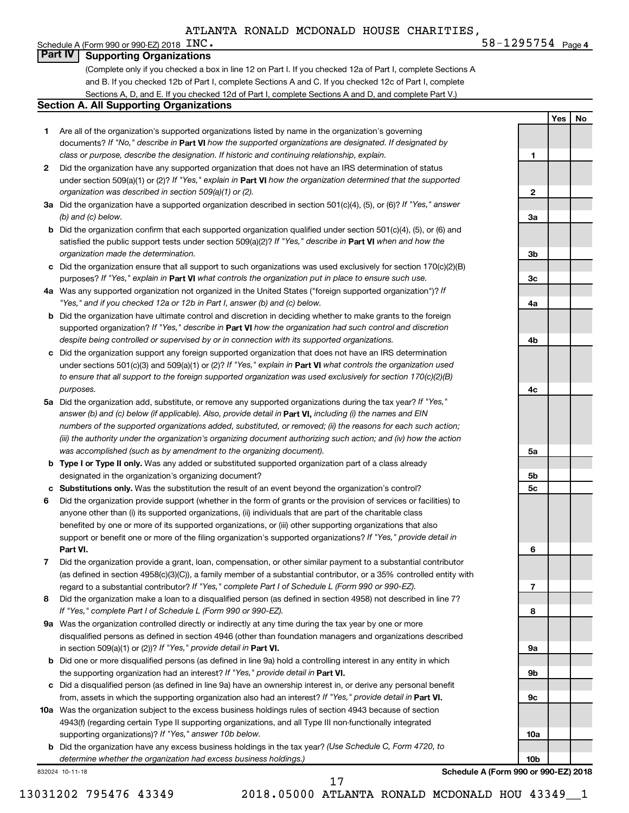### **4** INC. 58-1295754  $_{\text{Page 4}}$

**1**

**2**

**3a**

**3b**

**3c**

**4a**

**4b**

**4c**

**5a**

**5b 5c**

**6**

**7**

**8**

**9a**

**9b**

**9c**

**10a**

**10b**

**Yes No**

### Schedule A (Form 990 or 990-EZ) 2018  $\overline{INC}$ . **Part IV Supporting Organizations**

(Complete only if you checked a box in line 12 on Part I. If you checked 12a of Part I, complete Sections A and B. If you checked 12b of Part I, complete Sections A and C. If you checked 12c of Part I, complete Sections A, D, and E. If you checked 12d of Part I, complete Sections A and D, and complete Part V.)

### **Section A. All Supporting Organizations**

- **1** Are all of the organization's supported organizations listed by name in the organization's governing documents? If "No," describe in Part VI how the supported organizations are designated. If designated by *class or purpose, describe the designation. If historic and continuing relationship, explain.*
- **2** Did the organization have any supported organization that does not have an IRS determination of status under section 509(a)(1) or (2)? If "Yes," explain in Part **VI** how the organization determined that the supported *organization was described in section 509(a)(1) or (2).*
- **3a** Did the organization have a supported organization described in section 501(c)(4), (5), or (6)? If "Yes," answer *(b) and (c) below.*
- **b** Did the organization confirm that each supported organization qualified under section 501(c)(4), (5), or (6) and satisfied the public support tests under section 509(a)(2)? If "Yes," describe in Part VI when and how the *organization made the determination.*
- **c** Did the organization ensure that all support to such organizations was used exclusively for section 170(c)(2)(B) purposes? If "Yes," explain in Part VI what controls the organization put in place to ensure such use.
- **4 a** *If* Was any supported organization not organized in the United States ("foreign supported organization")? *"Yes," and if you checked 12a or 12b in Part I, answer (b) and (c) below.*
- **b** Did the organization have ultimate control and discretion in deciding whether to make grants to the foreign supported organization? If "Yes," describe in Part VI how the organization had such control and discretion *despite being controlled or supervised by or in connection with its supported organizations.*
- **c** Did the organization support any foreign supported organization that does not have an IRS determination under sections 501(c)(3) and 509(a)(1) or (2)? If "Yes," explain in Part VI what controls the organization used *to ensure that all support to the foreign supported organization was used exclusively for section 170(c)(2)(B) purposes.*
- **5a** Did the organization add, substitute, or remove any supported organizations during the tax year? If "Yes," answer (b) and (c) below (if applicable). Also, provide detail in **Part VI,** including (i) the names and EIN *numbers of the supported organizations added, substituted, or removed; (ii) the reasons for each such action; (iii) the authority under the organization's organizing document authorizing such action; and (iv) how the action was accomplished (such as by amendment to the organizing document).*
- **b** Type I or Type II only. Was any added or substituted supported organization part of a class already designated in the organization's organizing document?
- **c Substitutions only.**  Was the substitution the result of an event beyond the organization's control?
- **6** Did the organization provide support (whether in the form of grants or the provision of services or facilities) to **Part VI.** support or benefit one or more of the filing organization's supported organizations? If "Yes," provide detail in anyone other than (i) its supported organizations, (ii) individuals that are part of the charitable class benefited by one or more of its supported organizations, or (iii) other supporting organizations that also
- **7** Did the organization provide a grant, loan, compensation, or other similar payment to a substantial contributor regard to a substantial contributor? If "Yes," complete Part I of Schedule L (Form 990 or 990-EZ). (as defined in section 4958(c)(3)(C)), a family member of a substantial contributor, or a 35% controlled entity with
- **8** Did the organization make a loan to a disqualified person (as defined in section 4958) not described in line 7? *If "Yes," complete Part I of Schedule L (Form 990 or 990-EZ).*
- **9 a** Was the organization controlled directly or indirectly at any time during the tax year by one or more in section 509(a)(1) or (2))? If "Yes," provide detail in **Part VI.** disqualified persons as defined in section 4946 (other than foundation managers and organizations described
- **b** Did one or more disqualified persons (as defined in line 9a) hold a controlling interest in any entity in which the supporting organization had an interest? If "Yes," provide detail in Part VI.
- **c** Did a disqualified person (as defined in line 9a) have an ownership interest in, or derive any personal benefit from, assets in which the supporting organization also had an interest? If "Yes," provide detail in Part VI.
- **10 a** Was the organization subject to the excess business holdings rules of section 4943 because of section supporting organizations)? If "Yes," answer 10b below. 4943(f) (regarding certain Type II supporting organizations, and all Type III non-functionally integrated
	- **b** Did the organization have any excess business holdings in the tax year? (Use Schedule C, Form 4720, to *determine whether the organization had excess business holdings.)*

832024 10-11-18

**Schedule A (Form 990 or 990-EZ) 2018**

13031202 795476 43349 2018.05000 ATLANTA RONALD MCDONALD HOU 43349\_\_1

17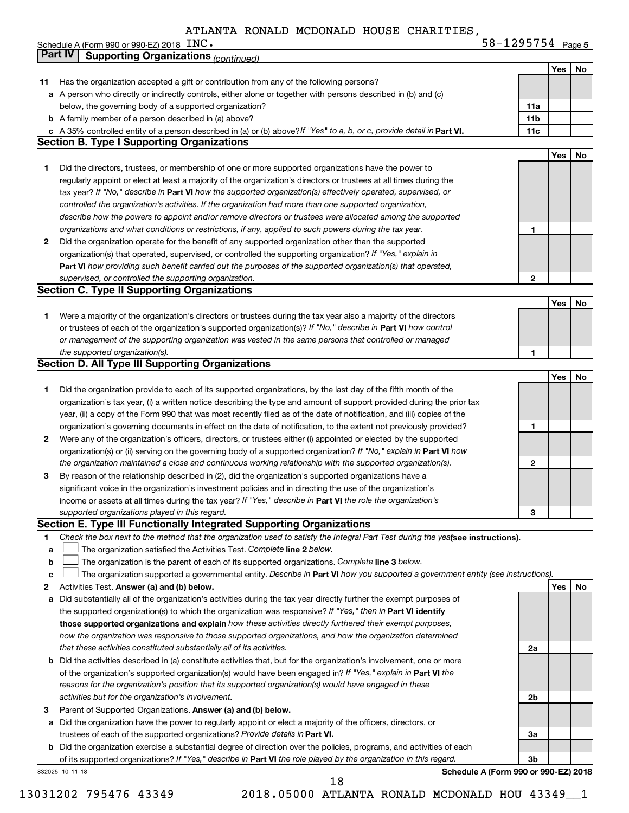|                | Schedule A (Form 990 or 990-EZ) 2018 $\,$ $\rm{INC}$ $\rm{\bullet}$                                                             | $58 - 1295754$ Page 5                |     |    |
|----------------|---------------------------------------------------------------------------------------------------------------------------------|--------------------------------------|-----|----|
| <b>Part IV</b> | <b>Supporting Organizations (continued)</b>                                                                                     |                                      |     |    |
|                |                                                                                                                                 |                                      | Yes | No |
| 11             | Has the organization accepted a gift or contribution from any of the following persons?                                         |                                      |     |    |
|                | a A person who directly or indirectly controls, either alone or together with persons described in (b) and (c)                  |                                      |     |    |
|                | below, the governing body of a supported organization?                                                                          | 11a                                  |     |    |
|                | <b>b</b> A family member of a person described in (a) above?                                                                    | 11 <sub>b</sub>                      |     |    |
|                |                                                                                                                                 | 11c                                  |     |    |
|                | c A 35% controlled entity of a person described in (a) or (b) above? If "Yes" to a, b, or c, provide detail in Part VI.         |                                      |     |    |
|                | <b>Section B. Type I Supporting Organizations</b>                                                                               |                                      |     |    |
|                |                                                                                                                                 |                                      | Yes | No |
| 1              | Did the directors, trustees, or membership of one or more supported organizations have the power to                             |                                      |     |    |
|                | regularly appoint or elect at least a majority of the organization's directors or trustees at all times during the              |                                      |     |    |
|                | tax year? If "No," describe in Part VI how the supported organization(s) effectively operated, supervised, or                   |                                      |     |    |
|                | controlled the organization's activities. If the organization had more than one supported organization,                         |                                      |     |    |
|                | describe how the powers to appoint and/or remove directors or trustees were allocated among the supported                       |                                      |     |    |
|                | organizations and what conditions or restrictions, if any, applied to such powers during the tax year.                          | 1                                    |     |    |
| 2              | Did the organization operate for the benefit of any supported organization other than the supported                             |                                      |     |    |
|                | organization(s) that operated, supervised, or controlled the supporting organization? If "Yes," explain in                      |                                      |     |    |
|                | Part VI how providing such benefit carried out the purposes of the supported organization(s) that operated,                     |                                      |     |    |
|                | supervised, or controlled the supporting organization.                                                                          | $\mathbf{2}$                         |     |    |
|                | <b>Section C. Type II Supporting Organizations</b>                                                                              |                                      |     |    |
|                |                                                                                                                                 |                                      |     |    |
|                |                                                                                                                                 |                                      | Yes | No |
| 1.             | Were a majority of the organization's directors or trustees during the tax year also a majority of the directors                |                                      |     |    |
|                | or trustees of each of the organization's supported organization(s)? If "No," describe in <b>Part VI</b> how control            |                                      |     |    |
|                | or management of the supporting organization was vested in the same persons that controlled or managed                          |                                      |     |    |
|                | the supported organization(s).                                                                                                  | 1                                    |     |    |
|                | <b>Section D. All Type III Supporting Organizations</b>                                                                         |                                      |     |    |
|                |                                                                                                                                 |                                      | Yes | No |
| 1.             | Did the organization provide to each of its supported organizations, by the last day of the fifth month of the                  |                                      |     |    |
|                | organization's tax year, (i) a written notice describing the type and amount of support provided during the prior tax           |                                      |     |    |
|                | year, (ii) a copy of the Form 990 that was most recently filed as of the date of notification, and (iii) copies of the          |                                      |     |    |
|                | organization's governing documents in effect on the date of notification, to the extent not previously provided?                | 1                                    |     |    |
| 2              | Were any of the organization's officers, directors, or trustees either (i) appointed or elected by the supported                |                                      |     |    |
|                | organization(s) or (ii) serving on the governing body of a supported organization? If "No," explain in Part VI how              |                                      |     |    |
|                | the organization maintained a close and continuous working relationship with the supported organization(s).                     | 2                                    |     |    |
| 3              | By reason of the relationship described in (2), did the organization's supported organizations have a                           |                                      |     |    |
|                |                                                                                                                                 |                                      |     |    |
|                | significant voice in the organization's investment policies and in directing the use of the organization's                      |                                      |     |    |
|                | income or assets at all times during the tax year? If "Yes," describe in Part VI the role the organization's                    |                                      |     |    |
|                | supported organizations played in this regard.                                                                                  | 3                                    |     |    |
|                | Section E. Type III Functionally Integrated Supporting Organizations                                                            |                                      |     |    |
| 1              | Check the box next to the method that the organization used to satisfy the Integral Part Test during the yealsee instructions). |                                      |     |    |
| a              | The organization satisfied the Activities Test. Complete line 2 below.                                                          |                                      |     |    |
| b              | The organization is the parent of each of its supported organizations. Complete line 3 below.                                   |                                      |     |    |
| c              | The organization supported a governmental entity. Describe in Part VI how you supported a government entity (see instructions). |                                      |     |    |
| 2              | Activities Test. Answer (a) and (b) below.                                                                                      |                                      | Yes | No |
| a              | Did substantially all of the organization's activities during the tax year directly further the exempt purposes of              |                                      |     |    |
|                | the supported organization(s) to which the organization was responsive? If "Yes," then in Part VI identify                      |                                      |     |    |
|                | those supported organizations and explain how these activities directly furthered their exempt purposes,                        |                                      |     |    |
|                | how the organization was responsive to those supported organizations, and how the organization determined                       |                                      |     |    |
|                | that these activities constituted substantially all of its activities.                                                          | 2a                                   |     |    |
| b              | Did the activities described in (a) constitute activities that, but for the organization's involvement, one or more             |                                      |     |    |
|                | of the organization's supported organization(s) would have been engaged in? If "Yes," explain in Part VI the                    |                                      |     |    |
|                |                                                                                                                                 |                                      |     |    |
|                | reasons for the organization's position that its supported organization(s) would have engaged in these                          |                                      |     |    |
|                | activities but for the organization's involvement.                                                                              | 2b                                   |     |    |
| 3              | Parent of Supported Organizations. Answer (a) and (b) below.                                                                    |                                      |     |    |
| а              | Did the organization have the power to regularly appoint or elect a majority of the officers, directors, or                     |                                      |     |    |
|                | trustees of each of the supported organizations? Provide details in Part VI.                                                    | За                                   |     |    |
| b              | Did the organization exercise a substantial degree of direction over the policies, programs, and activities of each             |                                      |     |    |
|                | of its supported organizations? If "Yes," describe in Part VI the role played by the organization in this regard.               | 3b                                   |     |    |
|                | 832025 10-11-18                                                                                                                 | Schedule A (Form 990 or 990-EZ) 2018 |     |    |

<sup>13031202 795476 43349 2018.05000</sup> ATLANTA RONALD MCDONALD HOU 43349\_\_1 18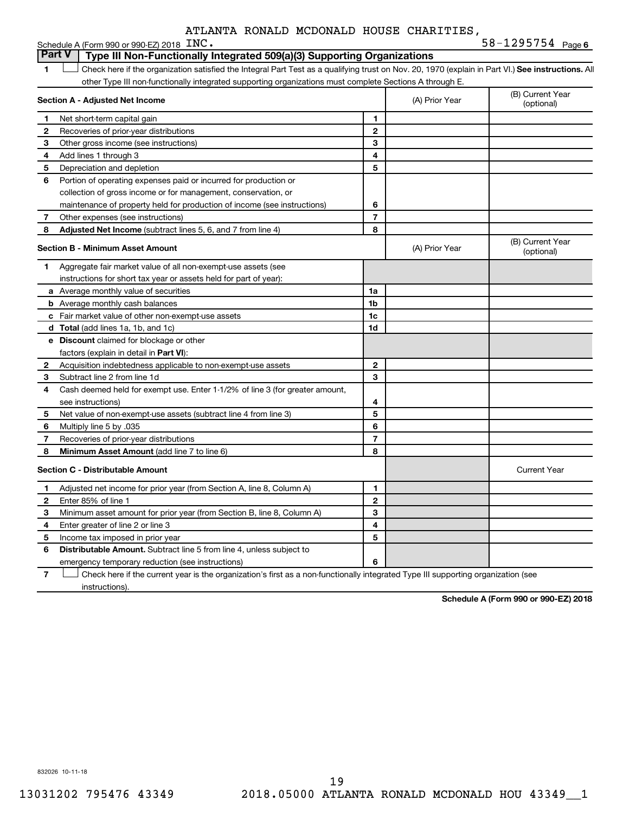| ATLANTA RONALD MCDONALD HOUSE CHARITIES, |  |  |  |  |
|------------------------------------------|--|--|--|--|
|------------------------------------------|--|--|--|--|

|              | Schedule A (Form 990 or 990-EZ) 2018 INC.                                                                                                          |                |                | $58 - 1295754$ Page 6          |
|--------------|----------------------------------------------------------------------------------------------------------------------------------------------------|----------------|----------------|--------------------------------|
|              | <b>Part V</b><br>Type III Non-Functionally Integrated 509(a)(3) Supporting Organizations                                                           |                |                |                                |
| 1            | Check here if the organization satisfied the Integral Part Test as a qualifying trust on Nov. 20, 1970 (explain in Part VI.) See instructions. All |                |                |                                |
|              | other Type III non-functionally integrated supporting organizations must complete Sections A through E.                                            |                |                |                                |
|              | Section A - Adjusted Net Income                                                                                                                    |                | (A) Prior Year | (B) Current Year<br>(optional) |
| 1            | Net short-term capital gain                                                                                                                        | 1              |                |                                |
| 2            | Recoveries of prior-year distributions                                                                                                             | $\mathbf{2}$   |                |                                |
| З            | Other gross income (see instructions)                                                                                                              | 3              |                |                                |
| 4            | Add lines 1 through 3                                                                                                                              | 4              |                |                                |
| 5            | Depreciation and depletion                                                                                                                         | 5              |                |                                |
| 6            | Portion of operating expenses paid or incurred for production or                                                                                   |                |                |                                |
|              | collection of gross income or for management, conservation, or                                                                                     |                |                |                                |
|              | maintenance of property held for production of income (see instructions)                                                                           | 6              |                |                                |
| 7            | Other expenses (see instructions)                                                                                                                  | $\overline{7}$ |                |                                |
| 8            | Adjusted Net Income (subtract lines 5, 6, and 7 from line 4)                                                                                       | 8              |                |                                |
|              | <b>Section B - Minimum Asset Amount</b>                                                                                                            |                | (A) Prior Year | (B) Current Year<br>(optional) |
| 1            | Aggregate fair market value of all non-exempt-use assets (see                                                                                      |                |                |                                |
|              | instructions for short tax year or assets held for part of year):                                                                                  |                |                |                                |
|              | a Average monthly value of securities                                                                                                              | 1a             |                |                                |
|              | <b>b</b> Average monthly cash balances                                                                                                             | 1 <sub>b</sub> |                |                                |
|              | <b>c</b> Fair market value of other non-exempt-use assets                                                                                          | 1c             |                |                                |
|              | d Total (add lines 1a, 1b, and 1c)                                                                                                                 | 1d             |                |                                |
|              | <b>e</b> Discount claimed for blockage or other                                                                                                    |                |                |                                |
|              | factors (explain in detail in Part VI):                                                                                                            |                |                |                                |
| 2            | Acquisition indebtedness applicable to non-exempt-use assets                                                                                       | $\mathbf{2}$   |                |                                |
| 3            | Subtract line 2 from line 1d                                                                                                                       | 3              |                |                                |
| 4            | Cash deemed held for exempt use. Enter 1-1/2% of line 3 (for greater amount,                                                                       |                |                |                                |
|              | see instructions)                                                                                                                                  | 4              |                |                                |
| 5            | Net value of non-exempt-use assets (subtract line 4 from line 3)                                                                                   | 5              |                |                                |
| 6            | Multiply line 5 by .035                                                                                                                            | 6              |                |                                |
| 7            | Recoveries of prior-year distributions                                                                                                             | $\overline{7}$ |                |                                |
| 8            | <b>Minimum Asset Amount (add line 7 to line 6)</b>                                                                                                 | 8              |                |                                |
|              | <b>Section C - Distributable Amount</b>                                                                                                            |                |                | <b>Current Year</b>            |
| 1.           | Adjusted net income for prior year (from Section A, line 8, Column A)                                                                              | 1              |                |                                |
| $\mathbf{2}$ | Enter 85% of line 1                                                                                                                                | $\overline{2}$ |                |                                |
| З            | Minimum asset amount for prior year (from Section B, line 8, Column A)                                                                             | 3              |                |                                |
| 4            | Enter greater of line 2 or line 3                                                                                                                  | 4              |                |                                |
| 5            | Income tax imposed in prior year                                                                                                                   | 5              |                |                                |
| 6            | <b>Distributable Amount.</b> Subtract line 5 from line 4, unless subject to                                                                        |                |                |                                |
|              | emergency temporary reduction (see instructions)                                                                                                   | 6              |                |                                |

**7** Let Check here if the current year is the organization's first as a non-functionally integrated Type III supporting organization (see instructions).

**Schedule A (Form 990 or 990-EZ) 2018**

832026 10-11-18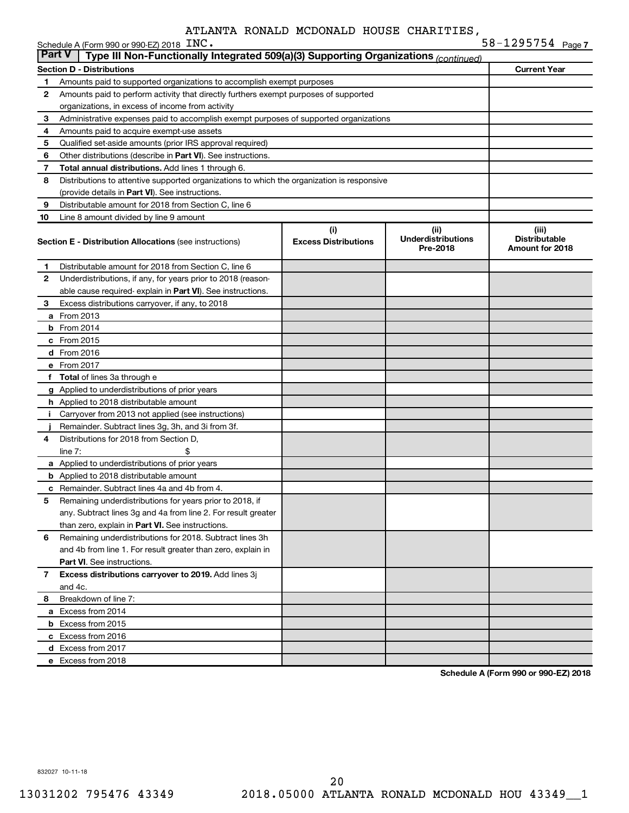|               | Schedule A (Form 990 or 990-EZ) 2018 INC.                                                  |                                    |                                               | $58 - 1295754$ Page 7                            |
|---------------|--------------------------------------------------------------------------------------------|------------------------------------|-----------------------------------------------|--------------------------------------------------|
| <b>Part V</b> | Type III Non-Functionally Integrated 509(a)(3) Supporting Organizations (continued)        |                                    |                                               |                                                  |
|               | <b>Section D - Distributions</b>                                                           |                                    |                                               | <b>Current Year</b>                              |
| 1             | Amounts paid to supported organizations to accomplish exempt purposes                      |                                    |                                               |                                                  |
| 2             | Amounts paid to perform activity that directly furthers exempt purposes of supported       |                                    |                                               |                                                  |
|               | organizations, in excess of income from activity                                           |                                    |                                               |                                                  |
| 3             | Administrative expenses paid to accomplish exempt purposes of supported organizations      |                                    |                                               |                                                  |
| 4             | Amounts paid to acquire exempt-use assets                                                  |                                    |                                               |                                                  |
| 5             | Qualified set-aside amounts (prior IRS approval required)                                  |                                    |                                               |                                                  |
| 6             | Other distributions (describe in <b>Part VI</b> ). See instructions.                       |                                    |                                               |                                                  |
| 7             | Total annual distributions. Add lines 1 through 6.                                         |                                    |                                               |                                                  |
| 8             | Distributions to attentive supported organizations to which the organization is responsive |                                    |                                               |                                                  |
|               | (provide details in Part VI). See instructions.                                            |                                    |                                               |                                                  |
| 9             | Distributable amount for 2018 from Section C, line 6                                       |                                    |                                               |                                                  |
| 10            | Line 8 amount divided by line 9 amount                                                     |                                    |                                               |                                                  |
|               | <b>Section E - Distribution Allocations (see instructions)</b>                             | (i)<br><b>Excess Distributions</b> | (ii)<br><b>Underdistributions</b><br>Pre-2018 | (iii)<br><b>Distributable</b><br>Amount for 2018 |
|               |                                                                                            |                                    |                                               |                                                  |
| 1             | Distributable amount for 2018 from Section C, line 6                                       |                                    |                                               |                                                  |
| 2             | Underdistributions, if any, for years prior to 2018 (reason-                               |                                    |                                               |                                                  |
|               | able cause required-explain in Part VI). See instructions.                                 |                                    |                                               |                                                  |
| 3             | Excess distributions carryover, if any, to 2018                                            |                                    |                                               |                                                  |
|               | <b>a</b> From 2013                                                                         |                                    |                                               |                                                  |
|               | <b>b</b> From 2014                                                                         |                                    |                                               |                                                  |
|               | c From 2015                                                                                |                                    |                                               |                                                  |
|               | d From 2016                                                                                |                                    |                                               |                                                  |
|               | e From 2017                                                                                |                                    |                                               |                                                  |
|               | f Total of lines 3a through e                                                              |                                    |                                               |                                                  |
|               | g Applied to underdistributions of prior years                                             |                                    |                                               |                                                  |
|               | h Applied to 2018 distributable amount                                                     |                                    |                                               |                                                  |
| Ť.            | Carryover from 2013 not applied (see instructions)                                         |                                    |                                               |                                                  |
|               | Remainder. Subtract lines 3g, 3h, and 3i from 3f.                                          |                                    |                                               |                                                  |
| 4             | Distributions for 2018 from Section D,                                                     |                                    |                                               |                                                  |
|               | line $7:$                                                                                  |                                    |                                               |                                                  |
|               | a Applied to underdistributions of prior years                                             |                                    |                                               |                                                  |
|               | <b>b</b> Applied to 2018 distributable amount                                              |                                    |                                               |                                                  |
|               | c Remainder. Subtract lines 4a and 4b from 4.                                              |                                    |                                               |                                                  |
|               | 5 Remaining underdistributions for years prior to 2018, if                                 |                                    |                                               |                                                  |
|               | any. Subtract lines 3q and 4a from line 2. For result greater                              |                                    |                                               |                                                  |
|               | than zero, explain in Part VI. See instructions.                                           |                                    |                                               |                                                  |
| 6             | Remaining underdistributions for 2018. Subtract lines 3h                                   |                                    |                                               |                                                  |
|               | and 4b from line 1. For result greater than zero, explain in                               |                                    |                                               |                                                  |
|               | <b>Part VI.</b> See instructions.                                                          |                                    |                                               |                                                  |
| 7             | Excess distributions carryover to 2019. Add lines 3j                                       |                                    |                                               |                                                  |
|               | and 4c.                                                                                    |                                    |                                               |                                                  |
| 8             | Breakdown of line 7:                                                                       |                                    |                                               |                                                  |
|               | a Excess from 2014                                                                         |                                    |                                               |                                                  |
|               | <b>b</b> Excess from 2015                                                                  |                                    |                                               |                                                  |
|               | c Excess from 2016                                                                         |                                    |                                               |                                                  |
|               | d Excess from 2017                                                                         |                                    |                                               |                                                  |
|               | e Excess from 2018                                                                         |                                    |                                               |                                                  |

**Schedule A (Form 990 or 990-EZ) 2018**

832027 10-11-18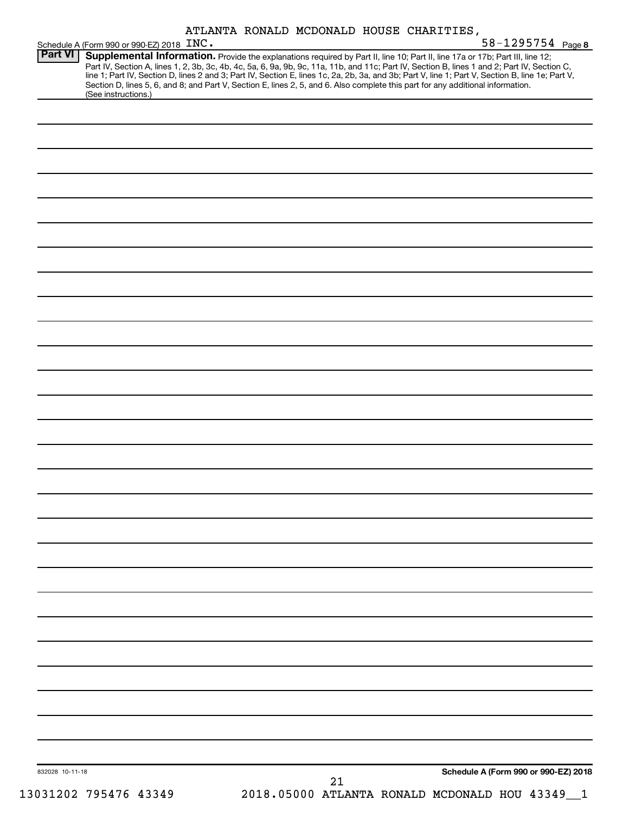| ATLANTA RONALD MCDONALD HOUSE CHARITIES, |  |  |
|------------------------------------------|--|--|
|------------------------------------------|--|--|

|                 | Schedule A (Form 990 or 990-EZ) 2018 INC.                                                                                                                                                                                                                                                                                                                         |    |                                                | 58-1295754 Page 8 |
|-----------------|-------------------------------------------------------------------------------------------------------------------------------------------------------------------------------------------------------------------------------------------------------------------------------------------------------------------------------------------------------------------|----|------------------------------------------------|-------------------|
| <b>Part VI</b>  | Supplemental Information. Provide the explanations required by Part II, line 10; Part II, line 17a or 17b; Part III, line 12;<br>Part IV, Section A, lines 1, 2, 3b, 3c, 4b, 4c, 5a, 6, 9a, 9b, 9c, 11a, 11b, and 11c, Part IV, Section B, lines 1 and 2; Part IV, Section C,<br>line 1; Part IV, Section D, lines 2 and 3; Part IV, Section E, lines 1c, 2a, 2b, |    |                                                |                   |
|                 | Section D, lines 5, 6, and 8; and Part V, Section E, lines 2, 5, and 6. Also complete this part for any additional information.<br>(See instructions.)                                                                                                                                                                                                            |    |                                                |                   |
|                 |                                                                                                                                                                                                                                                                                                                                                                   |    |                                                |                   |
|                 |                                                                                                                                                                                                                                                                                                                                                                   |    |                                                |                   |
|                 |                                                                                                                                                                                                                                                                                                                                                                   |    |                                                |                   |
|                 |                                                                                                                                                                                                                                                                                                                                                                   |    |                                                |                   |
|                 |                                                                                                                                                                                                                                                                                                                                                                   |    |                                                |                   |
|                 |                                                                                                                                                                                                                                                                                                                                                                   |    |                                                |                   |
|                 |                                                                                                                                                                                                                                                                                                                                                                   |    |                                                |                   |
|                 |                                                                                                                                                                                                                                                                                                                                                                   |    |                                                |                   |
|                 |                                                                                                                                                                                                                                                                                                                                                                   |    |                                                |                   |
|                 |                                                                                                                                                                                                                                                                                                                                                                   |    |                                                |                   |
|                 |                                                                                                                                                                                                                                                                                                                                                                   |    |                                                |                   |
|                 |                                                                                                                                                                                                                                                                                                                                                                   |    |                                                |                   |
|                 |                                                                                                                                                                                                                                                                                                                                                                   |    |                                                |                   |
|                 |                                                                                                                                                                                                                                                                                                                                                                   |    |                                                |                   |
|                 |                                                                                                                                                                                                                                                                                                                                                                   |    |                                                |                   |
|                 |                                                                                                                                                                                                                                                                                                                                                                   |    |                                                |                   |
|                 |                                                                                                                                                                                                                                                                                                                                                                   |    |                                                |                   |
|                 |                                                                                                                                                                                                                                                                                                                                                                   |    |                                                |                   |
|                 |                                                                                                                                                                                                                                                                                                                                                                   |    |                                                |                   |
|                 |                                                                                                                                                                                                                                                                                                                                                                   |    |                                                |                   |
|                 |                                                                                                                                                                                                                                                                                                                                                                   |    |                                                |                   |
|                 |                                                                                                                                                                                                                                                                                                                                                                   |    |                                                |                   |
|                 |                                                                                                                                                                                                                                                                                                                                                                   |    |                                                |                   |
|                 |                                                                                                                                                                                                                                                                                                                                                                   |    |                                                |                   |
|                 |                                                                                                                                                                                                                                                                                                                                                                   |    |                                                |                   |
|                 |                                                                                                                                                                                                                                                                                                                                                                   |    |                                                |                   |
|                 |                                                                                                                                                                                                                                                                                                                                                                   |    |                                                |                   |
|                 |                                                                                                                                                                                                                                                                                                                                                                   |    |                                                |                   |
|                 |                                                                                                                                                                                                                                                                                                                                                                   |    |                                                |                   |
|                 |                                                                                                                                                                                                                                                                                                                                                                   |    |                                                |                   |
|                 |                                                                                                                                                                                                                                                                                                                                                                   |    |                                                |                   |
|                 |                                                                                                                                                                                                                                                                                                                                                                   |    |                                                |                   |
|                 |                                                                                                                                                                                                                                                                                                                                                                   |    |                                                |                   |
|                 |                                                                                                                                                                                                                                                                                                                                                                   |    |                                                |                   |
| 832028 10-11-18 |                                                                                                                                                                                                                                                                                                                                                                   | 21 | Schedule A (Form 990 or 990-EZ) 2018           |                   |
|                 | 13031202 795476 43349                                                                                                                                                                                                                                                                                                                                             |    | 2018.05000 ATLANTA RONALD MCDONALD HOU 43349_1 |                   |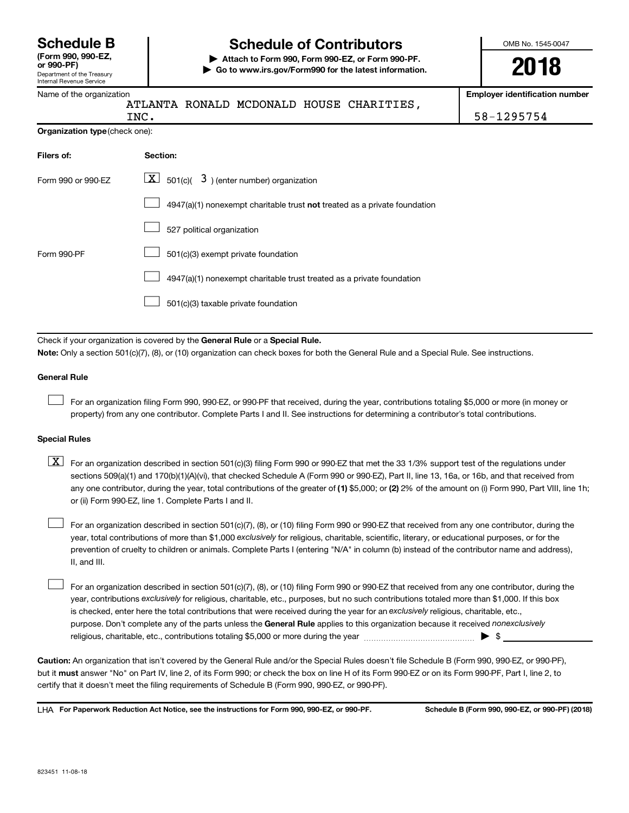Department of the Treasury Internal Revenue Service

# **Schedule B Schedule of Contributors**

**or 990-PF) | Attach to Form 990, Form 990-EZ, or Form 990-PF. | Go to www.irs.gov/Form990 for the latest information.** OMB No. 1545-0047

Name of the organization

| . |  | ATLANTA RONALD MCDONALD HOUSE CHARITIES, |  |
|---|--|------------------------------------------|--|
|   |  |                                          |  |

**Employer identification number**

| 1295754<br>8. |  |
|---------------|--|
|---------------|--|

|                                       | INC.                                                                               | 58-1295754 |
|---------------------------------------|------------------------------------------------------------------------------------|------------|
| <b>Organization type (check one):</b> |                                                                                    |            |
| Filers of:                            | Section:                                                                           |            |
| Form 990 or 990-EZ                    | $\boxed{\textbf{X}}$ 501(c)( 3) (enter number) organization                        |            |
|                                       | $4947(a)(1)$ nonexempt charitable trust <b>not</b> treated as a private foundation |            |
|                                       | 527 political organization                                                         |            |
| Form 990-PF                           | 501(c)(3) exempt private foundation                                                |            |
|                                       | 4947(a)(1) nonexempt charitable trust treated as a private foundation              |            |
|                                       | 501(c)(3) taxable private foundation                                               |            |

Check if your organization is covered by the General Rule or a Special Rule.

**Note:**  Only a section 501(c)(7), (8), or (10) organization can check boxes for both the General Rule and a Special Rule. See instructions.

### **General Rule**

 $\Box$ 

For an organization filing Form 990, 990-EZ, or 990-PF that received, during the year, contributions totaling \$5,000 or more (in money or property) from any one contributor. Complete Parts I and II. See instructions for determining a contributor's total contributions.

### **Special Rules**

any one contributor, during the year, total contributions of the greater of (1) \$5,000; or (2) 2% of the amount on (i) Form 990, Part VIII, line 1h;  $\boxed{\text{X}}$  For an organization described in section 501(c)(3) filing Form 990 or 990-EZ that met the 33 1/3% support test of the regulations under sections 509(a)(1) and 170(b)(1)(A)(vi), that checked Schedule A (Form 990 or 990-EZ), Part II, line 13, 16a, or 16b, and that received from or (ii) Form 990-EZ, line 1. Complete Parts I and II.

year, total contributions of more than \$1,000 *exclusively* for religious, charitable, scientific, literary, or educational purposes, or for the For an organization described in section 501(c)(7), (8), or (10) filing Form 990 or 990-EZ that received from any one contributor, during the prevention of cruelty to children or animals. Complete Parts I (entering "N/A" in column (b) instead of the contributor name and address), II, and III.  $\Box$ 

purpose. Don't complete any of the parts unless the General Rule applies to this organization because it received nonexclusively year, contributions exclusively for religious, charitable, etc., purposes, but no such contributions totaled more than \$1,000. If this box is checked, enter here the total contributions that were received during the year for an exclusively religious, charitable, etc., For an organization described in section 501(c)(7), (8), or (10) filing Form 990 or 990-EZ that received from any one contributor, during the religious, charitable, etc., contributions totaling \$5,000 or more during the year  $~\ldots\ldots\ldots\ldots\ldots\ldots\ldots\ldots\blacktriangleright~$ \$  $\Box$ 

**Caution:**  An organization that isn't covered by the General Rule and/or the Special Rules doesn't file Schedule B (Form 990, 990-EZ, or 990-PF),  **must** but it answer "No" on Part IV, line 2, of its Form 990; or check the box on line H of its Form 990-EZ or on its Form 990-PF, Part I, line 2, to certify that it doesn't meet the filing requirements of Schedule B (Form 990, 990-EZ, or 990-PF).

**For Paperwork Reduction Act Notice, see the instructions for Form 990, 990-EZ, or 990-PF. Schedule B (Form 990, 990-EZ, or 990-PF) (2018)** LHA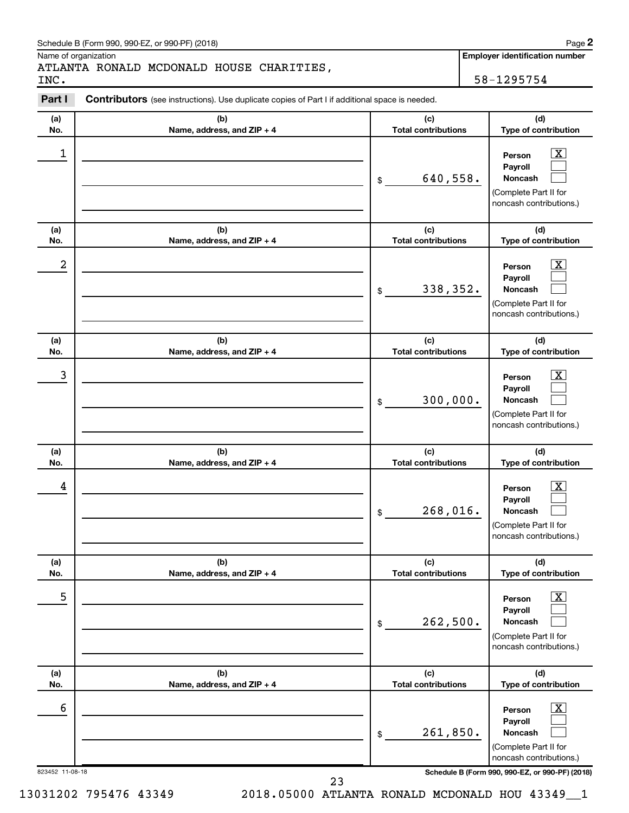### Schedule B (Form 990, 990-EZ, or 990-PF) (2018)

Name of organization

ATLANTA RONALD MCDONALD HOUSE CHARITIES, INC. 58-1295754

**Employer identification number**

**2**

#### 823452 11-08-18 **Schedule B (Form 990, 990-EZ, or 990-PF) (2018) (a) No. (b) Name, address, and ZIP + 4 (c) Total contributions (d) Type of contribution Person Payroll Noncash (a) No. (b) Name, address, and ZIP + 4 (c) Total contributions (d) Type of contribution Person Payroll Noncash (a) No. (b) Name, address, and ZIP + 4 (c) Total contributions (d) Type of contribution Person Payroll Noncash (a) No. (b) Name, address, and ZIP + 4 (c) Total contributions (d) Type of contribution Person Payroll Noncash (a) No. (b) Name, address, and ZIP + 4 (c) Total contributions (d) Type of contribution Person Payroll Noncash (a) No. (b) Name, address, and ZIP + 4 (c) Total contributions (d) Type of contribution Person Payroll Noncash Part I** Contributors (see instructions). Use duplicate copies of Part I if additional space is needed. \$ (Complete Part II for noncash contributions.) \$ (Complete Part II for noncash contributions.) \$ (Complete Part II for noncash contributions.) \$ (Complete Part II for noncash contributions.) \$ (Complete Part II for noncash contributions.) \$ (Complete Part II for noncash contributions.)  $\boxed{\textbf{X}}$  $\Box$  $\Box$  $\overline{\mathbf{X}}$  $\Box$  $\Box$  $\boxed{\textbf{X}}$  $\Box$  $\Box$  $\boxed{\textbf{X}}$  $\Box$  $\Box$  $\boxed{\textbf{X}}$  $\Box$  $\Box$  $\boxed{\textbf{X}}$  $\Box$  $\Box$  $\begin{array}{|c|c|c|c|c|}\hline \ \text{1} & \text{Person} & \text{X} \ \hline \end{array}$ 640,558.  $2$  Person  $\overline{\text{X}}$ 338,352.  $\begin{array}{|c|c|c|c|c|c|}\hline \text{3} & \text{Person} & \text{X} \ \hline \end{array}$ 300,000.  $\begin{array}{|c|c|c|c|c|}\hline \text{4} & \text{Person} & \text{\textbf{X}}\ \hline \end{array}$ 268,016.  $\overline{5}$  Person  $\overline{X}$ 262,500.  $\overline{6}$  Person  $\overline{X}$ 261,850.

23

13031202 795476 43349 2018.05000 ATLANTA RONALD MCDONALD HOU 43349\_\_1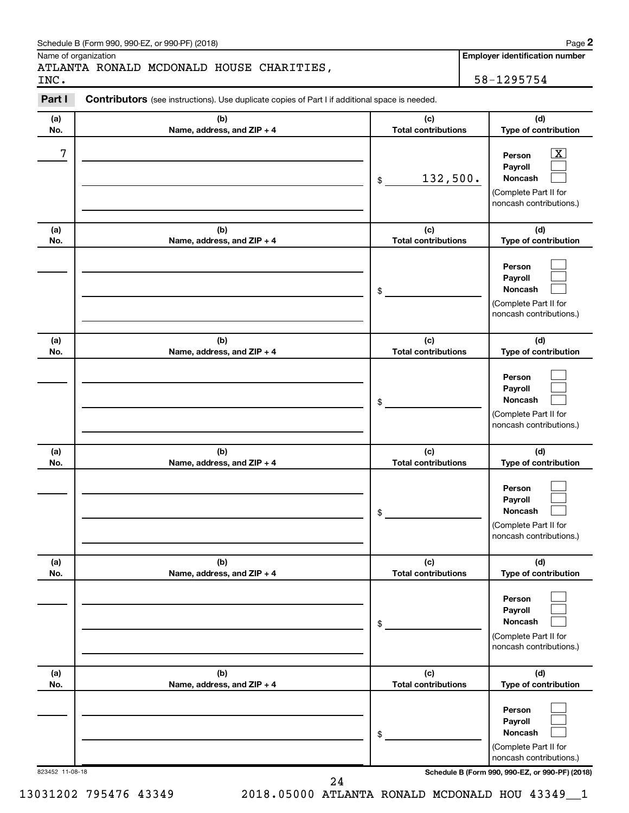### Schedule B (Form 990, 990-EZ, or 990-PF) (2018)

Name of organization

ATLANTA RONALD MCDONALD HOUSE CHARITIES, INC. 58-1295754

**Employer identification number**

#### **(a) No. (b) Name, address, and ZIP + 4 (c) Total contributions (d) Type of contribution Person Payroll Noncash (a) No. (b) Name, address, and ZIP + 4 (c) Total contributions (d) Type of contribution Person Payroll Noncash (a) No. (b) Name, address, and ZIP + 4 (c) Total contributions (d) Type of contribution Person Payroll Noncash (a) No. (b) Name, address, and ZIP + 4 (c) Total contributions (d) Type of contribution Person Payroll Noncash (a) No. (b) Name, address, and ZIP + 4 (c) Total contributions (d) Type of contribution Person Payroll Noncash (a) No. (b) Name, address, and ZIP + 4 (c) Total contributions (d) Type of contribution Person Payroll Noncash Part I** Contributors (see instructions). Use duplicate copies of Part I if additional space is needed. \$ (Complete Part II for noncash contributions.) \$ (Complete Part II for noncash contributions.) \$ (Complete Part II for noncash contributions.) \$ (Complete Part II for noncash contributions.) \$ (Complete Part II for noncash contributions.) \$ (Complete Part II for noncash contributions.)  $\boxed{\textbf{X}}$  $\Box$  $\Box$  $\Box$  $\Box$  $\Box$  $\Box$  $\Box$  $\Box$  $\Box$  $\Box$  $\Box$  $\Box$  $\Box$  $\Box$  $\Box$  $\Box$  $\Box$  $7$   $|$  Person  $\overline{\text{X}}$ 132,500.

823452 11-08-18 **Schedule B (Form 990, 990-EZ, or 990-PF) (2018)**

24

13031202 795476 43349 2018.05000 ATLANTA RONALD MCDONALD HOU 43349\_\_1

**2**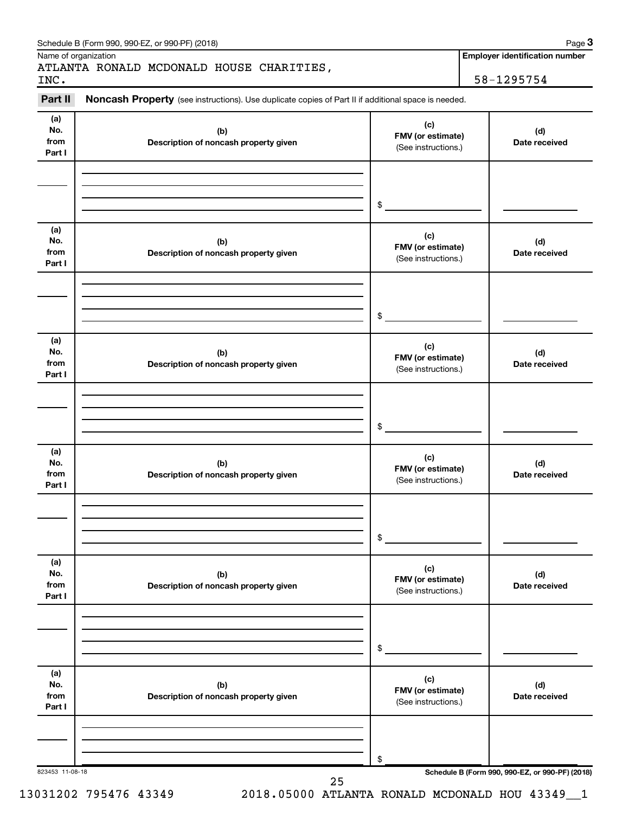| INC.                         | ATLANTA RONALD MCDONALD HOUSE CHARITIES,                                                            |                                                 | 58-1295754           |
|------------------------------|-----------------------------------------------------------------------------------------------------|-------------------------------------------------|----------------------|
| Part II                      | Noncash Property (see instructions). Use duplicate copies of Part II if additional space is needed. |                                                 |                      |
| (a)<br>No.<br>from<br>Part I | (b)<br>Description of noncash property given                                                        | (c)<br>FMV (or estimate)<br>(See instructions.) | (d)<br>Date received |
|                              |                                                                                                     | \$                                              |                      |
| (a)<br>No.<br>from<br>Part I | (b)<br>Description of noncash property given                                                        | (c)<br>FMV (or estimate)<br>(See instructions.) | (d)<br>Date received |
|                              |                                                                                                     | \$                                              |                      |
| (a)<br>No.<br>from<br>Part I | (b)<br>Description of noncash property given                                                        | (c)<br>FMV (or estimate)<br>(See instructions.) | (d)<br>Date received |
|                              |                                                                                                     | \$                                              |                      |
| (a)<br>No.<br>from<br>Part I | (b)<br>Description of noncash property given                                                        | (c)<br>FMV (or estimate)<br>(See instructions.) | (d)<br>Date received |
|                              |                                                                                                     | \$                                              |                      |
| (a)<br>No.<br>from<br>Part I | (b)<br>Description of noncash property given                                                        | (c)<br>FMV (or estimate)<br>(See instructions.) | (d)<br>Date received |
|                              |                                                                                                     | \$                                              |                      |
| (a)<br>No.<br>from<br>Part I | (b)<br>Description of noncash property given                                                        | (c)<br>FMV (or estimate)<br>(See instructions.) | (d)<br>Date received |
|                              |                                                                                                     | \$                                              |                      |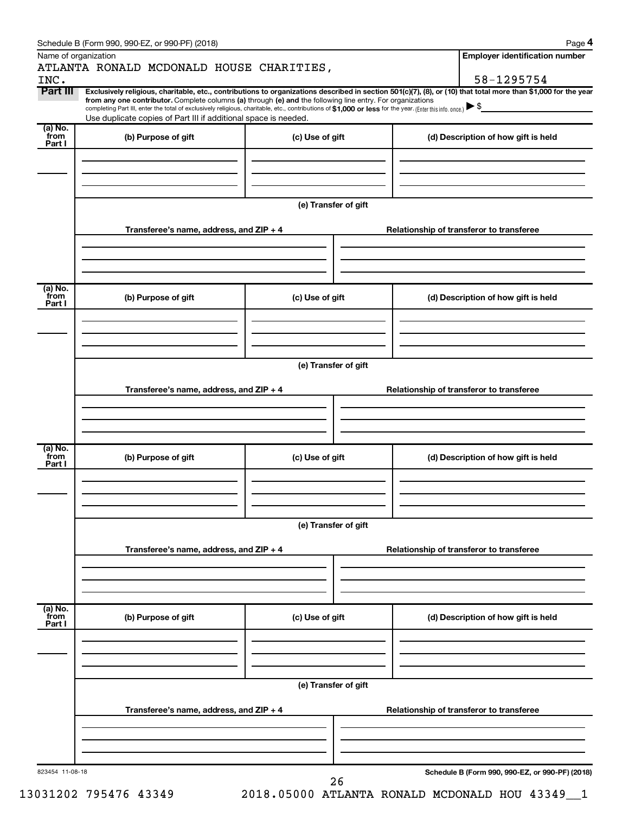|--|--|

| Name of organization       |                                                                                                                                                                                                                                                                                                                                                                                                                                                                                                                                      |                      | <b>Employer identification number</b>           |
|----------------------------|--------------------------------------------------------------------------------------------------------------------------------------------------------------------------------------------------------------------------------------------------------------------------------------------------------------------------------------------------------------------------------------------------------------------------------------------------------------------------------------------------------------------------------------|----------------------|-------------------------------------------------|
| INC.                       | ATLANTA RONALD MCDONALD HOUSE CHARITIES,                                                                                                                                                                                                                                                                                                                                                                                                                                                                                             |                      | 58-1295754                                      |
| Part III                   | Exclusively religious, charitable, etc., contributions to organizations described in section 501(c)(7), (8), or (10) that total more than \$1,000 for the year<br>from any one contributor. Complete columns (a) through (e) and the following line entry. For organizations<br>completing Part III, enter the total of exclusively religious, charitable, etc., contributions of \$1,000 or less for the year. (Enter this info. once.) $\blacktriangleright$ \$<br>Use duplicate copies of Part III if additional space is needed. |                      |                                                 |
| (a) No.<br>from<br>Part I  | (b) Purpose of gift                                                                                                                                                                                                                                                                                                                                                                                                                                                                                                                  | (c) Use of gift      | (d) Description of how gift is held             |
|                            |                                                                                                                                                                                                                                                                                                                                                                                                                                                                                                                                      |                      |                                                 |
|                            |                                                                                                                                                                                                                                                                                                                                                                                                                                                                                                                                      | (e) Transfer of gift |                                                 |
|                            | Transferee's name, address, and ZIP + 4                                                                                                                                                                                                                                                                                                                                                                                                                                                                                              |                      | Relationship of transferor to transferee        |
| (a) No.<br>from            | (b) Purpose of gift                                                                                                                                                                                                                                                                                                                                                                                                                                                                                                                  | (c) Use of gift      | (d) Description of how gift is held             |
| Part I                     |                                                                                                                                                                                                                                                                                                                                                                                                                                                                                                                                      |                      |                                                 |
|                            |                                                                                                                                                                                                                                                                                                                                                                                                                                                                                                                                      | (e) Transfer of gift |                                                 |
|                            | Transferee's name, address, and ZIP + 4                                                                                                                                                                                                                                                                                                                                                                                                                                                                                              |                      | Relationship of transferor to transferee        |
| (a) No.<br>`from<br>Part I | (b) Purpose of gift                                                                                                                                                                                                                                                                                                                                                                                                                                                                                                                  | (c) Use of gift      | (d) Description of how gift is held             |
|                            | Transferee's name, address, and ZIP + 4                                                                                                                                                                                                                                                                                                                                                                                                                                                                                              | (e) Transfer of gift | Relationship of transferor to transferee        |
| (a) No.<br>from<br>Part I  | (b) Purpose of gift                                                                                                                                                                                                                                                                                                                                                                                                                                                                                                                  | (c) Use of gift      | (d) Description of how gift is held             |
|                            |                                                                                                                                                                                                                                                                                                                                                                                                                                                                                                                                      |                      |                                                 |
|                            | Transferee's name, address, and ZIP + 4                                                                                                                                                                                                                                                                                                                                                                                                                                                                                              | (e) Transfer of gift | Relationship of transferor to transferee        |
|                            |                                                                                                                                                                                                                                                                                                                                                                                                                                                                                                                                      |                      |                                                 |
| 823454 11-08-18            |                                                                                                                                                                                                                                                                                                                                                                                                                                                                                                                                      | 26                   | Schedule B (Form 990, 990-EZ, or 990-PF) (2018) |

13031202 795476 43349 2018.05000 ATLANTA RONALD MCDONALD HOU 43349\_\_1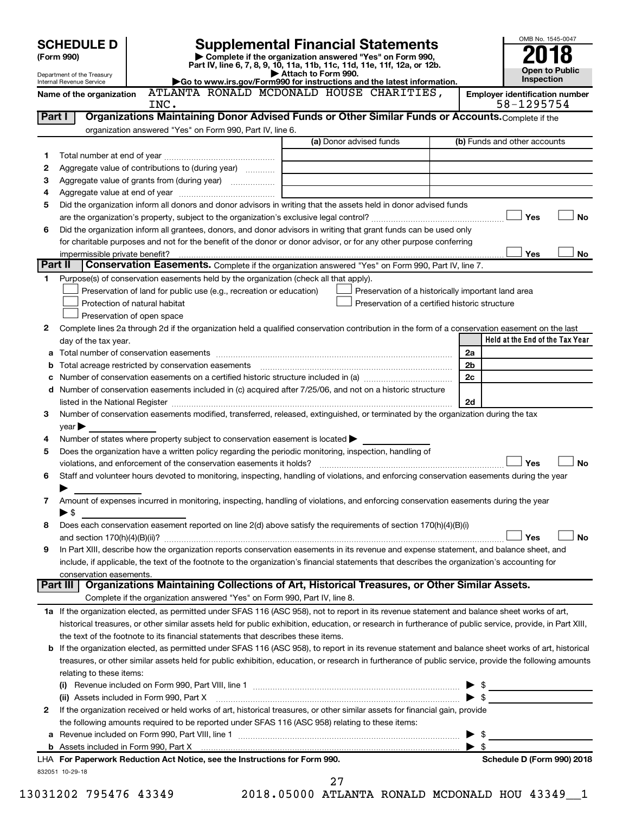|            | <b>SCHEDULE D</b>                |                                                                                                        | <b>Supplemental Financial Statements</b>                                                                                                                  |                | OMB No. 1545-0047                                   |
|------------|----------------------------------|--------------------------------------------------------------------------------------------------------|-----------------------------------------------------------------------------------------------------------------------------------------------------------|----------------|-----------------------------------------------------|
| (Form 990) |                                  |                                                                                                        | Complete if the organization answered "Yes" on Form 990,                                                                                                  |                |                                                     |
|            | Department of the Treasury       |                                                                                                        | Part IV, line 6, 7, 8, 9, 10, 11a, 11b, 11c, 11d, 11e, 11f, 12a, or 12b.<br>Attach to Form 990.                                                           |                | Open to Public                                      |
|            | Internal Revenue Service         |                                                                                                        | Go to www.irs.gov/Form990 for instructions and the latest information.                                                                                    |                | Inspection                                          |
|            | Name of the organization         | INC.                                                                                                   | ATLANTA RONALD MCDONALD HOUSE CHARITIES,                                                                                                                  |                | <b>Employer identification number</b><br>58-1295754 |
| Part I     |                                  |                                                                                                        | Organizations Maintaining Donor Advised Funds or Other Similar Funds or Accounts. Complete if the                                                         |                |                                                     |
|            |                                  | organization answered "Yes" on Form 990, Part IV, line 6.                                              | (a) Donor advised funds                                                                                                                                   |                | (b) Funds and other accounts                        |
| 1          |                                  |                                                                                                        |                                                                                                                                                           |                |                                                     |
| 2          |                                  | Aggregate value of contributions to (during year)                                                      |                                                                                                                                                           |                |                                                     |
| з          |                                  | Aggregate value of grants from (during year)                                                           |                                                                                                                                                           |                |                                                     |
| 4          |                                  |                                                                                                        |                                                                                                                                                           |                |                                                     |
| 5          |                                  |                                                                                                        | Did the organization inform all donors and donor advisors in writing that the assets held in donor advised funds                                          |                |                                                     |
|            |                                  |                                                                                                        |                                                                                                                                                           |                | <b>No</b><br>Yes                                    |
| 6          |                                  |                                                                                                        | Did the organization inform all grantees, donors, and donor advisors in writing that grant funds can be used only                                         |                |                                                     |
|            |                                  |                                                                                                        | for charitable purposes and not for the benefit of the donor or donor advisor, or for any other purpose conferring                                        |                |                                                     |
| Part II    | impermissible private benefit?   |                                                                                                        | Conservation Easements. Complete if the organization answered "Yes" on Form 990, Part IV, line 7.                                                         |                | Yes<br>No                                           |
| 1.         |                                  | Purpose(s) of conservation easements held by the organization (check all that apply).                  |                                                                                                                                                           |                |                                                     |
|            |                                  | Preservation of land for public use (e.g., recreation or education)                                    | Preservation of a historically important land area                                                                                                        |                |                                                     |
|            |                                  | Protection of natural habitat                                                                          | Preservation of a certified historic structure                                                                                                            |                |                                                     |
|            |                                  | Preservation of open space                                                                             |                                                                                                                                                           |                |                                                     |
| 2          |                                  |                                                                                                        | Complete lines 2a through 2d if the organization held a qualified conservation contribution in the form of a conservation easement on the last            |                |                                                     |
|            | day of the tax year.             |                                                                                                        |                                                                                                                                                           |                | Held at the End of the Tax Year                     |
| а          |                                  |                                                                                                        |                                                                                                                                                           | 2a             |                                                     |
| b          |                                  |                                                                                                        |                                                                                                                                                           | 2 <sub>b</sub> |                                                     |
| с          |                                  |                                                                                                        |                                                                                                                                                           | 2c             |                                                     |
|            |                                  |                                                                                                        | d Number of conservation easements included in (c) acquired after 7/25/06, and not on a historic structure                                                | 2d             |                                                     |
| З          |                                  |                                                                                                        | Number of conservation easements modified, transferred, released, extinguished, or terminated by the organization during the tax                          |                |                                                     |
|            | $\vee$ ear $\blacktriangleright$ |                                                                                                        |                                                                                                                                                           |                |                                                     |
| 4          |                                  | Number of states where property subject to conservation easement is located $\blacktriangleright$      |                                                                                                                                                           |                |                                                     |
| 5          |                                  | Does the organization have a written policy regarding the periodic monitoring, inspection, handling of |                                                                                                                                                           |                |                                                     |
|            |                                  | violations, and enforcement of the conservation easements it holds?                                    |                                                                                                                                                           |                | <b>No</b><br>Yes                                    |
| 6          |                                  |                                                                                                        | Staff and volunteer hours devoted to monitoring, inspecting, handling of violations, and enforcing conservation easements during the year                 |                |                                                     |
|            |                                  |                                                                                                        |                                                                                                                                                           |                |                                                     |
| 7          |                                  |                                                                                                        | Amount of expenses incurred in monitoring, inspecting, handling of violations, and enforcing conservation easements during the year                       |                |                                                     |
| 8          | $\blacktriangleright$ \$         |                                                                                                        | Does each conservation easement reported on line 2(d) above satisfy the requirements of section 170(h)(4)(B)(i)                                           |                |                                                     |
|            |                                  |                                                                                                        |                                                                                                                                                           |                | No<br>Yes                                           |
| 9          |                                  |                                                                                                        | In Part XIII, describe how the organization reports conservation easements in its revenue and expense statement, and balance sheet, and                   |                |                                                     |
|            |                                  |                                                                                                        | include, if applicable, the text of the footnote to the organization's financial statements that describes the organization's accounting for              |                |                                                     |
|            | conservation easements.          |                                                                                                        |                                                                                                                                                           |                |                                                     |
|            | Part III I                       |                                                                                                        | Organizations Maintaining Collections of Art, Historical Treasures, or Other Similar Assets.                                                              |                |                                                     |
|            |                                  | Complete if the organization answered "Yes" on Form 990, Part IV, line 8.                              |                                                                                                                                                           |                |                                                     |
|            |                                  |                                                                                                        | 1a If the organization elected, as permitted under SFAS 116 (ASC 958), not to report in its revenue statement and balance sheet works of art,             |                |                                                     |
|            |                                  |                                                                                                        | historical treasures, or other similar assets held for public exhibition, education, or research in furtherance of public service, provide, in Part XIII, |                |                                                     |
| b          |                                  | the text of the footnote to its financial statements that describes these items.                       | If the organization elected, as permitted under SFAS 116 (ASC 958), to report in its revenue statement and balance sheet works of art, historical         |                |                                                     |
|            |                                  |                                                                                                        | treasures, or other similar assets held for public exhibition, education, or research in furtherance of public service, provide the following amounts     |                |                                                     |
|            | relating to these items:         |                                                                                                        |                                                                                                                                                           |                |                                                     |
|            |                                  |                                                                                                        |                                                                                                                                                           |                | $\frac{1}{2}$                                       |
|            |                                  | (ii) Assets included in Form 990, Part X                                                               |                                                                                                                                                           |                | $\triangleright$ \$                                 |
| 2          |                                  |                                                                                                        | If the organization received or held works of art, historical treasures, or other similar assets for financial gain, provide                              |                |                                                     |
|            |                                  | the following amounts required to be reported under SFAS 116 (ASC 958) relating to these items:        |                                                                                                                                                           |                |                                                     |
| а          |                                  |                                                                                                        |                                                                                                                                                           | - \$           |                                                     |
|            |                                  |                                                                                                        |                                                                                                                                                           | -\$            |                                                     |
|            | 832051 10-29-18                  | LHA For Paperwork Reduction Act Notice, see the Instructions for Form 990.                             |                                                                                                                                                           |                | Schedule D (Form 990) 2018                          |
|            |                                  |                                                                                                        | 27                                                                                                                                                        |                |                                                     |

13031202 795476 43349 2018.05000 ATLANTA RONALD MCDONALD HOU 43349\_\_1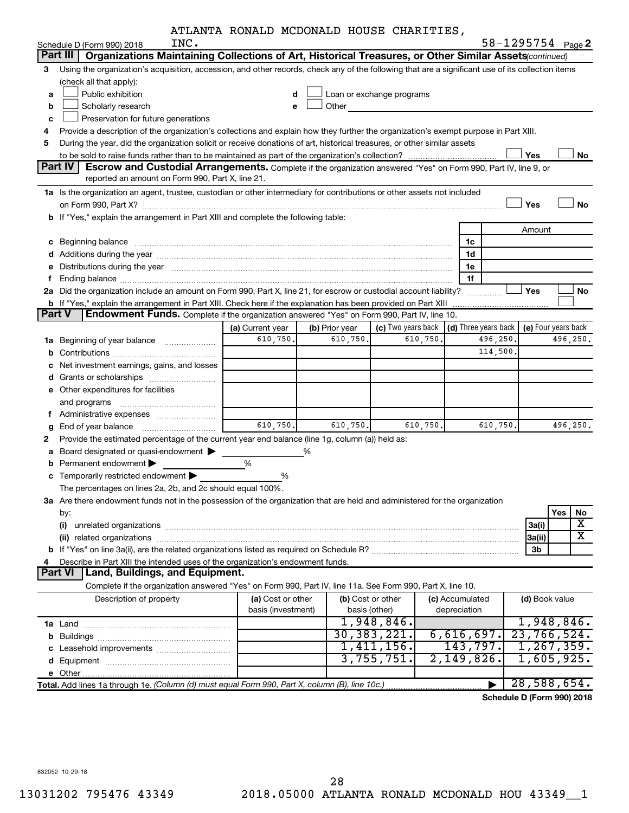| ATLANTA RONALD MCDONALD HOUSE CHARITIES, |  |  |  |
|------------------------------------------|--|--|--|
|------------------------------------------|--|--|--|

|    |                                                                                                                                                                                                                                | ATLANTA RONALD MCDONALD HOUSE CHARITIES, |                |                           |           |                                                         |        |                            |
|----|--------------------------------------------------------------------------------------------------------------------------------------------------------------------------------------------------------------------------------|------------------------------------------|----------------|---------------------------|-----------|---------------------------------------------------------|--------|----------------------------|
|    | INC.<br>Schedule D (Form 990) 2018                                                                                                                                                                                             |                                          |                |                           |           |                                                         |        | 58-1295754 Page 2          |
|    | Part III<br>Organizations Maintaining Collections of Art, Historical Treasures, or Other Similar Assets (continued)                                                                                                            |                                          |                |                           |           |                                                         |        |                            |
| 3  | Using the organization's acquisition, accession, and other records, check any of the following that are a significant use of its collection items                                                                              |                                          |                |                           |           |                                                         |        |                            |
|    | (check all that apply):                                                                                                                                                                                                        |                                          |                |                           |           |                                                         |        |                            |
| а  | Public exhibition                                                                                                                                                                                                              | d                                        |                | Loan or exchange programs |           |                                                         |        |                            |
| b  | Scholarly research<br>Other<br>e                                                                                                                                                                                               |                                          |                |                           |           |                                                         |        |                            |
| c  | Preservation for future generations                                                                                                                                                                                            |                                          |                |                           |           |                                                         |        |                            |
| 4  | Provide a description of the organization's collections and explain how they further the organization's exempt purpose in Part XIII.                                                                                           |                                          |                |                           |           |                                                         |        |                            |
| 5  | During the year, did the organization solicit or receive donations of art, historical treasures, or other similar assets                                                                                                       |                                          |                |                           |           |                                                         |        |                            |
|    |                                                                                                                                                                                                                                |                                          |                |                           |           |                                                         | Yes    | No                         |
|    | Part IV<br>Escrow and Custodial Arrangements. Complete if the organization answered "Yes" on Form 990, Part IV, line 9, or                                                                                                     |                                          |                |                           |           |                                                         |        |                            |
|    | reported an amount on Form 990, Part X, line 21.                                                                                                                                                                               |                                          |                |                           |           |                                                         |        |                            |
|    | 1a Is the organization an agent, trustee, custodian or other intermediary for contributions or other assets not included                                                                                                       |                                          |                |                           |           |                                                         |        |                            |
|    | on Form 990, Part X? [11] matter contracts and contracts and contracts are contracted as a few matter of the contract of the contract of the state of the contract of the contract of the contract of the contract of the cont |                                          |                |                           |           |                                                         | Yes    | <b>No</b>                  |
|    | b If "Yes," explain the arrangement in Part XIII and complete the following table:                                                                                                                                             |                                          |                |                           |           |                                                         |        |                            |
|    |                                                                                                                                                                                                                                |                                          |                |                           |           |                                                         |        |                            |
|    |                                                                                                                                                                                                                                |                                          |                |                           |           |                                                         | Amount |                            |
|    |                                                                                                                                                                                                                                |                                          |                |                           |           | 1c                                                      |        |                            |
|    |                                                                                                                                                                                                                                |                                          |                |                           |           | 1d                                                      |        |                            |
| е  | Distributions during the year manufactured and an account of the year manufactured and the year manufactured and the year manufactured and the year manufactured and the year manufactured and the year manufactured and the y |                                          |                |                           |           | 1e                                                      |        |                            |
| f. |                                                                                                                                                                                                                                |                                          |                |                           |           | 1f                                                      |        |                            |
|    | 2a Did the organization include an amount on Form 990, Part X, line 21, for escrow or custodial account liability?                                                                                                             |                                          |                |                           |           |                                                         | Yes    | No                         |
|    | <b>b</b> If "Yes," explain the arrangement in Part XIII. Check here if the explanation has been provided on Part XIII                                                                                                          |                                          |                |                           |           | . <u>.</u>                                              |        |                            |
|    | <b>Part V</b><br><b>Endowment Funds.</b> Complete if the organization answered "Yes" on Form 990, Part IV, line 10.                                                                                                            |                                          |                |                           |           |                                                         |        |                            |
|    |                                                                                                                                                                                                                                | (a) Current year                         | (b) Prior year |                           |           | (c) Two years back $\vert$ (d) Three years back $\vert$ |        | (e) Four years back        |
|    | 1a Beginning of year balance                                                                                                                                                                                                   | 610,750.                                 | 610,750.       |                           | 610,750.  | 496,250.                                                |        | 496,250.                   |
| b  |                                                                                                                                                                                                                                |                                          |                |                           |           | 114,500.                                                |        |                            |
| с  | Net investment earnings, gains, and losses                                                                                                                                                                                     |                                          |                |                           |           |                                                         |        |                            |
|    |                                                                                                                                                                                                                                |                                          |                |                           |           |                                                         |        |                            |
|    | e Other expenditures for facilities                                                                                                                                                                                            |                                          |                |                           |           |                                                         |        |                            |
|    |                                                                                                                                                                                                                                |                                          |                |                           |           |                                                         |        |                            |
|    | f Administrative expenses                                                                                                                                                                                                      |                                          |                |                           |           |                                                         |        |                            |
| g  |                                                                                                                                                                                                                                | 610,750.                                 | 610,750.       |                           | 610, 750. | 610,750.                                                |        | 496,250.                   |
| 2  | Provide the estimated percentage of the current year end balance (line 1g, column (a)) held as:                                                                                                                                |                                          |                |                           |           |                                                         |        |                            |
| а  | Board designated or quasi-endowment $\blacktriangleright$                                                                                                                                                                      |                                          | %              |                           |           |                                                         |        |                            |
| b  | Permanent endowment                                                                                                                                                                                                            | %                                        |                |                           |           |                                                         |        |                            |
|    | Temporarily restricted endowment >                                                                                                                                                                                             | %                                        |                |                           |           |                                                         |        |                            |
| с  |                                                                                                                                                                                                                                |                                          |                |                           |           |                                                         |        |                            |
|    | The percentages on lines 2a, 2b, and 2c should equal 100%                                                                                                                                                                      |                                          |                |                           |           |                                                         |        |                            |
|    | 3a Are there endowment funds not in the possession of the organization that are held and administered for the organization                                                                                                     |                                          |                |                           |           |                                                         |        |                            |
|    | by:                                                                                                                                                                                                                            |                                          |                |                           |           |                                                         |        | Yes<br>No                  |
|    | (i)                                                                                                                                                                                                                            |                                          |                |                           |           |                                                         | 3a(i)  | x<br>$\overline{\text{X}}$ |
|    |                                                                                                                                                                                                                                |                                          |                |                           |           |                                                         | 3a(ii) |                            |
|    |                                                                                                                                                                                                                                |                                          |                |                           |           |                                                         | 3b     |                            |
| 4  | Describe in Part XIII the intended uses of the organization's endowment funds.                                                                                                                                                 |                                          |                |                           |           |                                                         |        |                            |
|    | <b>Part VI</b><br>Land, Buildings, and Equipment.                                                                                                                                                                              |                                          |                |                           |           |                                                         |        |                            |
|    | Complete if the organization answered "Yes" on Form 990, Part IV, line 11a. See Form 990, Part X, line 10.                                                                                                                     |                                          |                |                           |           |                                                         |        |                            |
|    | Description of property                                                                                                                                                                                                        | (a) Cost or other                        |                | (b) Cost or other         |           | (c) Accumulated                                         |        | (d) Book value             |
|    |                                                                                                                                                                                                                                | basis (investment)                       |                | basis (other)             |           | depreciation                                            |        |                            |
|    |                                                                                                                                                                                                                                |                                          |                | 1,948,846.                |           |                                                         |        | 1,948,846.                 |
|    |                                                                                                                                                                                                                                |                                          |                | 30, 383, 221.             |           | 6,616,697.                                              |        | 23,766,524.                |
|    |                                                                                                                                                                                                                                |                                          |                | 1,411,156.                |           | 143,797.                                                |        | 1, 267, 359.               |
|    |                                                                                                                                                                                                                                |                                          |                | 3,755,751.                |           | 2,149,826.                                              |        | 1,605,925.                 |
|    |                                                                                                                                                                                                                                |                                          |                |                           |           |                                                         |        |                            |
|    |                                                                                                                                                                                                                                |                                          |                |                           |           |                                                         |        | 28,588,654.                |

**Schedule D (Form 990) 2018**

832052 10-29-18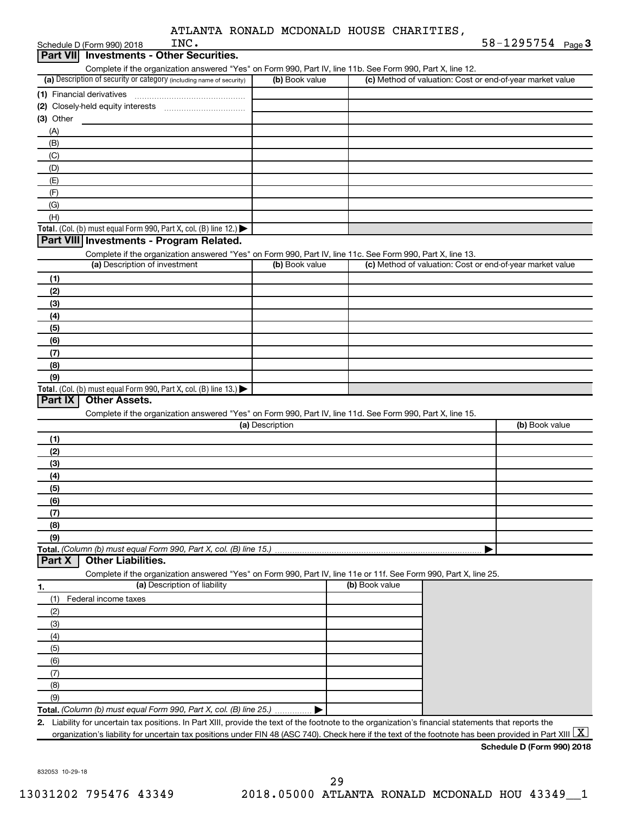|  |  | ATLANTA RONALD MCDONALD HOUSE CHARITIES, |
|--|--|------------------------------------------|
|  |  |                                          |

| Complete if the organization answered "Yes" on Form 990, Part IV, line 11b. See Form 990, Part X, line 12.<br>(a) Description of security or category (including name of security)<br>(b) Book value<br>(c) Method of valuation: Cost or end-of-year market value<br>(1) Financial derivatives<br>(2) Closely-held equity interests<br>(3) Other<br>(A)<br>(B)<br>(C)<br>(D)<br>(E)<br>(F)<br>(G)<br>(H)<br>Total. (Col. (b) must equal Form 990, Part X, col. (B) line 12.) $\blacktriangleright$<br>Part VIII Investments - Program Related.<br>Complete if the organization answered "Yes" on Form 990, Part IV, line 11c. See Form 990, Part X, line 13.<br>(a) Description of investment<br>(b) Book value<br>(c) Method of valuation: Cost or end-of-year market value<br>(1)<br>(2)<br>(3)<br>(4)<br>(5)<br>(6)<br>(7)<br>(8)<br>(9)<br>Total. (Col. (b) must equal Form 990, Part X, col. (B) line 13.) $\blacktriangleright$<br><b>Other Assets.</b><br>Part IX<br>Complete if the organization answered "Yes" on Form 990, Part IV, line 11d. See Form 990, Part X, line 15.<br>(a) Description<br>(b) Book value<br>(1)<br>(2)<br>(3)<br>(4)<br>(5)<br>(6)<br>(7)<br>(8)<br>(9)<br>Total. (Column (b) must equal Form 990, Part X, col. (B) line 15.)<br><b>Other Liabilities.</b><br>Part X<br>Complete if the organization answered "Yes" on Form 990, Part IV, line 11e or 11f. See Form 990, Part X, line 25.<br>(a) Description of liability<br>(b) Book value<br>1.<br>(1)<br>Federal income taxes<br>(2)<br>(3)<br>(4)<br>(5)<br>(6)<br>(7)<br>(8)<br>(9) | INC.<br>Schedule D (Form 990) 2018<br><b>Investments - Other Securities.</b><br><b>Part VIII</b> |  | 58-1295754 Page 3 |
|-----------------------------------------------------------------------------------------------------------------------------------------------------------------------------------------------------------------------------------------------------------------------------------------------------------------------------------------------------------------------------------------------------------------------------------------------------------------------------------------------------------------------------------------------------------------------------------------------------------------------------------------------------------------------------------------------------------------------------------------------------------------------------------------------------------------------------------------------------------------------------------------------------------------------------------------------------------------------------------------------------------------------------------------------------------------------------------------------------------------------------------------------------------------------------------------------------------------------------------------------------------------------------------------------------------------------------------------------------------------------------------------------------------------------------------------------------------------------------------------------------------------------------------------------------------------------------|--------------------------------------------------------------------------------------------------|--|-------------------|
|                                                                                                                                                                                                                                                                                                                                                                                                                                                                                                                                                                                                                                                                                                                                                                                                                                                                                                                                                                                                                                                                                                                                                                                                                                                                                                                                                                                                                                                                                                                                                                             |                                                                                                  |  |                   |
|                                                                                                                                                                                                                                                                                                                                                                                                                                                                                                                                                                                                                                                                                                                                                                                                                                                                                                                                                                                                                                                                                                                                                                                                                                                                                                                                                                                                                                                                                                                                                                             |                                                                                                  |  |                   |
|                                                                                                                                                                                                                                                                                                                                                                                                                                                                                                                                                                                                                                                                                                                                                                                                                                                                                                                                                                                                                                                                                                                                                                                                                                                                                                                                                                                                                                                                                                                                                                             |                                                                                                  |  |                   |
|                                                                                                                                                                                                                                                                                                                                                                                                                                                                                                                                                                                                                                                                                                                                                                                                                                                                                                                                                                                                                                                                                                                                                                                                                                                                                                                                                                                                                                                                                                                                                                             |                                                                                                  |  |                   |
|                                                                                                                                                                                                                                                                                                                                                                                                                                                                                                                                                                                                                                                                                                                                                                                                                                                                                                                                                                                                                                                                                                                                                                                                                                                                                                                                                                                                                                                                                                                                                                             |                                                                                                  |  |                   |
|                                                                                                                                                                                                                                                                                                                                                                                                                                                                                                                                                                                                                                                                                                                                                                                                                                                                                                                                                                                                                                                                                                                                                                                                                                                                                                                                                                                                                                                                                                                                                                             |                                                                                                  |  |                   |
|                                                                                                                                                                                                                                                                                                                                                                                                                                                                                                                                                                                                                                                                                                                                                                                                                                                                                                                                                                                                                                                                                                                                                                                                                                                                                                                                                                                                                                                                                                                                                                             |                                                                                                  |  |                   |
|                                                                                                                                                                                                                                                                                                                                                                                                                                                                                                                                                                                                                                                                                                                                                                                                                                                                                                                                                                                                                                                                                                                                                                                                                                                                                                                                                                                                                                                                                                                                                                             |                                                                                                  |  |                   |
|                                                                                                                                                                                                                                                                                                                                                                                                                                                                                                                                                                                                                                                                                                                                                                                                                                                                                                                                                                                                                                                                                                                                                                                                                                                                                                                                                                                                                                                                                                                                                                             |                                                                                                  |  |                   |
|                                                                                                                                                                                                                                                                                                                                                                                                                                                                                                                                                                                                                                                                                                                                                                                                                                                                                                                                                                                                                                                                                                                                                                                                                                                                                                                                                                                                                                                                                                                                                                             |                                                                                                  |  |                   |
|                                                                                                                                                                                                                                                                                                                                                                                                                                                                                                                                                                                                                                                                                                                                                                                                                                                                                                                                                                                                                                                                                                                                                                                                                                                                                                                                                                                                                                                                                                                                                                             |                                                                                                  |  |                   |
|                                                                                                                                                                                                                                                                                                                                                                                                                                                                                                                                                                                                                                                                                                                                                                                                                                                                                                                                                                                                                                                                                                                                                                                                                                                                                                                                                                                                                                                                                                                                                                             |                                                                                                  |  |                   |
|                                                                                                                                                                                                                                                                                                                                                                                                                                                                                                                                                                                                                                                                                                                                                                                                                                                                                                                                                                                                                                                                                                                                                                                                                                                                                                                                                                                                                                                                                                                                                                             |                                                                                                  |  |                   |
|                                                                                                                                                                                                                                                                                                                                                                                                                                                                                                                                                                                                                                                                                                                                                                                                                                                                                                                                                                                                                                                                                                                                                                                                                                                                                                                                                                                                                                                                                                                                                                             |                                                                                                  |  |                   |
|                                                                                                                                                                                                                                                                                                                                                                                                                                                                                                                                                                                                                                                                                                                                                                                                                                                                                                                                                                                                                                                                                                                                                                                                                                                                                                                                                                                                                                                                                                                                                                             |                                                                                                  |  |                   |
|                                                                                                                                                                                                                                                                                                                                                                                                                                                                                                                                                                                                                                                                                                                                                                                                                                                                                                                                                                                                                                                                                                                                                                                                                                                                                                                                                                                                                                                                                                                                                                             |                                                                                                  |  |                   |
|                                                                                                                                                                                                                                                                                                                                                                                                                                                                                                                                                                                                                                                                                                                                                                                                                                                                                                                                                                                                                                                                                                                                                                                                                                                                                                                                                                                                                                                                                                                                                                             |                                                                                                  |  |                   |
|                                                                                                                                                                                                                                                                                                                                                                                                                                                                                                                                                                                                                                                                                                                                                                                                                                                                                                                                                                                                                                                                                                                                                                                                                                                                                                                                                                                                                                                                                                                                                                             |                                                                                                  |  |                   |
|                                                                                                                                                                                                                                                                                                                                                                                                                                                                                                                                                                                                                                                                                                                                                                                                                                                                                                                                                                                                                                                                                                                                                                                                                                                                                                                                                                                                                                                                                                                                                                             |                                                                                                  |  |                   |
|                                                                                                                                                                                                                                                                                                                                                                                                                                                                                                                                                                                                                                                                                                                                                                                                                                                                                                                                                                                                                                                                                                                                                                                                                                                                                                                                                                                                                                                                                                                                                                             |                                                                                                  |  |                   |
|                                                                                                                                                                                                                                                                                                                                                                                                                                                                                                                                                                                                                                                                                                                                                                                                                                                                                                                                                                                                                                                                                                                                                                                                                                                                                                                                                                                                                                                                                                                                                                             |                                                                                                  |  |                   |
|                                                                                                                                                                                                                                                                                                                                                                                                                                                                                                                                                                                                                                                                                                                                                                                                                                                                                                                                                                                                                                                                                                                                                                                                                                                                                                                                                                                                                                                                                                                                                                             |                                                                                                  |  |                   |
|                                                                                                                                                                                                                                                                                                                                                                                                                                                                                                                                                                                                                                                                                                                                                                                                                                                                                                                                                                                                                                                                                                                                                                                                                                                                                                                                                                                                                                                                                                                                                                             |                                                                                                  |  |                   |
|                                                                                                                                                                                                                                                                                                                                                                                                                                                                                                                                                                                                                                                                                                                                                                                                                                                                                                                                                                                                                                                                                                                                                                                                                                                                                                                                                                                                                                                                                                                                                                             |                                                                                                  |  |                   |
|                                                                                                                                                                                                                                                                                                                                                                                                                                                                                                                                                                                                                                                                                                                                                                                                                                                                                                                                                                                                                                                                                                                                                                                                                                                                                                                                                                                                                                                                                                                                                                             |                                                                                                  |  |                   |
|                                                                                                                                                                                                                                                                                                                                                                                                                                                                                                                                                                                                                                                                                                                                                                                                                                                                                                                                                                                                                                                                                                                                                                                                                                                                                                                                                                                                                                                                                                                                                                             |                                                                                                  |  |                   |
|                                                                                                                                                                                                                                                                                                                                                                                                                                                                                                                                                                                                                                                                                                                                                                                                                                                                                                                                                                                                                                                                                                                                                                                                                                                                                                                                                                                                                                                                                                                                                                             |                                                                                                  |  |                   |
|                                                                                                                                                                                                                                                                                                                                                                                                                                                                                                                                                                                                                                                                                                                                                                                                                                                                                                                                                                                                                                                                                                                                                                                                                                                                                                                                                                                                                                                                                                                                                                             |                                                                                                  |  |                   |
|                                                                                                                                                                                                                                                                                                                                                                                                                                                                                                                                                                                                                                                                                                                                                                                                                                                                                                                                                                                                                                                                                                                                                                                                                                                                                                                                                                                                                                                                                                                                                                             |                                                                                                  |  |                   |
|                                                                                                                                                                                                                                                                                                                                                                                                                                                                                                                                                                                                                                                                                                                                                                                                                                                                                                                                                                                                                                                                                                                                                                                                                                                                                                                                                                                                                                                                                                                                                                             |                                                                                                  |  |                   |
|                                                                                                                                                                                                                                                                                                                                                                                                                                                                                                                                                                                                                                                                                                                                                                                                                                                                                                                                                                                                                                                                                                                                                                                                                                                                                                                                                                                                                                                                                                                                                                             |                                                                                                  |  |                   |
|                                                                                                                                                                                                                                                                                                                                                                                                                                                                                                                                                                                                                                                                                                                                                                                                                                                                                                                                                                                                                                                                                                                                                                                                                                                                                                                                                                                                                                                                                                                                                                             |                                                                                                  |  |                   |
|                                                                                                                                                                                                                                                                                                                                                                                                                                                                                                                                                                                                                                                                                                                                                                                                                                                                                                                                                                                                                                                                                                                                                                                                                                                                                                                                                                                                                                                                                                                                                                             |                                                                                                  |  |                   |
|                                                                                                                                                                                                                                                                                                                                                                                                                                                                                                                                                                                                                                                                                                                                                                                                                                                                                                                                                                                                                                                                                                                                                                                                                                                                                                                                                                                                                                                                                                                                                                             |                                                                                                  |  |                   |
|                                                                                                                                                                                                                                                                                                                                                                                                                                                                                                                                                                                                                                                                                                                                                                                                                                                                                                                                                                                                                                                                                                                                                                                                                                                                                                                                                                                                                                                                                                                                                                             |                                                                                                  |  |                   |
|                                                                                                                                                                                                                                                                                                                                                                                                                                                                                                                                                                                                                                                                                                                                                                                                                                                                                                                                                                                                                                                                                                                                                                                                                                                                                                                                                                                                                                                                                                                                                                             |                                                                                                  |  |                   |
|                                                                                                                                                                                                                                                                                                                                                                                                                                                                                                                                                                                                                                                                                                                                                                                                                                                                                                                                                                                                                                                                                                                                                                                                                                                                                                                                                                                                                                                                                                                                                                             |                                                                                                  |  |                   |
|                                                                                                                                                                                                                                                                                                                                                                                                                                                                                                                                                                                                                                                                                                                                                                                                                                                                                                                                                                                                                                                                                                                                                                                                                                                                                                                                                                                                                                                                                                                                                                             |                                                                                                  |  |                   |
|                                                                                                                                                                                                                                                                                                                                                                                                                                                                                                                                                                                                                                                                                                                                                                                                                                                                                                                                                                                                                                                                                                                                                                                                                                                                                                                                                                                                                                                                                                                                                                             |                                                                                                  |  |                   |
|                                                                                                                                                                                                                                                                                                                                                                                                                                                                                                                                                                                                                                                                                                                                                                                                                                                                                                                                                                                                                                                                                                                                                                                                                                                                                                                                                                                                                                                                                                                                                                             |                                                                                                  |  |                   |
|                                                                                                                                                                                                                                                                                                                                                                                                                                                                                                                                                                                                                                                                                                                                                                                                                                                                                                                                                                                                                                                                                                                                                                                                                                                                                                                                                                                                                                                                                                                                                                             |                                                                                                  |  |                   |
|                                                                                                                                                                                                                                                                                                                                                                                                                                                                                                                                                                                                                                                                                                                                                                                                                                                                                                                                                                                                                                                                                                                                                                                                                                                                                                                                                                                                                                                                                                                                                                             |                                                                                                  |  |                   |
|                                                                                                                                                                                                                                                                                                                                                                                                                                                                                                                                                                                                                                                                                                                                                                                                                                                                                                                                                                                                                                                                                                                                                                                                                                                                                                                                                                                                                                                                                                                                                                             |                                                                                                  |  |                   |
|                                                                                                                                                                                                                                                                                                                                                                                                                                                                                                                                                                                                                                                                                                                                                                                                                                                                                                                                                                                                                                                                                                                                                                                                                                                                                                                                                                                                                                                                                                                                                                             |                                                                                                  |  |                   |
|                                                                                                                                                                                                                                                                                                                                                                                                                                                                                                                                                                                                                                                                                                                                                                                                                                                                                                                                                                                                                                                                                                                                                                                                                                                                                                                                                                                                                                                                                                                                                                             |                                                                                                  |  |                   |
|                                                                                                                                                                                                                                                                                                                                                                                                                                                                                                                                                                                                                                                                                                                                                                                                                                                                                                                                                                                                                                                                                                                                                                                                                                                                                                                                                                                                                                                                                                                                                                             |                                                                                                  |  |                   |
|                                                                                                                                                                                                                                                                                                                                                                                                                                                                                                                                                                                                                                                                                                                                                                                                                                                                                                                                                                                                                                                                                                                                                                                                                                                                                                                                                                                                                                                                                                                                                                             |                                                                                                  |  |                   |
|                                                                                                                                                                                                                                                                                                                                                                                                                                                                                                                                                                                                                                                                                                                                                                                                                                                                                                                                                                                                                                                                                                                                                                                                                                                                                                                                                                                                                                                                                                                                                                             |                                                                                                  |  |                   |
|                                                                                                                                                                                                                                                                                                                                                                                                                                                                                                                                                                                                                                                                                                                                                                                                                                                                                                                                                                                                                                                                                                                                                                                                                                                                                                                                                                                                                                                                                                                                                                             |                                                                                                  |  |                   |
|                                                                                                                                                                                                                                                                                                                                                                                                                                                                                                                                                                                                                                                                                                                                                                                                                                                                                                                                                                                                                                                                                                                                                                                                                                                                                                                                                                                                                                                                                                                                                                             |                                                                                                  |  |                   |
|                                                                                                                                                                                                                                                                                                                                                                                                                                                                                                                                                                                                                                                                                                                                                                                                                                                                                                                                                                                                                                                                                                                                                                                                                                                                                                                                                                                                                                                                                                                                                                             | Total. (Column (b) must equal Form 990, Part X, col. (B) line 25.)                               |  |                   |
| 2. Liability for uncertain tax positions. In Part XIII, provide the text of the footnote to the organization's financial statements that reports the<br>organization's liability for uncertain tax positions under FIN 48 (ASC 740). Check here if the text of the footnote has been provided in Part XIII $\boxed{\text{X}}$                                                                                                                                                                                                                                                                                                                                                                                                                                                                                                                                                                                                                                                                                                                                                                                                                                                                                                                                                                                                                                                                                                                                                                                                                                               |                                                                                                  |  |                   |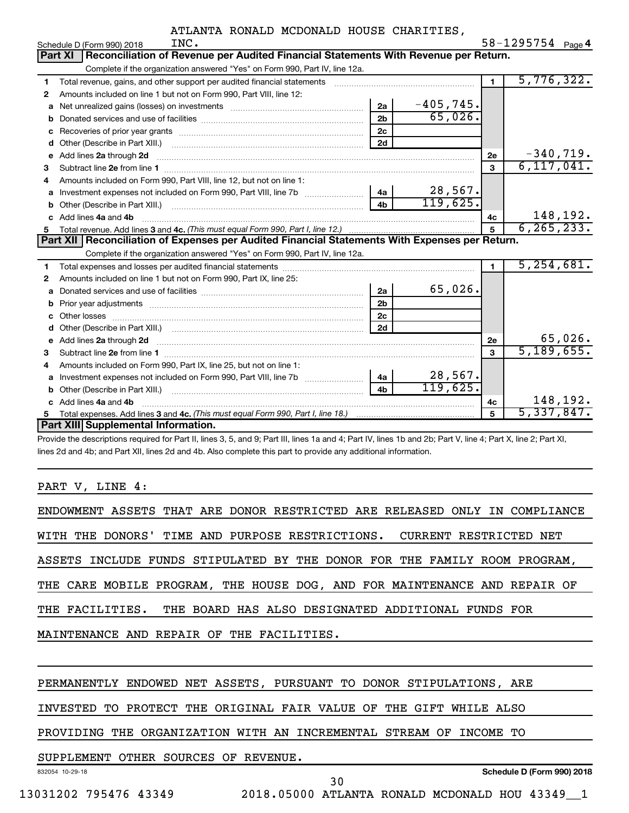| ATLANTA RONALD MCDONALD HOUSE CHARITIES, |
|------------------------------------------|
|                                          |

|    | INC.<br>Schedule D (Form 990) 2018                                                                                      |                |              |                | 58-1295754 $_{Page 4}$ |          |
|----|-------------------------------------------------------------------------------------------------------------------------|----------------|--------------|----------------|------------------------|----------|
|    | Reconciliation of Revenue per Audited Financial Statements With Revenue per Return.<br>Part XI                          |                |              |                |                        |          |
|    | Complete if the organization answered "Yes" on Form 990, Part IV, line 12a.                                             |                |              |                |                        |          |
| 1  | Total revenue, gains, and other support per audited financial statements                                                |                |              | $\blacksquare$ | 5,776,322.             |          |
| 2  | Amounts included on line 1 but not on Form 990, Part VIII, line 12:                                                     |                |              |                |                        |          |
| a  |                                                                                                                         | 2a             | $-405, 745.$ |                |                        |          |
| b  |                                                                                                                         | 2 <sub>b</sub> | 65,026.      |                |                        |          |
| с  |                                                                                                                         | 2 <sub>c</sub> |              |                |                        |          |
| d  |                                                                                                                         | 2d             |              |                |                        |          |
| е  | Add lines 2a through 2d                                                                                                 |                |              | 2e             | $-340,719.$            |          |
| 3  |                                                                                                                         |                |              | 3              | 6, 117, 041.           |          |
| 4  | Amounts included on Form 990, Part VIII, line 12, but not on line 1:                                                    |                |              |                |                        |          |
| a  | Investment expenses not included on Form 990, Part VIII, line 7b                                                        | 4a             | 28,567.      |                |                        |          |
| b  |                                                                                                                         | 4 <sub>h</sub> | 119,625.     |                |                        |          |
| c. | Add lines 4a and 4b                                                                                                     |                |              | 4с             |                        | 148,192. |
| 5  |                                                                                                                         |                |              | $\overline{5}$ | 6, 265, 233.           |          |
|    |                                                                                                                         |                |              |                |                        |          |
|    | Part XII   Reconciliation of Expenses per Audited Financial Statements With Expenses per Return.                        |                |              |                |                        |          |
|    | Complete if the organization answered "Yes" on Form 990, Part IV, line 12a.                                             |                |              |                |                        |          |
| 1  |                                                                                                                         |                |              |                | 5, 254, 681.           |          |
| 2  | Amounts included on line 1 but not on Form 990, Part IX, line 25:                                                       |                |              |                |                        |          |
| a  |                                                                                                                         | 2a             | 65,026.      |                |                        |          |
| b  |                                                                                                                         | 2 <sub>b</sub> |              |                |                        |          |
| c  |                                                                                                                         | 2 <sub>c</sub> |              |                |                        |          |
|    |                                                                                                                         | 2d             |              |                |                        |          |
| e  |                                                                                                                         |                |              | 2e             |                        | 65,026.  |
| 3  | Add lines 2a through 2d <b>contract and a contract and a contract a</b> contract a contract and a contract a contract a |                |              | $\mathbf{a}$   | 5, 189, 655.           |          |
| 4  | Amounts included on Form 990, Part IX, line 25, but not on line 1:                                                      |                |              |                |                        |          |
| a  |                                                                                                                         | 4a             | 28,567.      |                |                        |          |
|    |                                                                                                                         | 4 <sub>b</sub> | 119,625.     |                |                        |          |
|    | Add lines 4a and 4b                                                                                                     |                |              | 4c             |                        | 148,192. |
| 5  | Part XIII Supplemental Information.                                                                                     |                |              | 5              | 5,337,847.             |          |

Provide the descriptions required for Part II, lines 3, 5, and 9; Part III, lines 1a and 4; Part IV, lines 1b and 2b; Part V, line 4; Part X, line 2; Part XI, lines 2d and 4b; and Part XII, lines 2d and 4b. Also complete this part to provide any additional information.

### PART V, LINE 4:

| ENDOWMENT ASSETS THAT ARE DONOR RESTRICTED ARE RELEASED ONLY IN COMPLIANCE |
|----------------------------------------------------------------------------|
| WITH THE DONORS' TIME AND PURPOSE RESTRICTIONS. CURRENT RESTRICTED NET     |
| ASSETS INCLUDE FUNDS STIPULATED BY THE DONOR FOR THE FAMILY ROOM PROGRAM,  |
| THE CARE MOBILE PROGRAM, THE HOUSE DOG, AND FOR MAINTENANCE AND REPAIR OF  |
| THE FACILITIES. THE BOARD HAS ALSO DESIGNATED ADDITIONAL FUNDS FOR         |
| MAINTENANCE AND REPAIR OF THE FACILITIES.                                  |
|                                                                            |
| PERMANENTLY ENDOWED NET ASSETS, PURSUANT TO DONOR STIPULATIONS, ARE        |
| INVESTED TO PROTECT THE ORIGINAL FAIR VALUE OF THE GIFT WHILE ALSO         |
| PROVIDING THE ORGANIZATION WITH AN INCREMENTAL STREAM OF INCOME TO         |

### SUPPLEMENT OTHER SOURCES OF REVENUE.

832054 10-29-18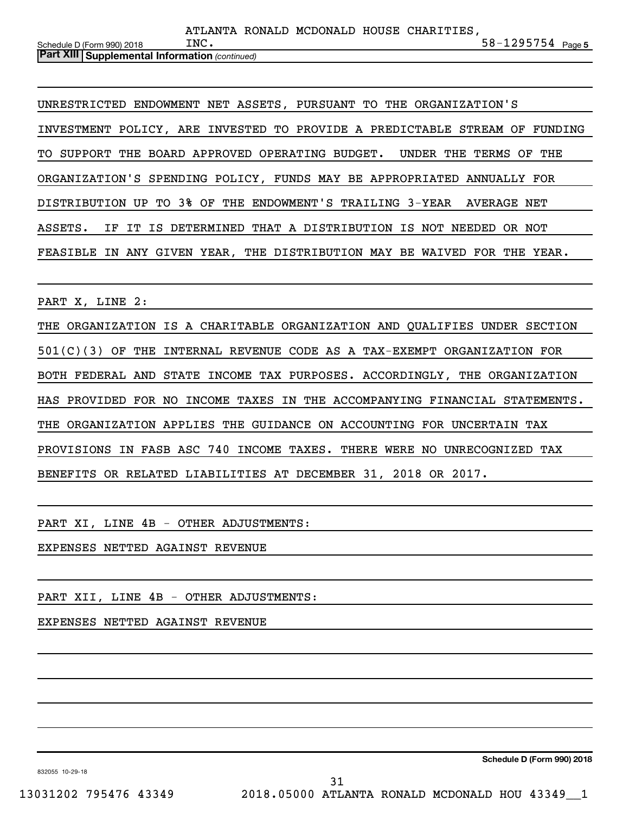|                                                       |      |  | ATLANTA RONALD MCDONALD HOUSE CHARITIES, |                       |  |
|-------------------------------------------------------|------|--|------------------------------------------|-----------------------|--|
| Schedule D (Form 990) 2018                            | INC. |  |                                          | $58 - 1295754$ Page 5 |  |
| <b>Part XIII Supplemental Information (continued)</b> |      |  |                                          |                       |  |

UNRESTRICTED ENDOWMENT NET ASSETS, PURSUANT TO THE ORGANIZATION'S INVESTMENT POLICY, ARE INVESTED TO PROVIDE A PREDICTABLE STREAM OF FUNDING TO SUPPORT THE BOARD APPROVED OPERATING BUDGET. UNDER THE TERMS OF THE ORGANIZATION'S SPENDING POLICY, FUNDS MAY BE APPROPRIATED ANNUALLY FOR DISTRIBUTION UP TO 3% OF THE ENDOWMENT'S TRAILING 3-YEAR AVERAGE NET ASSETS. IF IT IS DETERMINED THAT A DISTRIBUTION IS NOT NEEDED OR NOT FEASIBLE IN ANY GIVEN YEAR, THE DISTRIBUTION MAY BE WAIVED FOR THE YEAR.

PART X, LINE 2:

THE ORGANIZATION IS A CHARITABLE ORGANIZATION AND QUALIFIES UNDER SECTION 501(C)(3) OF THE INTERNAL REVENUE CODE AS A TAX-EXEMPT ORGANIZATION FOR BOTH FEDERAL AND STATE INCOME TAX PURPOSES. ACCORDINGLY, THE ORGANIZATION HAS PROVIDED FOR NO INCOME TAXES IN THE ACCOMPANYING FINANCIAL STATEMENTS. THE ORGANIZATION APPLIES THE GUIDANCE ON ACCOUNTING FOR UNCERTAIN TAX PROVISIONS IN FASB ASC 740 INCOME TAXES. THERE WERE NO UNRECOGNIZED TAX BENEFITS OR RELATED LIABILITIES AT DECEMBER 31, 2018 OR 2017.

PART XI, LINE 4B - OTHER ADJUSTMENTS:

EXPENSES NETTED AGAINST REVENUE

PART XII, LINE 4B - OTHER ADJUSTMENTS:

EXPENSES NETTED AGAINST REVENUE

**Schedule D (Form 990) 2018**

832055 10-29-18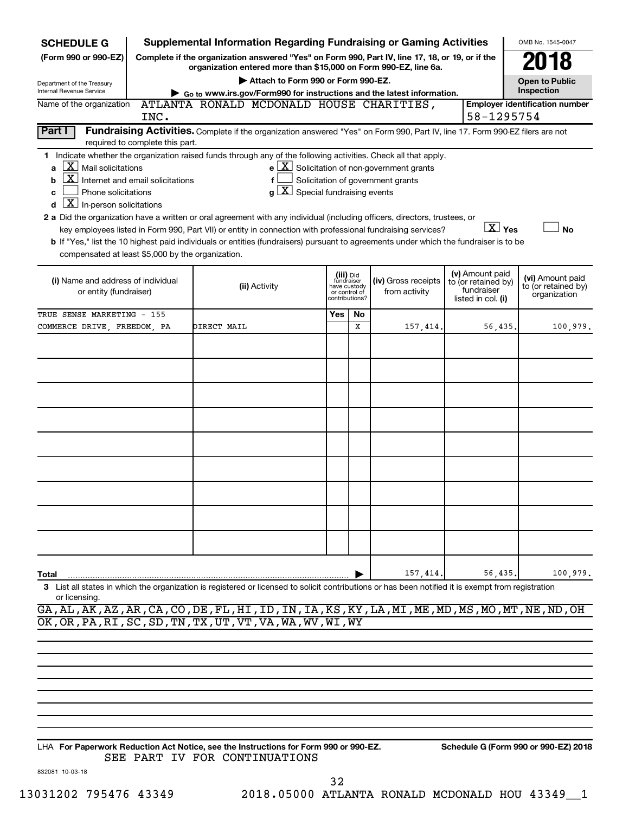| Complete if the organization answered "Yes" on Form 990, Part IV, line 17, 18, or 19, or if the<br>(Form 990 or 990-EZ)<br>organization entered more than \$15,000 on Form 990-EZ, line 6a.<br>Attach to Form 990 or Form 990-EZ.<br><b>Open to Public</b><br>Department of the Treasury<br>Inspection<br>Internal Revenue Service<br>$\triangleright$ Go to www.irs.gov/Form990 for instructions and the latest information.<br>ATLANTA RONALD MCDONALD HOUSE CHARITIES,<br><b>Employer identification number</b><br>Name of the organization<br>58-1295754<br>INC.<br>Fundraising Activities. Complete if the organization answered "Yes" on Form 990, Part IV, line 17. Form 990-EZ filers are not<br>Part I<br>required to complete this part.<br>1 Indicate whether the organization raised funds through any of the following activities. Check all that apply.<br>$e$ $\boxed{X}$ Solicitation of non-government grants<br>$\lfloor \mathbf{X} \rfloor$ Mail solicitations<br>a<br>$\boxed{\textbf{X}}$ Internet and email solicitations<br>Solicitation of government grants<br>b<br>f<br>$\mathbf{X}$<br>Special fundraising events<br>Phone solicitations<br>q l<br>C<br>$\boxed{\mathbf{X}}$ In-person solicitations<br>d<br>2 a Did the organization have a written or oral agreement with any individual (including officers, directors, trustees, or<br>$\boxed{\text{X}}$ Yes<br>key employees listed in Form 990, Part VII) or entity in connection with professional fundraising services?<br><b>No</b><br>b If "Yes," list the 10 highest paid individuals or entities (fundraisers) pursuant to agreements under which the fundraiser is to be<br>compensated at least \$5,000 by the organization.<br>(v) Amount paid<br>(iii) Did<br>fundraiser<br>(vi) Amount paid<br>(i) Name and address of individual<br>(iv) Gross receipts<br>to (or retained by)<br>to (or retained by)<br>(ii) Activity<br>have custody<br>fundraiser<br>from activity<br>or entity (fundraiser)<br>or control of<br>organization<br>contributions?<br>listed in col. (i)<br>Yes<br>TRUE SENSE MARKETING - 155<br>No<br>X<br>100,979.<br>COMMERCE DRIVE, FREEDOM, PA<br>DIRECT MAIL<br>157,414.<br>56,435.<br>157,414.<br>56,435,<br>100,979.<br>Total<br>3 List all states in which the organization is registered or licensed to solicit contributions or has been notified it is exempt from registration | <b>SCHEDULE G</b> |  | <b>Supplemental Information Regarding Fundraising or Gaming Activities</b> |  |  |  |  |  | OMB No. 1545-0047 |  |  |
|-----------------------------------------------------------------------------------------------------------------------------------------------------------------------------------------------------------------------------------------------------------------------------------------------------------------------------------------------------------------------------------------------------------------------------------------------------------------------------------------------------------------------------------------------------------------------------------------------------------------------------------------------------------------------------------------------------------------------------------------------------------------------------------------------------------------------------------------------------------------------------------------------------------------------------------------------------------------------------------------------------------------------------------------------------------------------------------------------------------------------------------------------------------------------------------------------------------------------------------------------------------------------------------------------------------------------------------------------------------------------------------------------------------------------------------------------------------------------------------------------------------------------------------------------------------------------------------------------------------------------------------------------------------------------------------------------------------------------------------------------------------------------------------------------------------------------------------------------------------------------------------------------------------------------------------------------------------------------------------------------------------------------------------------------------------------------------------------------------------------------------------------------------------------------------------------------------------------------------------------------------------------------------------------------------------------------------------------------------------------------------------------------------------|-------------------|--|----------------------------------------------------------------------------|--|--|--|--|--|-------------------|--|--|
|                                                                                                                                                                                                                                                                                                                                                                                                                                                                                                                                                                                                                                                                                                                                                                                                                                                                                                                                                                                                                                                                                                                                                                                                                                                                                                                                                                                                                                                                                                                                                                                                                                                                                                                                                                                                                                                                                                                                                                                                                                                                                                                                                                                                                                                                                                                                                                                                           |                   |  |                                                                            |  |  |  |  |  |                   |  |  |
|                                                                                                                                                                                                                                                                                                                                                                                                                                                                                                                                                                                                                                                                                                                                                                                                                                                                                                                                                                                                                                                                                                                                                                                                                                                                                                                                                                                                                                                                                                                                                                                                                                                                                                                                                                                                                                                                                                                                                                                                                                                                                                                                                                                                                                                                                                                                                                                                           |                   |  |                                                                            |  |  |  |  |  |                   |  |  |
|                                                                                                                                                                                                                                                                                                                                                                                                                                                                                                                                                                                                                                                                                                                                                                                                                                                                                                                                                                                                                                                                                                                                                                                                                                                                                                                                                                                                                                                                                                                                                                                                                                                                                                                                                                                                                                                                                                                                                                                                                                                                                                                                                                                                                                                                                                                                                                                                           |                   |  |                                                                            |  |  |  |  |  |                   |  |  |
|                                                                                                                                                                                                                                                                                                                                                                                                                                                                                                                                                                                                                                                                                                                                                                                                                                                                                                                                                                                                                                                                                                                                                                                                                                                                                                                                                                                                                                                                                                                                                                                                                                                                                                                                                                                                                                                                                                                                                                                                                                                                                                                                                                                                                                                                                                                                                                                                           |                   |  |                                                                            |  |  |  |  |  |                   |  |  |
|                                                                                                                                                                                                                                                                                                                                                                                                                                                                                                                                                                                                                                                                                                                                                                                                                                                                                                                                                                                                                                                                                                                                                                                                                                                                                                                                                                                                                                                                                                                                                                                                                                                                                                                                                                                                                                                                                                                                                                                                                                                                                                                                                                                                                                                                                                                                                                                                           |                   |  |                                                                            |  |  |  |  |  |                   |  |  |
|                                                                                                                                                                                                                                                                                                                                                                                                                                                                                                                                                                                                                                                                                                                                                                                                                                                                                                                                                                                                                                                                                                                                                                                                                                                                                                                                                                                                                                                                                                                                                                                                                                                                                                                                                                                                                                                                                                                                                                                                                                                                                                                                                                                                                                                                                                                                                                                                           |                   |  |                                                                            |  |  |  |  |  |                   |  |  |
|                                                                                                                                                                                                                                                                                                                                                                                                                                                                                                                                                                                                                                                                                                                                                                                                                                                                                                                                                                                                                                                                                                                                                                                                                                                                                                                                                                                                                                                                                                                                                                                                                                                                                                                                                                                                                                                                                                                                                                                                                                                                                                                                                                                                                                                                                                                                                                                                           |                   |  |                                                                            |  |  |  |  |  |                   |  |  |
|                                                                                                                                                                                                                                                                                                                                                                                                                                                                                                                                                                                                                                                                                                                                                                                                                                                                                                                                                                                                                                                                                                                                                                                                                                                                                                                                                                                                                                                                                                                                                                                                                                                                                                                                                                                                                                                                                                                                                                                                                                                                                                                                                                                                                                                                                                                                                                                                           |                   |  |                                                                            |  |  |  |  |  |                   |  |  |
|                                                                                                                                                                                                                                                                                                                                                                                                                                                                                                                                                                                                                                                                                                                                                                                                                                                                                                                                                                                                                                                                                                                                                                                                                                                                                                                                                                                                                                                                                                                                                                                                                                                                                                                                                                                                                                                                                                                                                                                                                                                                                                                                                                                                                                                                                                                                                                                                           |                   |  |                                                                            |  |  |  |  |  |                   |  |  |
|                                                                                                                                                                                                                                                                                                                                                                                                                                                                                                                                                                                                                                                                                                                                                                                                                                                                                                                                                                                                                                                                                                                                                                                                                                                                                                                                                                                                                                                                                                                                                                                                                                                                                                                                                                                                                                                                                                                                                                                                                                                                                                                                                                                                                                                                                                                                                                                                           |                   |  |                                                                            |  |  |  |  |  |                   |  |  |
|                                                                                                                                                                                                                                                                                                                                                                                                                                                                                                                                                                                                                                                                                                                                                                                                                                                                                                                                                                                                                                                                                                                                                                                                                                                                                                                                                                                                                                                                                                                                                                                                                                                                                                                                                                                                                                                                                                                                                                                                                                                                                                                                                                                                                                                                                                                                                                                                           |                   |  |                                                                            |  |  |  |  |  |                   |  |  |
|                                                                                                                                                                                                                                                                                                                                                                                                                                                                                                                                                                                                                                                                                                                                                                                                                                                                                                                                                                                                                                                                                                                                                                                                                                                                                                                                                                                                                                                                                                                                                                                                                                                                                                                                                                                                                                                                                                                                                                                                                                                                                                                                                                                                                                                                                                                                                                                                           |                   |  |                                                                            |  |  |  |  |  |                   |  |  |
|                                                                                                                                                                                                                                                                                                                                                                                                                                                                                                                                                                                                                                                                                                                                                                                                                                                                                                                                                                                                                                                                                                                                                                                                                                                                                                                                                                                                                                                                                                                                                                                                                                                                                                                                                                                                                                                                                                                                                                                                                                                                                                                                                                                                                                                                                                                                                                                                           |                   |  |                                                                            |  |  |  |  |  |                   |  |  |
|                                                                                                                                                                                                                                                                                                                                                                                                                                                                                                                                                                                                                                                                                                                                                                                                                                                                                                                                                                                                                                                                                                                                                                                                                                                                                                                                                                                                                                                                                                                                                                                                                                                                                                                                                                                                                                                                                                                                                                                                                                                                                                                                                                                                                                                                                                                                                                                                           |                   |  |                                                                            |  |  |  |  |  |                   |  |  |
|                                                                                                                                                                                                                                                                                                                                                                                                                                                                                                                                                                                                                                                                                                                                                                                                                                                                                                                                                                                                                                                                                                                                                                                                                                                                                                                                                                                                                                                                                                                                                                                                                                                                                                                                                                                                                                                                                                                                                                                                                                                                                                                                                                                                                                                                                                                                                                                                           |                   |  |                                                                            |  |  |  |  |  |                   |  |  |
|                                                                                                                                                                                                                                                                                                                                                                                                                                                                                                                                                                                                                                                                                                                                                                                                                                                                                                                                                                                                                                                                                                                                                                                                                                                                                                                                                                                                                                                                                                                                                                                                                                                                                                                                                                                                                                                                                                                                                                                                                                                                                                                                                                                                                                                                                                                                                                                                           |                   |  |                                                                            |  |  |  |  |  |                   |  |  |
|                                                                                                                                                                                                                                                                                                                                                                                                                                                                                                                                                                                                                                                                                                                                                                                                                                                                                                                                                                                                                                                                                                                                                                                                                                                                                                                                                                                                                                                                                                                                                                                                                                                                                                                                                                                                                                                                                                                                                                                                                                                                                                                                                                                                                                                                                                                                                                                                           |                   |  |                                                                            |  |  |  |  |  |                   |  |  |
|                                                                                                                                                                                                                                                                                                                                                                                                                                                                                                                                                                                                                                                                                                                                                                                                                                                                                                                                                                                                                                                                                                                                                                                                                                                                                                                                                                                                                                                                                                                                                                                                                                                                                                                                                                                                                                                                                                                                                                                                                                                                                                                                                                                                                                                                                                                                                                                                           |                   |  |                                                                            |  |  |  |  |  |                   |  |  |
|                                                                                                                                                                                                                                                                                                                                                                                                                                                                                                                                                                                                                                                                                                                                                                                                                                                                                                                                                                                                                                                                                                                                                                                                                                                                                                                                                                                                                                                                                                                                                                                                                                                                                                                                                                                                                                                                                                                                                                                                                                                                                                                                                                                                                                                                                                                                                                                                           |                   |  |                                                                            |  |  |  |  |  |                   |  |  |
|                                                                                                                                                                                                                                                                                                                                                                                                                                                                                                                                                                                                                                                                                                                                                                                                                                                                                                                                                                                                                                                                                                                                                                                                                                                                                                                                                                                                                                                                                                                                                                                                                                                                                                                                                                                                                                                                                                                                                                                                                                                                                                                                                                                                                                                                                                                                                                                                           |                   |  |                                                                            |  |  |  |  |  |                   |  |  |
|                                                                                                                                                                                                                                                                                                                                                                                                                                                                                                                                                                                                                                                                                                                                                                                                                                                                                                                                                                                                                                                                                                                                                                                                                                                                                                                                                                                                                                                                                                                                                                                                                                                                                                                                                                                                                                                                                                                                                                                                                                                                                                                                                                                                                                                                                                                                                                                                           |                   |  |                                                                            |  |  |  |  |  |                   |  |  |
|                                                                                                                                                                                                                                                                                                                                                                                                                                                                                                                                                                                                                                                                                                                                                                                                                                                                                                                                                                                                                                                                                                                                                                                                                                                                                                                                                                                                                                                                                                                                                                                                                                                                                                                                                                                                                                                                                                                                                                                                                                                                                                                                                                                                                                                                                                                                                                                                           |                   |  |                                                                            |  |  |  |  |  |                   |  |  |
|                                                                                                                                                                                                                                                                                                                                                                                                                                                                                                                                                                                                                                                                                                                                                                                                                                                                                                                                                                                                                                                                                                                                                                                                                                                                                                                                                                                                                                                                                                                                                                                                                                                                                                                                                                                                                                                                                                                                                                                                                                                                                                                                                                                                                                                                                                                                                                                                           |                   |  |                                                                            |  |  |  |  |  |                   |  |  |
|                                                                                                                                                                                                                                                                                                                                                                                                                                                                                                                                                                                                                                                                                                                                                                                                                                                                                                                                                                                                                                                                                                                                                                                                                                                                                                                                                                                                                                                                                                                                                                                                                                                                                                                                                                                                                                                                                                                                                                                                                                                                                                                                                                                                                                                                                                                                                                                                           |                   |  |                                                                            |  |  |  |  |  |                   |  |  |
|                                                                                                                                                                                                                                                                                                                                                                                                                                                                                                                                                                                                                                                                                                                                                                                                                                                                                                                                                                                                                                                                                                                                                                                                                                                                                                                                                                                                                                                                                                                                                                                                                                                                                                                                                                                                                                                                                                                                                                                                                                                                                                                                                                                                                                                                                                                                                                                                           |                   |  |                                                                            |  |  |  |  |  |                   |  |  |
|                                                                                                                                                                                                                                                                                                                                                                                                                                                                                                                                                                                                                                                                                                                                                                                                                                                                                                                                                                                                                                                                                                                                                                                                                                                                                                                                                                                                                                                                                                                                                                                                                                                                                                                                                                                                                                                                                                                                                                                                                                                                                                                                                                                                                                                                                                                                                                                                           |                   |  |                                                                            |  |  |  |  |  |                   |  |  |
|                                                                                                                                                                                                                                                                                                                                                                                                                                                                                                                                                                                                                                                                                                                                                                                                                                                                                                                                                                                                                                                                                                                                                                                                                                                                                                                                                                                                                                                                                                                                                                                                                                                                                                                                                                                                                                                                                                                                                                                                                                                                                                                                                                                                                                                                                                                                                                                                           |                   |  |                                                                            |  |  |  |  |  |                   |  |  |
|                                                                                                                                                                                                                                                                                                                                                                                                                                                                                                                                                                                                                                                                                                                                                                                                                                                                                                                                                                                                                                                                                                                                                                                                                                                                                                                                                                                                                                                                                                                                                                                                                                                                                                                                                                                                                                                                                                                                                                                                                                                                                                                                                                                                                                                                                                                                                                                                           |                   |  |                                                                            |  |  |  |  |  |                   |  |  |
|                                                                                                                                                                                                                                                                                                                                                                                                                                                                                                                                                                                                                                                                                                                                                                                                                                                                                                                                                                                                                                                                                                                                                                                                                                                                                                                                                                                                                                                                                                                                                                                                                                                                                                                                                                                                                                                                                                                                                                                                                                                                                                                                                                                                                                                                                                                                                                                                           |                   |  |                                                                            |  |  |  |  |  |                   |  |  |
|                                                                                                                                                                                                                                                                                                                                                                                                                                                                                                                                                                                                                                                                                                                                                                                                                                                                                                                                                                                                                                                                                                                                                                                                                                                                                                                                                                                                                                                                                                                                                                                                                                                                                                                                                                                                                                                                                                                                                                                                                                                                                                                                                                                                                                                                                                                                                                                                           |                   |  |                                                                            |  |  |  |  |  |                   |  |  |
|                                                                                                                                                                                                                                                                                                                                                                                                                                                                                                                                                                                                                                                                                                                                                                                                                                                                                                                                                                                                                                                                                                                                                                                                                                                                                                                                                                                                                                                                                                                                                                                                                                                                                                                                                                                                                                                                                                                                                                                                                                                                                                                                                                                                                                                                                                                                                                                                           |                   |  |                                                                            |  |  |  |  |  |                   |  |  |
|                                                                                                                                                                                                                                                                                                                                                                                                                                                                                                                                                                                                                                                                                                                                                                                                                                                                                                                                                                                                                                                                                                                                                                                                                                                                                                                                                                                                                                                                                                                                                                                                                                                                                                                                                                                                                                                                                                                                                                                                                                                                                                                                                                                                                                                                                                                                                                                                           |                   |  |                                                                            |  |  |  |  |  |                   |  |  |
|                                                                                                                                                                                                                                                                                                                                                                                                                                                                                                                                                                                                                                                                                                                                                                                                                                                                                                                                                                                                                                                                                                                                                                                                                                                                                                                                                                                                                                                                                                                                                                                                                                                                                                                                                                                                                                                                                                                                                                                                                                                                                                                                                                                                                                                                                                                                                                                                           |                   |  |                                                                            |  |  |  |  |  |                   |  |  |
|                                                                                                                                                                                                                                                                                                                                                                                                                                                                                                                                                                                                                                                                                                                                                                                                                                                                                                                                                                                                                                                                                                                                                                                                                                                                                                                                                                                                                                                                                                                                                                                                                                                                                                                                                                                                                                                                                                                                                                                                                                                                                                                                                                                                                                                                                                                                                                                                           |                   |  |                                                                            |  |  |  |  |  |                   |  |  |
|                                                                                                                                                                                                                                                                                                                                                                                                                                                                                                                                                                                                                                                                                                                                                                                                                                                                                                                                                                                                                                                                                                                                                                                                                                                                                                                                                                                                                                                                                                                                                                                                                                                                                                                                                                                                                                                                                                                                                                                                                                                                                                                                                                                                                                                                                                                                                                                                           |                   |  |                                                                            |  |  |  |  |  |                   |  |  |
|                                                                                                                                                                                                                                                                                                                                                                                                                                                                                                                                                                                                                                                                                                                                                                                                                                                                                                                                                                                                                                                                                                                                                                                                                                                                                                                                                                                                                                                                                                                                                                                                                                                                                                                                                                                                                                                                                                                                                                                                                                                                                                                                                                                                                                                                                                                                                                                                           |                   |  |                                                                            |  |  |  |  |  |                   |  |  |
|                                                                                                                                                                                                                                                                                                                                                                                                                                                                                                                                                                                                                                                                                                                                                                                                                                                                                                                                                                                                                                                                                                                                                                                                                                                                                                                                                                                                                                                                                                                                                                                                                                                                                                                                                                                                                                                                                                                                                                                                                                                                                                                                                                                                                                                                                                                                                                                                           |                   |  |                                                                            |  |  |  |  |  |                   |  |  |
|                                                                                                                                                                                                                                                                                                                                                                                                                                                                                                                                                                                                                                                                                                                                                                                                                                                                                                                                                                                                                                                                                                                                                                                                                                                                                                                                                                                                                                                                                                                                                                                                                                                                                                                                                                                                                                                                                                                                                                                                                                                                                                                                                                                                                                                                                                                                                                                                           |                   |  |                                                                            |  |  |  |  |  |                   |  |  |
| or licensing.                                                                                                                                                                                                                                                                                                                                                                                                                                                                                                                                                                                                                                                                                                                                                                                                                                                                                                                                                                                                                                                                                                                                                                                                                                                                                                                                                                                                                                                                                                                                                                                                                                                                                                                                                                                                                                                                                                                                                                                                                                                                                                                                                                                                                                                                                                                                                                                             |                   |  |                                                                            |  |  |  |  |  |                   |  |  |

GA,AL,AK,AZ,AR,CA,CO,DE,FL,HI,ID,IN,IA,KS,KY,LA,MI,ME,MD,MS,MO,MT,NE,ND,OH OK,OR,PA,RI,SC,SD,TN,TX,UT,VT,VA,WA,WV,WI,WY

**For Paperwork Reduction Act Notice, see the Instructions for Form 990 or 990-EZ. Schedule G (Form 990 or 990-EZ) 2018** LHA SEE PART IV FOR CONTINUATIONS

832081 10-03-18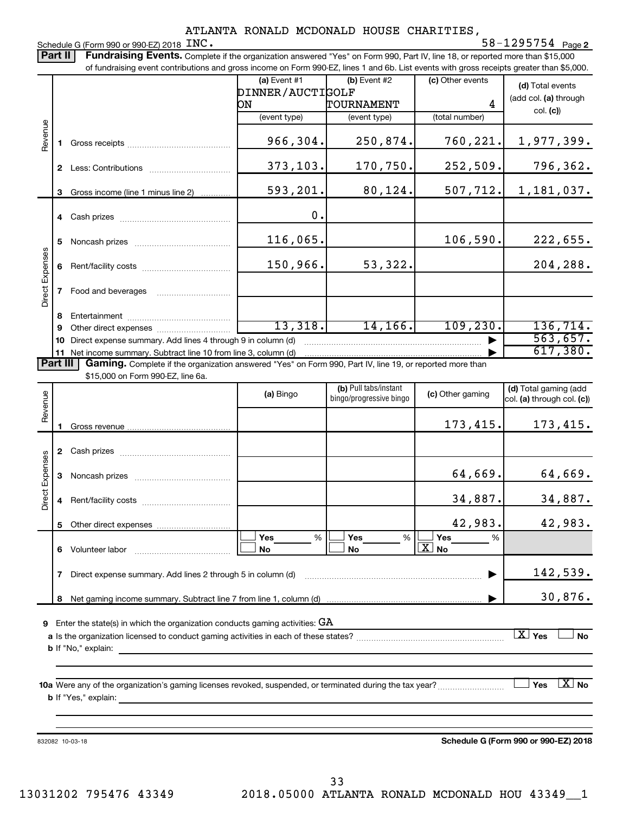**2** INC. 58-1295754  $_{\text{Page 2}}$ Schedule G (Form 990 or 990-EZ)  $2018$   $INC$ .

Part II | Fundraising Events. Complete if the organization answered "Yes" on Form 990, Part IV, line 18, or reported more than \$15,000

| Revenue<br>3<br>5          | ЮN<br>Gross income (line 1 minus line 2)                                                                 | (a) Event $#1$<br>DINNER/AUCTIGOLF<br>(event type)<br>966,304.<br>373,103. | (b) Event #2<br>TOURNAMENT<br>(event type)<br>250,874.<br>170,750. | (c) Other events<br>4<br>(total number)<br>760, 221. | (d) Total events<br>(add col. (a) through<br>col. (c)<br>1,977,399. |
|----------------------------|----------------------------------------------------------------------------------------------------------|----------------------------------------------------------------------------|--------------------------------------------------------------------|------------------------------------------------------|---------------------------------------------------------------------|
|                            |                                                                                                          |                                                                            |                                                                    |                                                      |                                                                     |
|                            |                                                                                                          |                                                                            |                                                                    |                                                      |                                                                     |
|                            |                                                                                                          |                                                                            |                                                                    |                                                      |                                                                     |
|                            |                                                                                                          |                                                                            |                                                                    |                                                      |                                                                     |
|                            |                                                                                                          |                                                                            |                                                                    | 252,509.                                             | 796,362.                                                            |
|                            |                                                                                                          | 593,201.                                                                   | 80,124.                                                            | 507, 712.                                            | 1,181,037.                                                          |
|                            |                                                                                                          | 0.                                                                         |                                                                    |                                                      |                                                                     |
|                            |                                                                                                          | 116,065.                                                                   |                                                                    | 106,590.                                             | 222,655.                                                            |
| 6                          |                                                                                                          | 150,966.                                                                   | 53,322.                                                            |                                                      | 204,288.                                                            |
| Direct Expenses            |                                                                                                          |                                                                            |                                                                    |                                                      |                                                                     |
| 8                          |                                                                                                          |                                                                            |                                                                    |                                                      |                                                                     |
| 9                          |                                                                                                          | 13,318.                                                                    | 14, 166.                                                           | 109, 230.                                            | 136, 714.                                                           |
|                            | 10 Direct expense summary. Add lines 4 through 9 in column (d)                                           |                                                                            |                                                                    |                                                      | 563,657.                                                            |
|                            | 11 Net income summary. Subtract line 10 from line 3, column (d)                                          |                                                                            |                                                                    |                                                      | 617,380.                                                            |
| <b>Part III</b>            | Gaming. Complete if the organization answered "Yes" on Form 990, Part IV, line 19, or reported more than |                                                                            |                                                                    |                                                      |                                                                     |
|                            | \$15,000 on Form 990-EZ, line 6a.                                                                        |                                                                            |                                                                    |                                                      |                                                                     |
| Revenue                    |                                                                                                          | (a) Bingo                                                                  | (b) Pull tabs/instant<br>bingo/progressive bingo                   | (c) Other gaming                                     | (d) Total gaming (add<br>col. (a) through col. (c))                 |
|                            |                                                                                                          |                                                                            |                                                                    | 173,415.                                             | 173, 415.                                                           |
|                            |                                                                                                          |                                                                            |                                                                    |                                                      |                                                                     |
| Direct Expenses<br>3       |                                                                                                          |                                                                            |                                                                    | 64,669.                                              | 64,669.                                                             |
|                            |                                                                                                          |                                                                            |                                                                    | 34,887.                                              | 34,887.                                                             |
| Other direct expenses<br>5 |                                                                                                          |                                                                            |                                                                    | 42,983.                                              | 42,983.                                                             |
|                            |                                                                                                          |                                                                            |                                                                    |                                                      |                                                                     |
| Volunteer labor<br>6.      |                                                                                                          | Yes<br>%                                                                   | %<br>Yes                                                           | Yes<br>%                                             |                                                                     |
| 7                          |                                                                                                          | No                                                                         | No                                                                 | $\boxed{\text{X}}$ No                                |                                                                     |
| 8                          | Direct expense summary. Add lines 2 through 5 in column (d)                                              |                                                                            |                                                                    |                                                      | 142,539.                                                            |

 ${\bf 9}$   $\,$  Enter the state(s) in which the organization conducts gaming activities:  ${\rm GA}$ 

**a** Is the organization licensed to conduct gaming activities in each of these states? ~~~~~~~~~~~~~~~~~~~~ **b** If "No," explain:  $\boxed{\text{X}}$   $\text{Yes}$   $\boxed{\phantom{1}}$  No

**10 a** Were any of the organization's gaming licenses revoked, suspended, or terminated during the tax year? ~~~~~~~~~ **b** If "Yes," explain: **No** 

832082 10-03-18

**Schedule G (Form 990 or 990-EZ) 2018**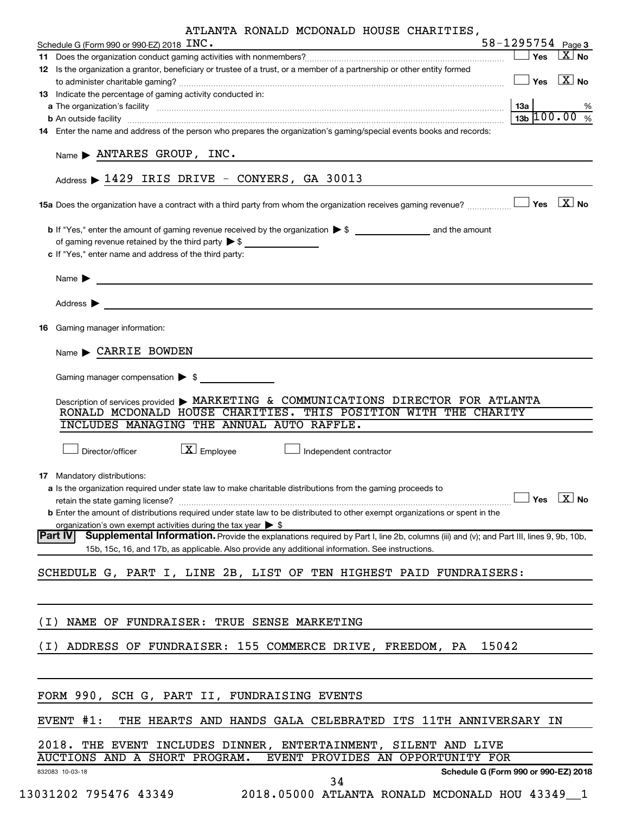| Schedule G (Form 990 or 990-EZ) 2018 INC.                                                                                                                                                                                                                                                                                               |                                                                                    | 58-1295754 Page 3                    |              |                                                              |
|-----------------------------------------------------------------------------------------------------------------------------------------------------------------------------------------------------------------------------------------------------------------------------------------------------------------------------------------|------------------------------------------------------------------------------------|--------------------------------------|--------------|--------------------------------------------------------------|
|                                                                                                                                                                                                                                                                                                                                         |                                                                                    |                                      | $\Box$ Yes   | $\lfloor X \rfloor$ No                                       |
| 12 Is the organization a grantor, beneficiary or trustee of a trust, or a member of a partnership or other entity formed                                                                                                                                                                                                                |                                                                                    |                                      |              |                                                              |
|                                                                                                                                                                                                                                                                                                                                         |                                                                                    |                                      |              | $\sqrt{\phantom{a}}$ Yes $\sqrt{\phantom{a}X\phantom{a}}$ No |
| <b>13</b> Indicate the percentage of gaming activity conducted in:                                                                                                                                                                                                                                                                      |                                                                                    |                                      |              |                                                              |
|                                                                                                                                                                                                                                                                                                                                         |                                                                                    |                                      |              | %                                                            |
| <b>b</b> An outside facility <i>www.communicality.communicality.communicality www.communicality.communicality.communicality</i>                                                                                                                                                                                                         |                                                                                    |                                      | $13b$ 100.00 | $\frac{0}{0}$                                                |
| 14 Enter the name and address of the person who prepares the organization's gaming/special events books and records:                                                                                                                                                                                                                    |                                                                                    |                                      |              |                                                              |
| Name > ANTARES GROUP, INC.                                                                                                                                                                                                                                                                                                              |                                                                                    |                                      |              |                                                              |
| Address $\blacktriangleright$ 1429 IRIS DRIVE - CONYERS, GA 30013                                                                                                                                                                                                                                                                       |                                                                                    |                                      |              |                                                              |
|                                                                                                                                                                                                                                                                                                                                         |                                                                                    |                                      |              |                                                              |
|                                                                                                                                                                                                                                                                                                                                         |                                                                                    |                                      |              |                                                              |
| of gaming revenue retained by the third party $\triangleright$ \$                                                                                                                                                                                                                                                                       |                                                                                    |                                      |              |                                                              |
| c If "Yes," enter name and address of the third party:                                                                                                                                                                                                                                                                                  |                                                                                    |                                      |              |                                                              |
|                                                                                                                                                                                                                                                                                                                                         |                                                                                    |                                      |              |                                                              |
| Name $\blacktriangleright$                                                                                                                                                                                                                                                                                                              |                                                                                    |                                      |              |                                                              |
| Address $\blacktriangleright$                                                                                                                                                                                                                                                                                                           |                                                                                    |                                      |              |                                                              |
| Gaming manager information:<br>16                                                                                                                                                                                                                                                                                                       |                                                                                    |                                      |              |                                                              |
|                                                                                                                                                                                                                                                                                                                                         |                                                                                    |                                      |              |                                                              |
| Name CARRIE BOWDEN                                                                                                                                                                                                                                                                                                                      |                                                                                    |                                      |              |                                                              |
|                                                                                                                                                                                                                                                                                                                                         |                                                                                    |                                      |              |                                                              |
| Gaming manager compensation $\triangleright$ \$                                                                                                                                                                                                                                                                                         |                                                                                    |                                      |              |                                                              |
|                                                                                                                                                                                                                                                                                                                                         |                                                                                    |                                      |              |                                                              |
|                                                                                                                                                                                                                                                                                                                                         |                                                                                    |                                      |              |                                                              |
|                                                                                                                                                                                                                                                                                                                                         | Description of services provided > MARKETING & COMMUNICATIONS DIRECTOR FOR ATLANTA |                                      |              |                                                              |
| RONALD MCDONALD HOUSE CHARITIES. THIS POSITION WITH THE CHARITY                                                                                                                                                                                                                                                                         |                                                                                    |                                      |              |                                                              |
| INCLUDES MANAGING THE ANNUAL AUTO RAFFLE.                                                                                                                                                                                                                                                                                               |                                                                                    |                                      |              |                                                              |
|                                                                                                                                                                                                                                                                                                                                         |                                                                                    |                                      |              |                                                              |
| $\boxed{\text{X}}$ Employee<br>Director/officer                                                                                                                                                                                                                                                                                         | Independent contractor                                                             |                                      |              |                                                              |
|                                                                                                                                                                                                                                                                                                                                         |                                                                                    |                                      |              |                                                              |
|                                                                                                                                                                                                                                                                                                                                         |                                                                                    |                                      |              |                                                              |
| a Is the organization required under state law to make charitable distributions from the gaming proceeds to                                                                                                                                                                                                                             |                                                                                    |                                      |              |                                                              |
| retain the state gaming license?                                                                                                                                                                                                                                                                                                        |                                                                                    |                                      |              |                                                              |
| b Enter the amount of distributions required under state law to be distributed to other exempt organizations or spent in the                                                                                                                                                                                                            |                                                                                    |                                      |              |                                                              |
| organization's own exempt activities during the tax year $\triangleright$ \$                                                                                                                                                                                                                                                            |                                                                                    |                                      |              |                                                              |
| Supplemental Information. Provide the explanations required by Part I, line 2b, columns (iii) and (v); and Part III, lines 9, 9b, 10b,                                                                                                                                                                                                  |                                                                                    |                                      |              |                                                              |
| 15b, 15c, 16, and 17b, as applicable. Also provide any additional information. See instructions.                                                                                                                                                                                                                                        |                                                                                    |                                      |              |                                                              |
|                                                                                                                                                                                                                                                                                                                                         |                                                                                    |                                      |              |                                                              |
|                                                                                                                                                                                                                                                                                                                                         |                                                                                    |                                      |              |                                                              |
|                                                                                                                                                                                                                                                                                                                                         |                                                                                    |                                      |              |                                                              |
| NAME OF FUNDRAISER: TRUE SENSE MARKETING<br>I)                                                                                                                                                                                                                                                                                          |                                                                                    |                                      |              |                                                              |
| ( I )                                                                                                                                                                                                                                                                                                                                   |                                                                                    |                                      |              |                                                              |
| ADDRESS OF FUNDRAISER: 155 COMMERCE DRIVE, FREEDOM, PA                                                                                                                                                                                                                                                                                  |                                                                                    | 15042                                |              |                                                              |
|                                                                                                                                                                                                                                                                                                                                         |                                                                                    |                                      |              |                                                              |
|                                                                                                                                                                                                                                                                                                                                         |                                                                                    |                                      |              |                                                              |
|                                                                                                                                                                                                                                                                                                                                         |                                                                                    |                                      |              |                                                              |
|                                                                                                                                                                                                                                                                                                                                         |                                                                                    |                                      |              |                                                              |
|                                                                                                                                                                                                                                                                                                                                         | THE HEARTS AND HANDS GALA CELEBRATED ITS 11TH ANNIVERSARY IN                       |                                      |              |                                                              |
|                                                                                                                                                                                                                                                                                                                                         |                                                                                    |                                      |              |                                                              |
|                                                                                                                                                                                                                                                                                                                                         |                                                                                    |                                      |              |                                                              |
|                                                                                                                                                                                                                                                                                                                                         | EVENT PROVIDES AN OPPORTUNITY FOR                                                  |                                      |              |                                                              |
|                                                                                                                                                                                                                                                                                                                                         |                                                                                    | Schedule G (Form 990 or 990-EZ) 2018 |              |                                                              |
| <b>17</b> Mandatory distributions:<br><b>Part IV</b><br>SCHEDULE G, PART I, LINE 2B, LIST OF TEN HIGHEST PAID FUNDRAISERS:<br>FORM 990, SCH G, PART II, FUNDRAISING EVENTS<br>EVENT #1:<br>2018. THE EVENT INCLUDES DINNER, ENTERTAINMENT, SILENT AND LIVE<br>AUCTIONS AND A SHORT PROGRAM.<br>832083 10-03-18<br>13031202 795476 43349 | 34<br>2018.05000 ATLANTA RONALD MCDONALD HOU 43349                                 |                                      |              | Yes $\lfloor x \rfloor$ No                                   |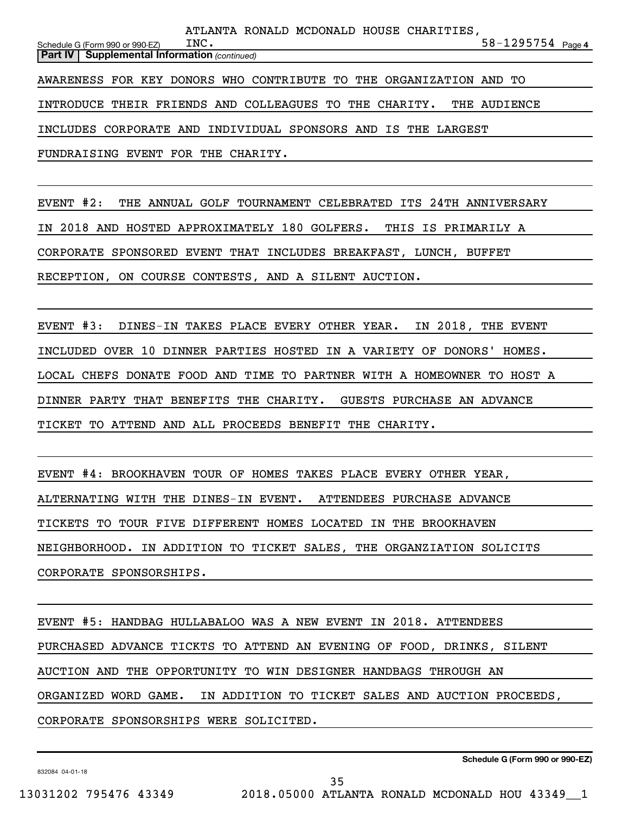**4** INC. 58-1295754  $_{\text{Page 4}}$ **Part IV** | Supplemental Information (continued) Schedule G (Form 990 or 990-EZ)  $\text{INC.}$ ATLANTA RONALD MCDONALD HOUSE CHARITIES, AWARENESS FOR KEY DONORS WHO CONTRIBUTE TO THE ORGANIZATION AND TO INTRODUCE THEIR FRIENDS AND COLLEAGUES TO THE CHARITY. THE AUDIENCE INCLUDES CORPORATE AND INDIVIDUAL SPONSORS AND IS THE LARGEST FUNDRAISING EVENT FOR THE CHARITY.

EVENT #2: THE ANNUAL GOLF TOURNAMENT CELEBRATED ITS 24TH ANNIVERSARY IN 2018 AND HOSTED APPROXIMATELY 180 GOLFERS. THIS IS PRIMARILY A CORPORATE SPONSORED EVENT THAT INCLUDES BREAKFAST, LUNCH, BUFFET RECEPTION, ON COURSE CONTESTS, AND A SILENT AUCTION.

EVENT #3: DINES-IN TAKES PLACE EVERY OTHER YEAR. IN 2018, THE EVENT INCLUDED OVER 10 DINNER PARTIES HOSTED IN A VARIETY OF DONORS' HOMES. LOCAL CHEFS DONATE FOOD AND TIME TO PARTNER WITH A HOMEOWNER TO HOST A DINNER PARTY THAT BENEFITS THE CHARITY. GUESTS PURCHASE AN ADVANCE TICKET TO ATTEND AND ALL PROCEEDS BENEFIT THE CHARITY.

EVENT #4: BROOKHAVEN TOUR OF HOMES TAKES PLACE EVERY OTHER YEAR, ALTERNATING WITH THE DINES-IN EVENT. ATTENDEES PURCHASE ADVANCE TICKETS TO TOUR FIVE DIFFERENT HOMES LOCATED IN THE BROOKHAVEN NEIGHBORHOOD. IN ADDITION TO TICKET SALES, THE ORGANZIATION SOLICITS CORPORATE SPONSORSHIPS.

EVENT #5: HANDBAG HULLABALOO WAS A NEW EVENT IN 2018. ATTENDEES PURCHASED ADVANCE TICKTS TO ATTEND AN EVENING OF FOOD, DRINKS, SILENT AUCTION AND THE OPPORTUNITY TO WIN DESIGNER HANDBAGS THROUGH AN ORGANIZED WORD GAME. IN ADDITION TO TICKET SALES AND AUCTION PROCEEDS, CORPORATE SPONSORSHIPS WERE SOLICITED.

832084 04-01-18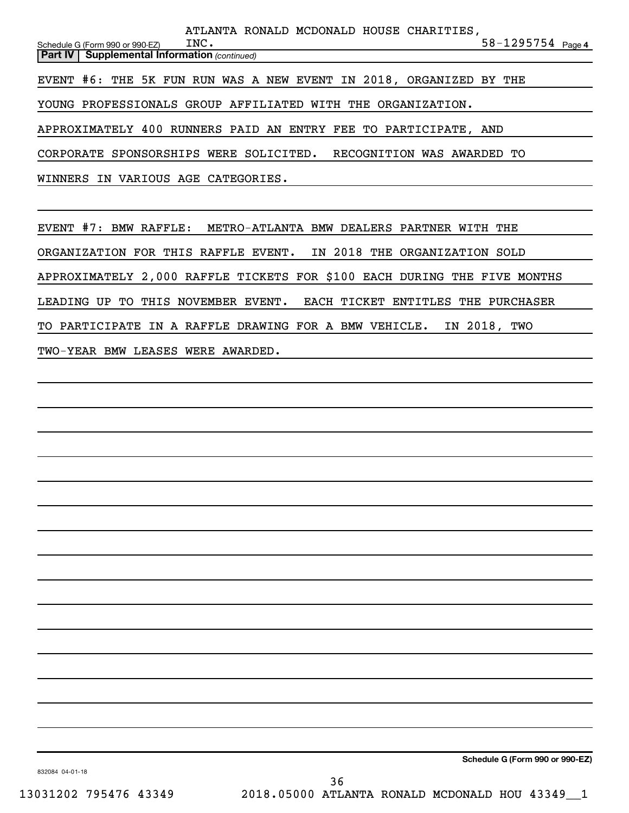**4** INC. 58-1295754  $_{\text{Page 4}}$ **Part IV** | Supplemental Information (continued) Schedule G (Form 990 or 990-EZ)  $\text{INC.}$ ATLANTA RONALD MCDONALD HOUSE CHARITIES, EVENT #6: THE 5K FUN RUN WAS A NEW EVENT IN 2018, ORGANIZED BY THE YOUNG PROFESSIONALS GROUP AFFILIATED WITH THE ORGANIZATION. APPROXIMATELY 400 RUNNERS PAID AN ENTRY FEE TO PARTICIPATE, AND CORPORATE SPONSORSHIPS WERE SOLICITED. RECOGNITION WAS AWARDED TO WINNERS IN VARIOUS AGE CATEGORIES.

EVENT #7: BMW RAFFLE: METRO-ATLANTA BMW DEALERS PARTNER WITH THE ORGANIZATION FOR THIS RAFFLE EVENT. IN 2018 THE ORGANIZATION SOLD APPROXIMATELY 2,000 RAFFLE TICKETS FOR \$100 EACH DURING THE FIVE MONTHS LEADING UP TO THIS NOVEMBER EVENT. EACH TICKET ENTITLES THE PURCHASER TO PARTICIPATE IN A RAFFLE DRAWING FOR A BMW VEHICLE. IN 2018, TWO TWO-YEAR BMW LEASES WERE AWARDED.

832084 04-01-18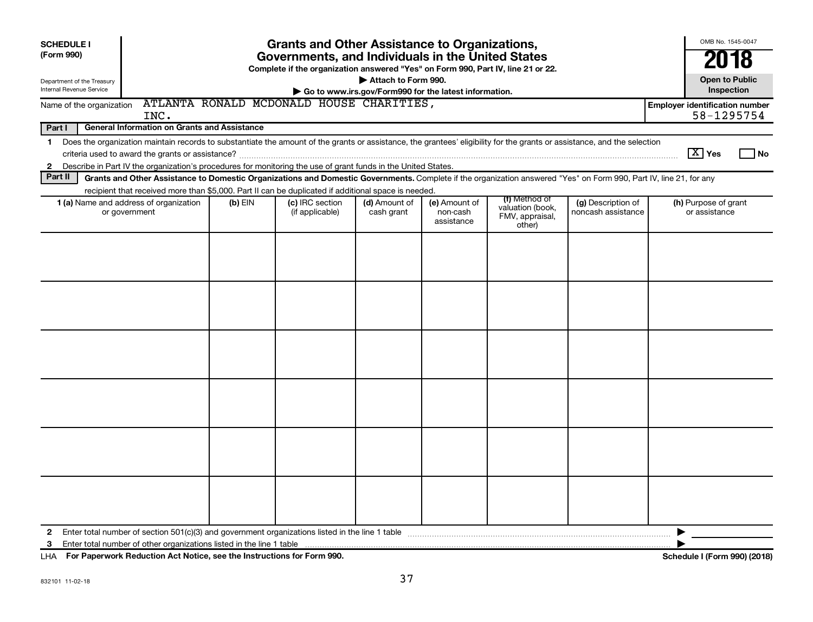| <b>SCHEDULE I</b><br>(Form 990)                                                                                                                                                                                                                                                                                          |  |           | <b>Grants and Other Assistance to Organizations,</b><br>Governments, and Individuals in the United States<br>Complete if the organization answered "Yes" on Form 990, Part IV, line 21 or 22. |                             |                                                       |                                                                                                                                                                    |                                          |   | OMB No. 1545-0047<br>2018             |  |  |
|--------------------------------------------------------------------------------------------------------------------------------------------------------------------------------------------------------------------------------------------------------------------------------------------------------------------------|--|-----------|-----------------------------------------------------------------------------------------------------------------------------------------------------------------------------------------------|-----------------------------|-------------------------------------------------------|--------------------------------------------------------------------------------------------------------------------------------------------------------------------|------------------------------------------|---|---------------------------------------|--|--|
| Department of the Treasury<br>Internal Revenue Service                                                                                                                                                                                                                                                                   |  |           |                                                                                                                                                                                               | Attach to Form 990.         | Go to www.irs.gov/Form990 for the latest information. |                                                                                                                                                                    |                                          |   | <b>Open to Public</b><br>Inspection   |  |  |
| ATLANTA RONALD MCDONALD HOUSE CHARITIES,<br>Name of the organization<br><b>Employer identification number</b><br>INC.                                                                                                                                                                                                    |  |           |                                                                                                                                                                                               |                             |                                                       |                                                                                                                                                                    |                                          |   |                                       |  |  |
| 58-1295754<br>General Information on Grants and Assistance<br>Part I                                                                                                                                                                                                                                                     |  |           |                                                                                                                                                                                               |                             |                                                       |                                                                                                                                                                    |                                          |   |                                       |  |  |
| Does the organization maintain records to substantiate the amount of the grants or assistance, the grantees' eligibility for the grants or assistance, and the selection<br>$\mathbf 1$<br>Describe in Part IV the organization's procedures for monitoring the use of grant funds in the United States.<br>$\mathbf{2}$ |  |           |                                                                                                                                                                                               |                             |                                                       |                                                                                                                                                                    |                                          |   | $\boxed{\text{X}}$ Yes<br>  No        |  |  |
| Part II                                                                                                                                                                                                                                                                                                                  |  |           |                                                                                                                                                                                               |                             |                                                       | Grants and Other Assistance to Domestic Organizations and Domestic Governments. Complete if the organization answered "Yes" on Form 990, Part IV, line 21, for any |                                          |   |                                       |  |  |
| recipient that received more than \$5,000. Part II can be duplicated if additional space is needed.<br>1 (a) Name and address of organization<br>or government                                                                                                                                                           |  | $(b)$ EIN | (c) IRC section<br>(if applicable)                                                                                                                                                            | (d) Amount of<br>cash grant | (e) Amount of<br>non-cash<br>assistance               | (f) Method of<br>valuation (book,<br>FMV, appraisal,<br>other)                                                                                                     | (g) Description of<br>noncash assistance |   | (h) Purpose of grant<br>or assistance |  |  |
|                                                                                                                                                                                                                                                                                                                          |  |           |                                                                                                                                                                                               |                             |                                                       |                                                                                                                                                                    |                                          |   |                                       |  |  |
|                                                                                                                                                                                                                                                                                                                          |  |           |                                                                                                                                                                                               |                             |                                                       |                                                                                                                                                                    |                                          |   |                                       |  |  |
|                                                                                                                                                                                                                                                                                                                          |  |           |                                                                                                                                                                                               |                             |                                                       |                                                                                                                                                                    |                                          |   |                                       |  |  |
|                                                                                                                                                                                                                                                                                                                          |  |           |                                                                                                                                                                                               |                             |                                                       |                                                                                                                                                                    |                                          |   |                                       |  |  |
|                                                                                                                                                                                                                                                                                                                          |  |           |                                                                                                                                                                                               |                             |                                                       |                                                                                                                                                                    |                                          |   |                                       |  |  |
|                                                                                                                                                                                                                                                                                                                          |  |           |                                                                                                                                                                                               |                             |                                                       |                                                                                                                                                                    |                                          |   |                                       |  |  |
| $\mathbf{2}$<br>Enter total number of other organizations listed in the line 1 table<br>3                                                                                                                                                                                                                                |  |           |                                                                                                                                                                                               |                             |                                                       |                                                                                                                                                                    |                                          | ▶ |                                       |  |  |

**For Paperwork Reduction Act Notice, see the Instructions for Form 990. Schedule I (Form 990) (2018)** LHA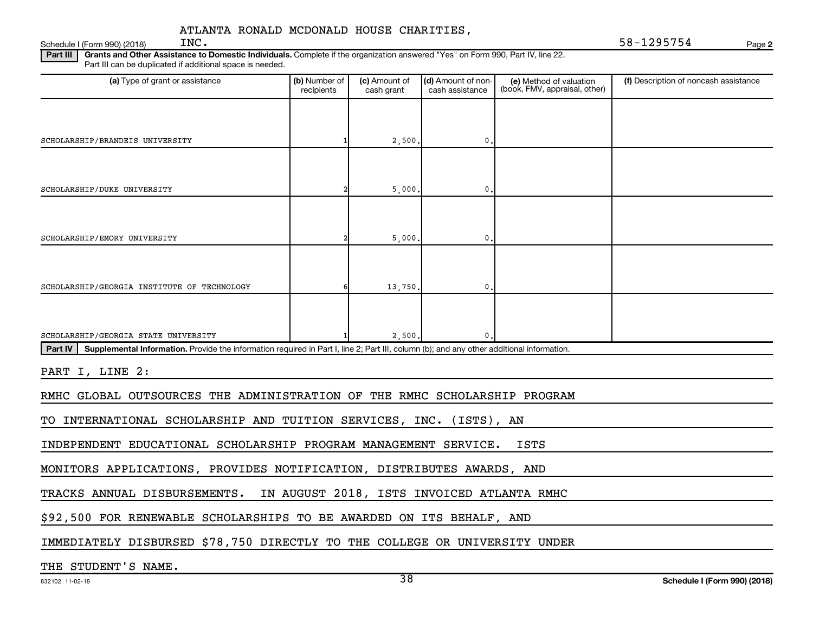Schedule I (Form 990) (2018)  $INC$ .

**2** INC. 58-1295754

Part III | Grants and Other Assistance to Domestic Individuals. Complete if the organization answered "Yes" on Form 990, Part IV, line 22. Part III can be duplicated if additional space is needed.

| (a) Type of grant or assistance                                                                                                                      | (b) Number of<br>recipients | (c) Amount of<br>cash grant | (d) Amount of non-<br>cash assistance      | (e) Method of valuation<br>(book, FMV, appraisal, other) | (f) Description of noncash assistance |  |  |  |  |
|------------------------------------------------------------------------------------------------------------------------------------------------------|-----------------------------|-----------------------------|--------------------------------------------|----------------------------------------------------------|---------------------------------------|--|--|--|--|
|                                                                                                                                                      |                             |                             |                                            |                                                          |                                       |  |  |  |  |
|                                                                                                                                                      |                             |                             |                                            |                                                          |                                       |  |  |  |  |
| SCHOLARSHIP/BRANDEIS UNIVERSITY                                                                                                                      |                             | 2,500.                      | $\mathbf 0$                                |                                                          |                                       |  |  |  |  |
|                                                                                                                                                      |                             |                             |                                            |                                                          |                                       |  |  |  |  |
|                                                                                                                                                      |                             |                             |                                            |                                                          |                                       |  |  |  |  |
| SCHOLARSHIP/DUKE UNIVERSITY                                                                                                                          |                             | 5,000.                      | $\mathbf 0$                                |                                                          |                                       |  |  |  |  |
|                                                                                                                                                      |                             |                             |                                            |                                                          |                                       |  |  |  |  |
|                                                                                                                                                      |                             |                             |                                            |                                                          |                                       |  |  |  |  |
| SCHOLARSHIP/EMORY UNIVERSITY                                                                                                                         |                             | 5,000.                      | $\mathbf 0$                                |                                                          |                                       |  |  |  |  |
|                                                                                                                                                      |                             |                             |                                            |                                                          |                                       |  |  |  |  |
|                                                                                                                                                      |                             |                             |                                            |                                                          |                                       |  |  |  |  |
| SCHOLARSHIP/GEORGIA INSTITUTE OF TECHNOLOGY                                                                                                          |                             | 13,750.                     | $\mathbf 0$ .                              |                                                          |                                       |  |  |  |  |
|                                                                                                                                                      |                             |                             |                                            |                                                          |                                       |  |  |  |  |
|                                                                                                                                                      |                             |                             |                                            |                                                          |                                       |  |  |  |  |
| SCHOLARSHIP/GEORGIA STATE UNIVERSITY                                                                                                                 |                             | 2,500.                      | $\mathbf 0$                                |                                                          |                                       |  |  |  |  |
| Supplemental Information. Provide the information required in Part I, line 2; Part III, column (b); and any other additional information.<br>Part IV |                             |                             |                                            |                                                          |                                       |  |  |  |  |
| PART I, LINE 2:                                                                                                                                      |                             |                             |                                            |                                                          |                                       |  |  |  |  |
|                                                                                                                                                      |                             |                             |                                            |                                                          |                                       |  |  |  |  |
| RMHC GLOBAL OUTSOURCES THE ADMINISTRATION OF THE RMHC SCHOLARSHIP PROGRAM                                                                            |                             |                             |                                            |                                                          |                                       |  |  |  |  |
| TO INTERNATIONAL SCHOLARSHIP AND TUITION SERVICES, INC. (ISTS), AN                                                                                   |                             |                             |                                            |                                                          |                                       |  |  |  |  |
|                                                                                                                                                      |                             |                             |                                            |                                                          |                                       |  |  |  |  |
| INDEPENDENT EDUCATIONAL SCHOLARSHIP PROGRAM MANAGEMENT SERVICE.                                                                                      |                             |                             |                                            | ISTS                                                     |                                       |  |  |  |  |
| MONITORS APPLICATIONS, PROVIDES NOTIFICATION, DISTRIBUTES AWARDS, AND                                                                                |                             |                             |                                            |                                                          |                                       |  |  |  |  |
| TRACKS ANNUAL DISBURSEMENTS.                                                                                                                         |                             |                             | IN AUGUST 2018, ISTS INVOICED ATLANTA RMHC |                                                          |                                       |  |  |  |  |
| \$92,500 FOR RENEWABLE SCHOLARSHIPS TO BE AWARDED ON ITS BEHALF, AND                                                                                 |                             |                             |                                            |                                                          |                                       |  |  |  |  |
| IMMEDIATELY DISBURSED \$78,750 DIRECTLY TO THE COLLEGE OR UNIVERSITY UNDER                                                                           |                             |                             |                                            |                                                          |                                       |  |  |  |  |
|                                                                                                                                                      |                             |                             |                                            |                                                          |                                       |  |  |  |  |

### THE STUDENT'S NAME.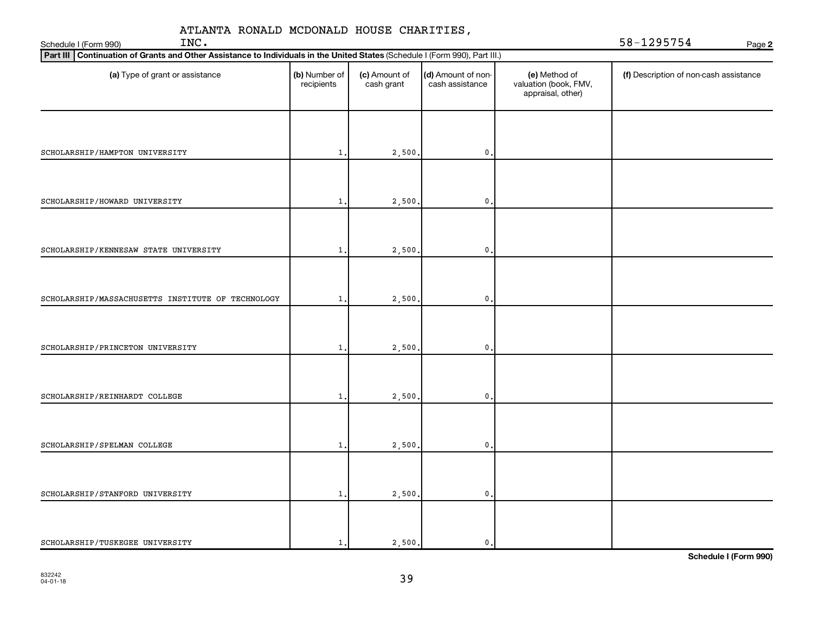| INC.<br>Schedule I (Form 990)                                                                                                 | 58-1295754<br>Page 2        |                             |                                       |                                                             |                                        |  |
|-------------------------------------------------------------------------------------------------------------------------------|-----------------------------|-----------------------------|---------------------------------------|-------------------------------------------------------------|----------------------------------------|--|
| Part III   Continuation of Grants and Other Assistance to Individuals in the United States (Schedule I (Form 990), Part III.) |                             |                             |                                       |                                                             |                                        |  |
| (a) Type of grant or assistance                                                                                               | (b) Number of<br>recipients | (c) Amount of<br>cash grant | (d) Amount of non-<br>cash assistance | (e) Method of<br>valuation (book, FMV,<br>appraisal, other) | (f) Description of non-cash assistance |  |
| SCHOLARSHIP/HAMPTON UNIVERSITY                                                                                                | $\mathbf{1}$                | 2,500                       | $\mathbf 0$ .                         |                                                             |                                        |  |
|                                                                                                                               |                             |                             |                                       |                                                             |                                        |  |
| SCHOLARSHIP/HOWARD UNIVERSITY                                                                                                 | 1                           | 2,500                       | $\mathbf{0}$                          |                                                             |                                        |  |
| SCHOLARSHIP/KENNESAW STATE UNIVERSITY                                                                                         | $\mathbf{1}$                | 2,500                       | $\mathbf 0$                           |                                                             |                                        |  |
| SCHOLARSHIP/MASSACHUSETTS INSTITUTE OF TECHNOLOGY                                                                             | 1                           | 2,500                       | $\mathbf{0}$                          |                                                             |                                        |  |
| SCHOLARSHIP/PRINCETON UNIVERSITY                                                                                              | $\mathbf{1}$                | 2,500                       | $\mathbf{0}$                          |                                                             |                                        |  |
| SCHOLARSHIP/REINHARDT COLLEGE                                                                                                 | $\mathbf{1}$                | 2,500                       | $\mathbf 0$                           |                                                             |                                        |  |
| SCHOLARSHIP/SPELMAN COLLEGE                                                                                                   | $\mathbf{1}$                | 2,500                       | $\mathbf 0$ .                         |                                                             |                                        |  |
| SCHOLARSHIP/STANFORD UNIVERSITY                                                                                               | $\mathbf{1}$                | 2,500                       | $\mathbf{0}$ .                        |                                                             |                                        |  |
| SCHOLARSHIP/TUSKEGEE UNIVERSITY                                                                                               | 1.                          | 2,500.                      | $\mathbf{0}$                          |                                                             |                                        |  |

832242 04-01-18

**Schedule I (Form 990)**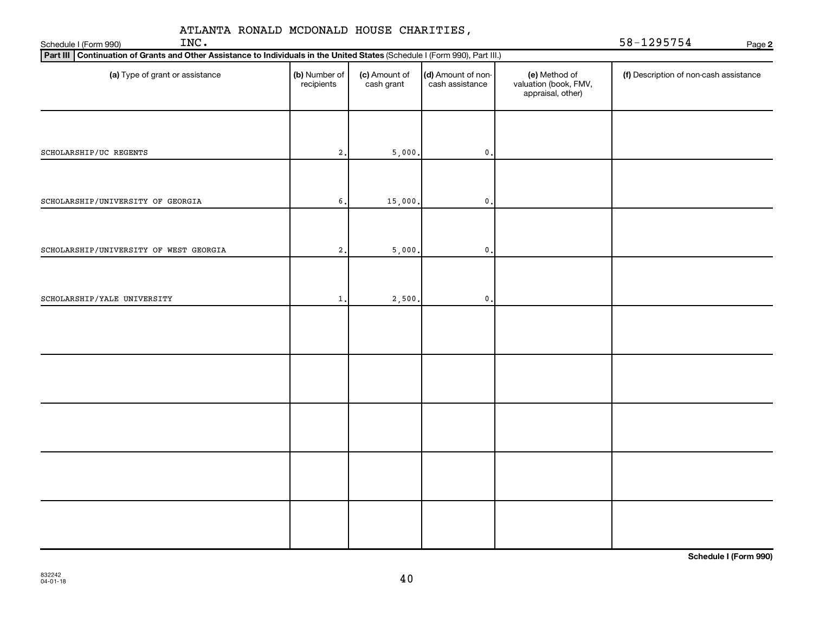| ATLANTA RONALD MCDONALD HOUSE CHARITIES,<br>INC.<br>Schedule I (Form 990)                                                   |                             |                             |                                       |                                                             | 58-1295754<br>Page 2                   |
|-----------------------------------------------------------------------------------------------------------------------------|-----------------------------|-----------------------------|---------------------------------------|-------------------------------------------------------------|----------------------------------------|
| Part III Continuation of Grants and Other Assistance to Individuals in the United States (Schedule I (Form 990), Part III.) |                             |                             |                                       |                                                             |                                        |
| (a) Type of grant or assistance                                                                                             | (b) Number of<br>recipients | (c) Amount of<br>cash grant | (d) Amount of non-<br>cash assistance | (e) Method of<br>valuation (book, FMV,<br>appraisal, other) | (f) Description of non-cash assistance |
| SCHOLARSHIP/UC REGENTS                                                                                                      | $\mathbf 2$                 | 5,000.                      | $\mathbf{0}$ .                        |                                                             |                                        |
| SCHOLARSHIP/UNIVERSITY OF GEORGIA                                                                                           | 6.                          | 15,000.                     | $\mathbf{0}$ .                        |                                                             |                                        |
| SCHOLARSHIP/UNIVERSITY OF WEST GEORGIA                                                                                      | 2 <sub>1</sub>              | 5,000                       | $\mathbf{0}$                          |                                                             |                                        |
| SCHOLARSHIP/YALE UNIVERSITY                                                                                                 | $\mathbf{1}$                | 2,500                       | $\mathbf{0}$ .                        |                                                             |                                        |
|                                                                                                                             |                             |                             |                                       |                                                             |                                        |
|                                                                                                                             |                             |                             |                                       |                                                             |                                        |
|                                                                                                                             |                             |                             |                                       |                                                             |                                        |
|                                                                                                                             |                             |                             |                                       |                                                             |                                        |
|                                                                                                                             |                             |                             |                                       |                                                             |                                        |

**Schedule I (Form 990)**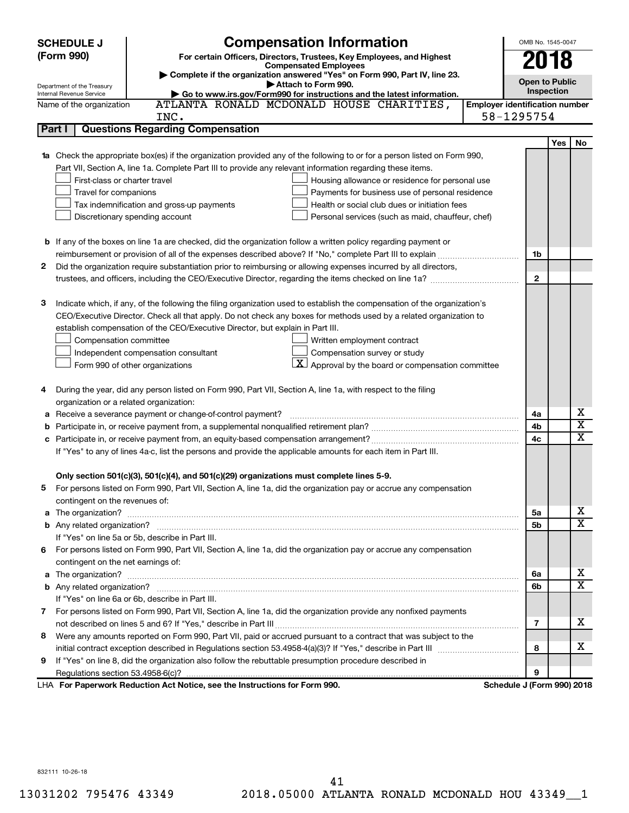| <b>SCHEDULE J</b>          | <b>Compensation Information</b>                                                                                           |                                       | OMB No. 1545-0047          |     |                         |  |
|----------------------------|---------------------------------------------------------------------------------------------------------------------------|---------------------------------------|----------------------------|-----|-------------------------|--|
| (Form 990)                 | For certain Officers, Directors, Trustees, Key Employees, and Highest                                                     |                                       | 2018                       |     |                         |  |
|                            | <b>Compensated Employees</b><br>Complete if the organization answered "Yes" on Form 990, Part IV, line 23.                |                                       |                            |     |                         |  |
| Department of the Treasury | Attach to Form 990.                                                                                                       |                                       | <b>Open to Public</b>      |     |                         |  |
| Internal Revenue Service   | Go to www.irs.gov/Form990 for instructions and the latest information.                                                    |                                       | Inspection                 |     |                         |  |
| Name of the organization   | ATLANTA RONALD MCDONALD HOUSE CHARITIES,                                                                                  | <b>Employer identification number</b> |                            |     |                         |  |
|                            | INC.                                                                                                                      |                                       | 58-1295754                 |     |                         |  |
| Part I                     | <b>Questions Regarding Compensation</b>                                                                                   |                                       |                            |     |                         |  |
|                            |                                                                                                                           |                                       |                            | Yes | No                      |  |
| 1a                         | Check the appropriate box(es) if the organization provided any of the following to or for a person listed on Form 990,    |                                       |                            |     |                         |  |
|                            | Part VII, Section A, line 1a. Complete Part III to provide any relevant information regarding these items.                |                                       |                            |     |                         |  |
|                            | First-class or charter travel<br>Housing allowance or residence for personal use                                          |                                       |                            |     |                         |  |
|                            | Travel for companions<br>Payments for business use of personal residence                                                  |                                       |                            |     |                         |  |
|                            | Health or social club dues or initiation fees<br>Tax indemnification and gross-up payments                                |                                       |                            |     |                         |  |
|                            | Discretionary spending account<br>Personal services (such as maid, chauffeur, chef)                                       |                                       |                            |     |                         |  |
|                            |                                                                                                                           |                                       |                            |     |                         |  |
|                            | <b>b</b> If any of the boxes on line 1a are checked, did the organization follow a written policy regarding payment or    |                                       |                            |     |                         |  |
|                            |                                                                                                                           |                                       | 1b                         |     |                         |  |
| 2                          | Did the organization require substantiation prior to reimbursing or allowing expenses incurred by all directors,          |                                       |                            |     |                         |  |
|                            |                                                                                                                           |                                       | $\mathbf{2}$               |     |                         |  |
|                            |                                                                                                                           |                                       |                            |     |                         |  |
| З                          | Indicate which, if any, of the following the filing organization used to establish the compensation of the organization's |                                       |                            |     |                         |  |
|                            | CEO/Executive Director. Check all that apply. Do not check any boxes for methods used by a related organization to        |                                       |                            |     |                         |  |
|                            | establish compensation of the CEO/Executive Director, but explain in Part III.                                            |                                       |                            |     |                         |  |
|                            | Compensation committee<br>Written employment contract                                                                     |                                       |                            |     |                         |  |
|                            | Compensation survey or study<br>Independent compensation consultant                                                       |                                       |                            |     |                         |  |
|                            | $\lfloor \underline{X} \rfloor$ Approval by the board or compensation committee<br>Form 990 of other organizations        |                                       |                            |     |                         |  |
| 4                          | During the year, did any person listed on Form 990, Part VII, Section A, line 1a, with respect to the filing              |                                       |                            |     |                         |  |
|                            | organization or a related organization:                                                                                   |                                       |                            |     |                         |  |
| а                          | Receive a severance payment or change-of-control payment?                                                                 |                                       | 4a                         |     | х                       |  |
| b                          |                                                                                                                           |                                       | 4b                         |     | $\overline{\textbf{x}}$ |  |
| c                          |                                                                                                                           |                                       | 4c                         |     | $\overline{\textbf{x}}$ |  |
|                            | If "Yes" to any of lines 4a-c, list the persons and provide the applicable amounts for each item in Part III.             |                                       |                            |     |                         |  |
|                            |                                                                                                                           |                                       |                            |     |                         |  |
|                            | Only section 501(c)(3), 501(c)(4), and 501(c)(29) organizations must complete lines 5-9.                                  |                                       |                            |     |                         |  |
|                            | For persons listed on Form 990, Part VII, Section A, line 1a, did the organization pay or accrue any compensation         |                                       |                            |     |                         |  |
|                            | contingent on the revenues of:                                                                                            |                                       |                            |     |                         |  |
|                            |                                                                                                                           |                                       | 5а                         |     | х                       |  |
|                            |                                                                                                                           |                                       | 5b                         |     | х                       |  |
|                            | If "Yes" on line 5a or 5b, describe in Part III.                                                                          |                                       |                            |     |                         |  |
|                            | 6 For persons listed on Form 990, Part VII, Section A, line 1a, did the organization pay or accrue any compensation       |                                       |                            |     |                         |  |
|                            | contingent on the net earnings of:                                                                                        |                                       |                            |     |                         |  |
|                            |                                                                                                                           |                                       | 6a                         |     | х                       |  |
|                            |                                                                                                                           |                                       | 6b                         |     | х                       |  |
|                            | If "Yes" on line 6a or 6b, describe in Part III.                                                                          |                                       |                            |     |                         |  |
|                            | 7 For persons listed on Form 990, Part VII, Section A, line 1a, did the organization provide any nonfixed payments        |                                       |                            |     |                         |  |
|                            |                                                                                                                           |                                       | 7                          |     | х                       |  |
|                            | 8 Were any amounts reported on Form 990, Part VII, paid or accrued pursuant to a contract that was subject to the         |                                       |                            |     |                         |  |
|                            |                                                                                                                           |                                       | 8                          |     | х                       |  |
| 9.                         | If "Yes" on line 8, did the organization also follow the rebuttable presumption procedure described in                    |                                       |                            |     |                         |  |
|                            |                                                                                                                           |                                       | 9                          |     |                         |  |
|                            | LHA For Paperwork Reduction Act Notice, see the Instructions for Form 990.                                                |                                       | Schedule J (Form 990) 2018 |     |                         |  |

832111 10-26-18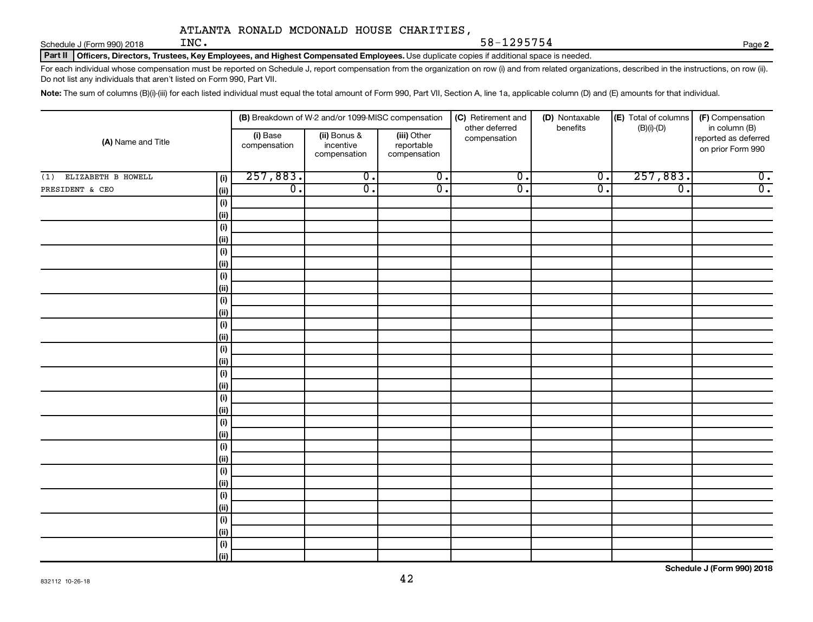Schedule J (Form 990) 2018  $INC$ .

Part II | Officers, Directors, Trustees, Key Employees, and Highest Compensated Employees. Use duplicate copies if additional space is needed.

For each individual whose compensation must be reported on Schedule J, report compensation from the organization on row (i) and from related organizations, described in the instructions, on row (ii). Do not list any individuals that aren't listed on Form 990, Part VII.

INC. 58-1295754

Note: The sum of columns (B)(i)-(iii) for each listed individual must equal the total amount of Form 990, Part VII, Section A, line 1a, applicable column (D) and (E) amounts for that individual.

| (A) Name and Title        |                    |                             | (B) Breakdown of W-2 and/or 1099-MISC compensation |                                           | (C) Retirement and             | (D) Nontaxable              | (E) Total of columns        | (F) Compensation                                           |  |
|---------------------------|--------------------|-----------------------------|----------------------------------------------------|-------------------------------------------|--------------------------------|-----------------------------|-----------------------------|------------------------------------------------------------|--|
|                           |                    | (i) Base<br>compensation    | (ii) Bonus &<br>incentive<br>compensation          | (iii) Other<br>reportable<br>compensation | other deferred<br>compensation | benefits                    | $(B)(i)$ - $(D)$            | in column (B)<br>reported as deferred<br>on prior Form 990 |  |
| ELIZABETH B HOWELL<br>(1) | (i)                | 257,883.                    | $\overline{0}$ .                                   | $\overline{0}$ .                          | $\overline{0}$ .               | $\overline{\mathfrak{o}}$ . | 257,883.                    | $\overline{\mathbf{0}}$ .                                  |  |
| PRESIDENT & CEO           | $\vert$ (ii)       | $\overline{\mathfrak{o}}$ . | $\overline{0}$ .                                   | $\overline{0}$ .                          | $\overline{0}$ .               | $\overline{0}$ .            | $\overline{\mathfrak{o}}$ . | $\overline{0}$ .                                           |  |
|                           | (i)                |                             |                                                    |                                           |                                |                             |                             |                                                            |  |
|                           | (ii)               |                             |                                                    |                                           |                                |                             |                             |                                                            |  |
|                           | $(\sf{i})$         |                             |                                                    |                                           |                                |                             |                             |                                                            |  |
|                           | (ii)               |                             |                                                    |                                           |                                |                             |                             |                                                            |  |
|                           | $(\sf{i})$         |                             |                                                    |                                           |                                |                             |                             |                                                            |  |
|                           | (ii)               |                             |                                                    |                                           |                                |                             |                             |                                                            |  |
|                           | $(\sf{i})$         |                             |                                                    |                                           |                                |                             |                             |                                                            |  |
|                           | (ii)               |                             |                                                    |                                           |                                |                             |                             |                                                            |  |
|                           | $(\sf{i})$         |                             |                                                    |                                           |                                |                             |                             |                                                            |  |
|                           | (ii)               |                             |                                                    |                                           |                                |                             |                             |                                                            |  |
|                           | $(\sf{i})$         |                             |                                                    |                                           |                                |                             |                             |                                                            |  |
|                           | (ii)<br>$(\sf{i})$ |                             |                                                    |                                           |                                |                             |                             |                                                            |  |
|                           | (ii)               |                             |                                                    |                                           |                                |                             |                             |                                                            |  |
|                           | $(\sf{i})$         |                             |                                                    |                                           |                                |                             |                             |                                                            |  |
|                           | (ii)               |                             |                                                    |                                           |                                |                             |                             |                                                            |  |
|                           | $(\sf{i})$         |                             |                                                    |                                           |                                |                             |                             |                                                            |  |
|                           | (ii)               |                             |                                                    |                                           |                                |                             |                             |                                                            |  |
|                           | $(\sf{i})$         |                             |                                                    |                                           |                                |                             |                             |                                                            |  |
|                           | (ii)               |                             |                                                    |                                           |                                |                             |                             |                                                            |  |
|                           | $(\sf{i})$         |                             |                                                    |                                           |                                |                             |                             |                                                            |  |
|                           | (ii)               |                             |                                                    |                                           |                                |                             |                             |                                                            |  |
|                           | $(\sf{i})$         |                             |                                                    |                                           |                                |                             |                             |                                                            |  |
|                           | (ii)               |                             |                                                    |                                           |                                |                             |                             |                                                            |  |
|                           | $(\sf{i})$         |                             |                                                    |                                           |                                |                             |                             |                                                            |  |
|                           | (ii)               |                             |                                                    |                                           |                                |                             |                             |                                                            |  |
|                           | $(\sf{i})$         |                             |                                                    |                                           |                                |                             |                             |                                                            |  |
|                           | (ii)               |                             |                                                    |                                           |                                |                             |                             |                                                            |  |
|                           | $(\sf{i})$         |                             |                                                    |                                           |                                |                             |                             |                                                            |  |
|                           | <u>(ii)</u>        |                             |                                                    |                                           |                                |                             |                             |                                                            |  |

**Schedule J (Form 990) 2018**

**2**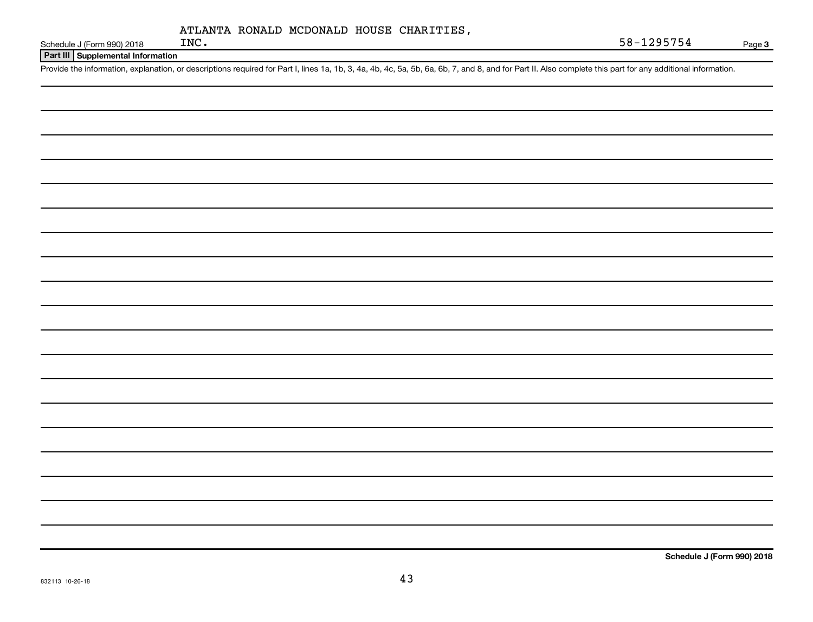Schedule J (Form 990) 2018  $INC$ .

**Part III Supplemental Information**

Provide the information, explanation, or descriptions required for Part I, lines 1a, 1b, 3, 4a, 4b, 4c, 5a, 5b, 6a, 6b, 7, and 8, and for Part II. Also complete this part for any additional information.

**Schedule J (Form 990) 2018**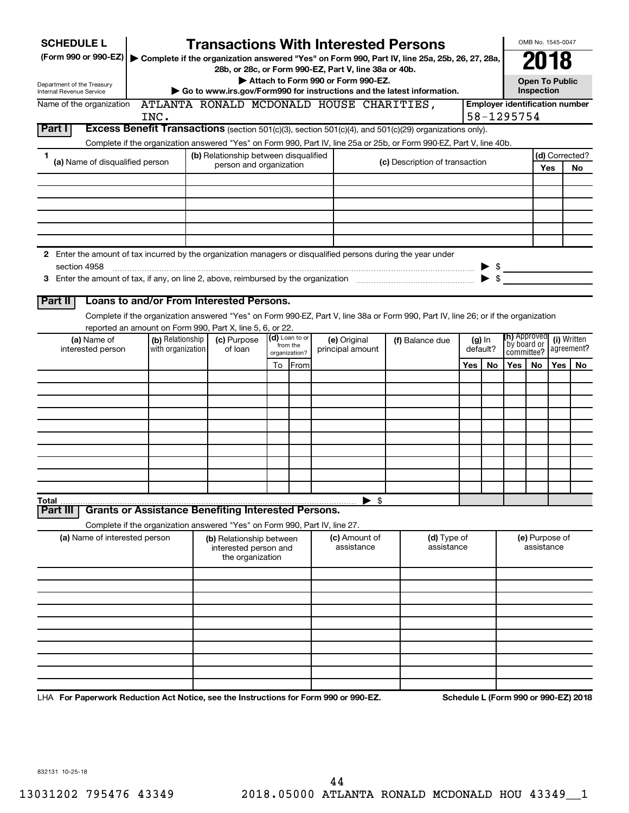| <b>SCHEDULE L</b>                                                                                             |                   | <b>Transactions With Interested Persons</b>                                |    |                           |                                    |                 |                                                                                                                                    |     |           |                           | OMB No. 1545-0047     |     |                                       |
|---------------------------------------------------------------------------------------------------------------|-------------------|----------------------------------------------------------------------------|----|---------------------------|------------------------------------|-----------------|------------------------------------------------------------------------------------------------------------------------------------|-----|-----------|---------------------------|-----------------------|-----|---------------------------------------|
| (Form 990 or 990-EZ)                                                                                          |                   |                                                                            |    |                           |                                    |                 | Complete if the organization answered "Yes" on Form 990, Part IV, line 25a, 25b, 26, 27, 28a,                                      |     |           |                           |                       |     |                                       |
|                                                                                                               |                   | 28b, or 28c, or Form 990-EZ, Part V, line 38a or 40b.                      |    |                           | Attach to Form 990 or Form 990-EZ. |                 |                                                                                                                                    |     |           |                           | <b>Open To Public</b> |     |                                       |
| Department of the Treasury<br><b>Internal Revenue Service</b>                                                 |                   |                                                                            |    |                           |                                    |                 | Go to www.irs.gov/Form990 for instructions and the latest information.                                                             |     |           |                           | Inspection            |     |                                       |
| Name of the organization                                                                                      |                   | ATLANTA RONALD MCDONALD HOUSE CHARITIES,                                   |    |                           |                                    |                 |                                                                                                                                    |     |           |                           |                       |     | <b>Employer identification number</b> |
|                                                                                                               | INC.              |                                                                            |    |                           |                                    |                 |                                                                                                                                    |     |           | 58-1295754                |                       |     |                                       |
| Part I                                                                                                        |                   |                                                                            |    |                           |                                    |                 | Excess Benefit Transactions (section 501(c)(3), section 501(c)(4), and 501(c)(29) organizations only).                             |     |           |                           |                       |     |                                       |
|                                                                                                               |                   |                                                                            |    |                           |                                    |                 | Complete if the organization answered "Yes" on Form 990, Part IV, line 25a or 25b, or Form 990-EZ, Part V, line 40b.               |     |           |                           |                       |     |                                       |
| 1<br>(a) Name of disqualified person                                                                          |                   | (b) Relationship between disqualified<br>person and organization           |    |                           |                                    |                 | (c) Description of transaction                                                                                                     |     |           |                           |                       | Yes | (d) Corrected?<br>No                  |
|                                                                                                               |                   |                                                                            |    |                           |                                    |                 |                                                                                                                                    |     |           |                           |                       |     |                                       |
|                                                                                                               |                   |                                                                            |    |                           |                                    |                 |                                                                                                                                    |     |           |                           |                       |     |                                       |
|                                                                                                               |                   |                                                                            |    |                           |                                    |                 |                                                                                                                                    |     |           |                           |                       |     |                                       |
|                                                                                                               |                   |                                                                            |    |                           |                                    |                 |                                                                                                                                    |     |           |                           |                       |     |                                       |
|                                                                                                               |                   |                                                                            |    |                           |                                    |                 |                                                                                                                                    |     |           |                           |                       |     |                                       |
| 2 Enter the amount of tax incurred by the organization managers or disqualified persons during the year under |                   |                                                                            |    |                           |                                    |                 |                                                                                                                                    |     |           |                           |                       |     |                                       |
| section 4958                                                                                                  |                   |                                                                            |    |                           |                                    |                 |                                                                                                                                    |     |           | $\triangleright$ \$       |                       |     |                                       |
|                                                                                                               |                   |                                                                            |    |                           |                                    |                 |                                                                                                                                    |     |           | $\blacktriangleright$ \$  |                       |     |                                       |
|                                                                                                               |                   |                                                                            |    |                           |                                    |                 |                                                                                                                                    |     |           |                           |                       |     |                                       |
| Part II                                                                                                       |                   | Loans to and/or From Interested Persons.                                   |    |                           |                                    |                 |                                                                                                                                    |     |           |                           |                       |     |                                       |
|                                                                                                               |                   |                                                                            |    |                           |                                    |                 | Complete if the organization answered "Yes" on Form 990-EZ, Part V, line 38a or Form 990, Part IV, line 26; or if the organization |     |           |                           |                       |     |                                       |
| (a) Name of                                                                                                   | (b) Relationship  | reported an amount on Form 990, Part X, line 5, 6, or 22.<br>(c) Purpose   |    | (d) Loan to or            | (e) Original                       |                 |                                                                                                                                    |     | $(g)$ In  | <b>(h)</b> Approved       |                       |     | (i) Written                           |
| interested person                                                                                             | with organization | of loan                                                                    |    | from the<br>organization? | principal amount                   | (f) Balance due |                                                                                                                                    |     | default?  | by board or<br>committee? |                       |     | agreement?                            |
|                                                                                                               |                   |                                                                            | To | <b>IFrom</b>              |                                    |                 |                                                                                                                                    | Yes | <b>No</b> | Yes                       | No.                   | Yes | No.                                   |
|                                                                                                               |                   |                                                                            |    |                           |                                    |                 |                                                                                                                                    |     |           |                           |                       |     |                                       |
|                                                                                                               |                   |                                                                            |    |                           |                                    |                 |                                                                                                                                    |     |           |                           |                       |     |                                       |
|                                                                                                               |                   |                                                                            |    |                           |                                    |                 |                                                                                                                                    |     |           |                           |                       |     |                                       |
|                                                                                                               |                   |                                                                            |    |                           |                                    |                 |                                                                                                                                    |     |           |                           |                       |     |                                       |
|                                                                                                               |                   |                                                                            |    |                           |                                    |                 |                                                                                                                                    |     |           |                           |                       |     |                                       |
|                                                                                                               |                   |                                                                            |    |                           |                                    |                 |                                                                                                                                    |     |           |                           |                       |     |                                       |
|                                                                                                               |                   |                                                                            |    |                           |                                    |                 |                                                                                                                                    |     |           |                           |                       |     |                                       |
|                                                                                                               |                   |                                                                            |    |                           |                                    |                 |                                                                                                                                    |     |           |                           |                       |     |                                       |
|                                                                                                               |                   |                                                                            |    |                           |                                    |                 |                                                                                                                                    |     |           |                           |                       |     |                                       |
| Total<br>Part II                                                                                              |                   | <b>Grants or Assistance Benefiting Interested Persons.</b>                 |    |                           | $\blacktriangleright$ \$           |                 |                                                                                                                                    |     |           |                           |                       |     |                                       |
|                                                                                                               |                   | Complete if the organization answered "Yes" on Form 990, Part IV, line 27. |    |                           |                                    |                 |                                                                                                                                    |     |           |                           |                       |     |                                       |
|                                                                                                               |                   | (b) Relationship between                                                   |    |                           | (c) Amount of                      |                 | (d) Type of                                                                                                                        |     |           |                           | (e) Purpose of        |     |                                       |
| (a) Name of interested person                                                                                 |                   | interested person and<br>the organization                                  |    |                           | assistance                         |                 | assistance                                                                                                                         |     |           |                           | assistance            |     |                                       |
|                                                                                                               |                   |                                                                            |    |                           |                                    |                 |                                                                                                                                    |     |           |                           |                       |     |                                       |
|                                                                                                               |                   |                                                                            |    |                           |                                    |                 |                                                                                                                                    |     |           |                           |                       |     |                                       |
|                                                                                                               |                   |                                                                            |    |                           |                                    |                 |                                                                                                                                    |     |           |                           |                       |     |                                       |
|                                                                                                               |                   |                                                                            |    |                           |                                    |                 |                                                                                                                                    |     |           |                           |                       |     |                                       |
|                                                                                                               |                   |                                                                            |    |                           |                                    |                 |                                                                                                                                    |     |           |                           |                       |     |                                       |
|                                                                                                               |                   |                                                                            |    |                           |                                    |                 |                                                                                                                                    |     |           |                           |                       |     |                                       |
|                                                                                                               |                   |                                                                            |    |                           |                                    |                 |                                                                                                                                    |     |           |                           |                       |     |                                       |
|                                                                                                               |                   |                                                                            |    |                           |                                    |                 |                                                                                                                                    |     |           |                           |                       |     |                                       |
|                                                                                                               |                   |                                                                            |    |                           |                                    |                 |                                                                                                                                    |     |           |                           |                       |     |                                       |

LHA For Paperwork Reduction Act Notice, see the Instructions for Form 990 or 990-EZ. Schedule L (Form 990 or 990-EZ) 2018

832131 10-25-18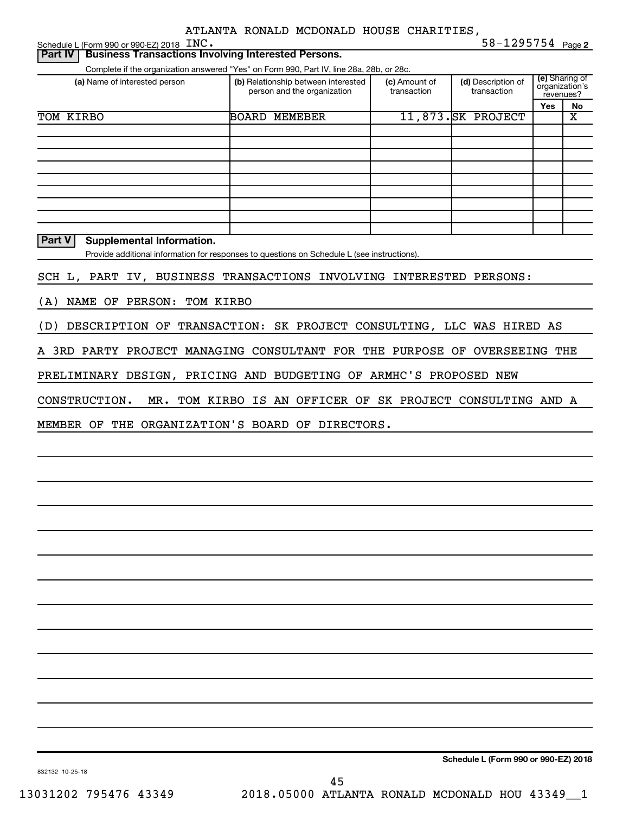| Schedule L (Form 990 or 990-EZ) 2018 INC.                                                   |                                                                    |                              | 58-1295754 Page 2                 |     |                             |
|---------------------------------------------------------------------------------------------|--------------------------------------------------------------------|------------------------------|-----------------------------------|-----|-----------------------------|
| <b>Business Transactions Involving Interested Persons.</b><br><b>Part IV</b>                |                                                                    |                              |                                   |     |                             |
| Complete if the organization answered "Yes" on Form 990, Part IV, line 28a, 28b, or 28c.    |                                                                    |                              |                                   |     | (e) Sharing of              |
| (a) Name of interested person                                                               | (b) Relationship between interested<br>person and the organization | (c) Amount of<br>transaction | (d) Description of<br>transaction |     | organization's<br>revenues? |
|                                                                                             |                                                                    |                              |                                   | Yes | No                          |
| TOM KIRBO                                                                                   | <b>BOARD MEMEBER</b>                                               |                              | 11,873.SK PROJECT                 |     | $\overline{\text{x}}$       |
|                                                                                             |                                                                    |                              |                                   |     |                             |
|                                                                                             |                                                                    |                              |                                   |     |                             |
|                                                                                             |                                                                    |                              |                                   |     |                             |
|                                                                                             |                                                                    |                              |                                   |     |                             |
|                                                                                             |                                                                    |                              |                                   |     |                             |
|                                                                                             |                                                                    |                              |                                   |     |                             |
|                                                                                             |                                                                    |                              |                                   |     |                             |
|                                                                                             |                                                                    |                              |                                   |     |                             |
| Part V<br><b>Supplemental Information.</b>                                                  |                                                                    |                              |                                   |     |                             |
| Provide additional information for responses to questions on Schedule L (see instructions). |                                                                    |                              |                                   |     |                             |
|                                                                                             |                                                                    |                              |                                   |     |                             |
| SCH L, PART IV, BUSINESS TRANSACTIONS INVOLVING INTERESTED PERSONS:                         |                                                                    |                              |                                   |     |                             |
| NAME OF PERSON:<br>TOM KIRBO<br>(A)                                                         |                                                                    |                              |                                   |     |                             |
| DESCRIPTION OF TRANSACTION: SK PROJECT CONSULTING, LLC WAS HIRED AS<br>(D)                  |                                                                    |                              |                                   |     |                             |
| A 3RD PARTY PROJECT MANAGING CONSULTANT FOR THE PURPOSE OF OVERSEEING THE                   |                                                                    |                              |                                   |     |                             |
| PRELIMINARY DESIGN, PRICING AND BUDGETING OF ARMHC'S PROPOSED NEW                           |                                                                    |                              |                                   |     |                             |
| CONSTRUCTION.<br>MR.                                                                        | TOM KIRBO IS AN OFFICER OF SK PROJECT CONSULTING AND A             |                              |                                   |     |                             |
|                                                                                             |                                                                    |                              |                                   |     |                             |
| MEMBER OF THE ORGANIZATION'S BOARD OF DIRECTORS.                                            |                                                                    |                              |                                   |     |                             |
|                                                                                             |                                                                    |                              |                                   |     |                             |
|                                                                                             |                                                                    |                              |                                   |     |                             |
|                                                                                             |                                                                    |                              |                                   |     |                             |
|                                                                                             |                                                                    |                              |                                   |     |                             |
|                                                                                             |                                                                    |                              |                                   |     |                             |
|                                                                                             |                                                                    |                              |                                   |     |                             |
|                                                                                             |                                                                    |                              |                                   |     |                             |
|                                                                                             |                                                                    |                              |                                   |     |                             |
|                                                                                             |                                                                    |                              |                                   |     |                             |
|                                                                                             |                                                                    |                              |                                   |     |                             |
|                                                                                             |                                                                    |                              |                                   |     |                             |

**Schedule L (Form 990 or 990-EZ) 2018**

832132 10-25-18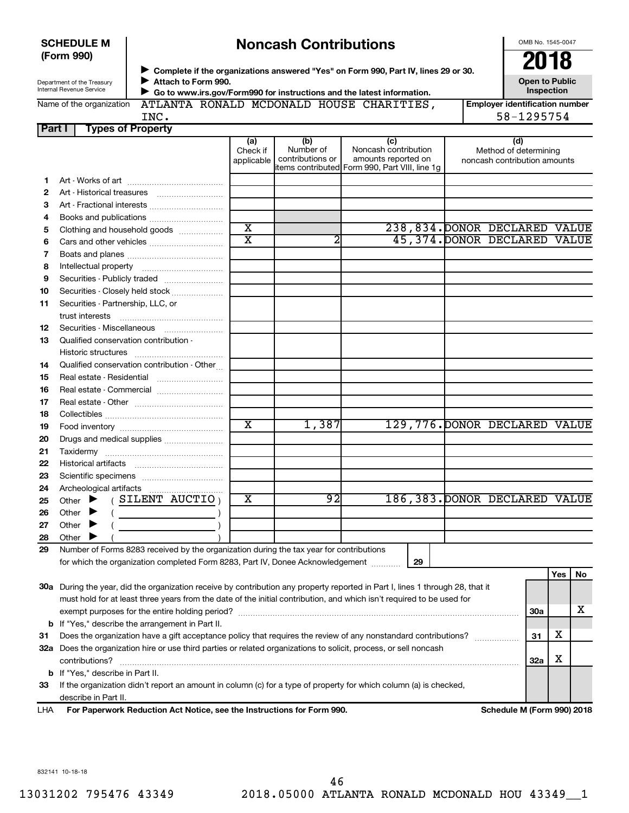| <b>SCHEDULE M</b> |  |
|-------------------|--|
| (Form 990)        |  |

# **Noncash Contributions**

OMB No. 1545-0047

| Department of the Treasury      |
|---------------------------------|
| <b>Internal Revenue Service</b> |

**Complete if the organizations answered "Yes" on Form 990, Part IV, lines 29 or 30. Attach to Form 990.** →<br>**→** Complete if the organizations answered "Yes" on Form 990, Part IV, lines 29 or 30.<br>● Complete if the organizations answered "Yes" on Form 990, Part IV, lines 29 or 30.  $\blacktriangleright$ 

**Open to Public**

| Internal Revenue Service<br>$\triangleright$ Go to www.irs.gov/Form990 for instructions and the latest information. |                          |  |  |  |                                          |  |                                |  |
|---------------------------------------------------------------------------------------------------------------------|--------------------------|--|--|--|------------------------------------------|--|--------------------------------|--|
| Name of the organization                                                                                            |                          |  |  |  | ATLANTA RONALD MCDONALD HOUSE CHARITIES, |  | Emplover identification number |  |
|                                                                                                                     | INC.                     |  |  |  |                                          |  | 58-1295754                     |  |
| <b>Part I</b>                                                                                                       | <b>Types of Property</b> |  |  |  |                                          |  |                                |  |

|    |                                                                                                                                                                                            | (a)<br>Check if         | (b)<br>Number of | (c)<br>Noncash contribution                     |                              | (d)<br>Method of determining |            |    |
|----|--------------------------------------------------------------------------------------------------------------------------------------------------------------------------------------------|-------------------------|------------------|-------------------------------------------------|------------------------------|------------------------------|------------|----|
|    |                                                                                                                                                                                            | applicable              | contributions or | amounts reported on                             |                              | noncash contribution amounts |            |    |
|    |                                                                                                                                                                                            |                         |                  | litems contributed Form 990, Part VIII, line 1q |                              |                              |            |    |
| 1. |                                                                                                                                                                                            |                         |                  |                                                 |                              |                              |            |    |
| 2  | Art - Historical treasures                                                                                                                                                                 |                         |                  |                                                 |                              |                              |            |    |
| 3  | Art - Fractional interests                                                                                                                                                                 |                         |                  |                                                 |                              |                              |            |    |
| 4  | Books and publications                                                                                                                                                                     |                         |                  |                                                 |                              |                              |            |    |
| 5  | Clothing and household goods                                                                                                                                                               | $\overline{\text{x}}$   |                  | 238,834. DONOR DECLARED VALUE                   |                              |                              |            |    |
| 6  | Cars and other vehicles                                                                                                                                                                    | $\overline{\text{x}}$   | 2                |                                                 | 45,374. DONOR DECLARED VALUE |                              |            |    |
| 7  |                                                                                                                                                                                            |                         |                  |                                                 |                              |                              |            |    |
| 8  |                                                                                                                                                                                            |                         |                  |                                                 |                              |                              |            |    |
| 9  | Securities - Publicly traded                                                                                                                                                               |                         |                  |                                                 |                              |                              |            |    |
| 10 | Securities - Closely held stock                                                                                                                                                            |                         |                  |                                                 |                              |                              |            |    |
| 11 | Securities - Partnership, LLC, or                                                                                                                                                          |                         |                  |                                                 |                              |                              |            |    |
|    | trust interests                                                                                                                                                                            |                         |                  |                                                 |                              |                              |            |    |
| 12 | Securities - Miscellaneous                                                                                                                                                                 |                         |                  |                                                 |                              |                              |            |    |
| 13 | Qualified conservation contribution -                                                                                                                                                      |                         |                  |                                                 |                              |                              |            |    |
|    |                                                                                                                                                                                            |                         |                  |                                                 |                              |                              |            |    |
| 14 | Qualified conservation contribution - Other                                                                                                                                                |                         |                  |                                                 |                              |                              |            |    |
| 15 |                                                                                                                                                                                            |                         |                  |                                                 |                              |                              |            |    |
| 16 |                                                                                                                                                                                            |                         |                  |                                                 |                              |                              |            |    |
| 17 |                                                                                                                                                                                            |                         |                  |                                                 |                              |                              |            |    |
| 18 |                                                                                                                                                                                            |                         |                  |                                                 |                              |                              |            |    |
| 19 |                                                                                                                                                                                            | $\overline{\texttt{x}}$ | 1,387            | 129,776. DONOR DECLARED VALUE                   |                              |                              |            |    |
| 20 | Drugs and medical supplies                                                                                                                                                                 |                         |                  |                                                 |                              |                              |            |    |
| 21 |                                                                                                                                                                                            |                         |                  |                                                 |                              |                              |            |    |
| 22 |                                                                                                                                                                                            |                         |                  |                                                 |                              |                              |            |    |
| 23 |                                                                                                                                                                                            |                         |                  |                                                 |                              |                              |            |    |
| 24 |                                                                                                                                                                                            |                         |                  |                                                 |                              |                              |            |    |
| 25 | (SILENT AUCTIO)<br>Other $\blacktriangleright$                                                                                                                                             | X                       | 92               | 186,383. DONOR DECLARED VALUE                   |                              |                              |            |    |
| 26 | Other<br>▶<br>$\mathcal{L}^{\mathcal{L}}(\mathcal{L}^{\mathcal{L}})$ and $\mathcal{L}^{\mathcal{L}}(\mathcal{L}^{\mathcal{L}})$ and $\mathcal{L}^{\mathcal{L}}(\mathcal{L}^{\mathcal{L}})$ |                         |                  |                                                 |                              |                              |            |    |
| 27 | Other<br>▸                                                                                                                                                                                 |                         |                  |                                                 |                              |                              |            |    |
| 28 | Other                                                                                                                                                                                      |                         |                  |                                                 |                              |                              |            |    |
| 29 | Number of Forms 8283 received by the organization during the tax year for contributions                                                                                                    |                         |                  |                                                 |                              |                              |            |    |
|    | for which the organization completed Form 8283, Part IV, Donee Acknowledgement                                                                                                             |                         |                  | 29                                              |                              |                              |            |    |
|    |                                                                                                                                                                                            |                         |                  |                                                 |                              |                              | <b>Yes</b> | No |
|    | 30a During the year, did the organization receive by contribution any property reported in Part I, lines 1 through 28, that it                                                             |                         |                  |                                                 |                              |                              |            |    |
|    | must hold for at least three years from the date of the initial contribution, and which isn't required to be used for                                                                      |                         |                  |                                                 |                              |                              |            |    |
|    | exempt purposes for the entire holding period?                                                                                                                                             |                         |                  |                                                 |                              | 30a                          |            | х  |
|    | <b>b</b> If "Yes," describe the arrangement in Part II.                                                                                                                                    |                         |                  |                                                 |                              |                              |            |    |
| 31 | Does the organization have a gift acceptance policy that requires the review of any nonstandard contributions?                                                                             |                         |                  |                                                 |                              | 31                           | х          |    |
|    | 32a Does the organization hire or use third parties or related organizations to solicit, process, or sell noncash                                                                          |                         |                  |                                                 |                              |                              |            |    |
|    | contributions?                                                                                                                                                                             |                         |                  |                                                 |                              | <b>32a</b>                   | x          |    |
|    | <b>b</b> If "Yes," describe in Part II.                                                                                                                                                    |                         |                  |                                                 |                              |                              |            |    |
| 33 | If the organization didn't report an amount in column (c) for a type of property for which column (a) is checked,                                                                          |                         |                  |                                                 |                              |                              |            |    |

describe in Part II.

**For Paperwork Reduction Act Notice, see the Instructions for Form 990. Schedule M (Form 990) 2018** LHA

832141 10-18-18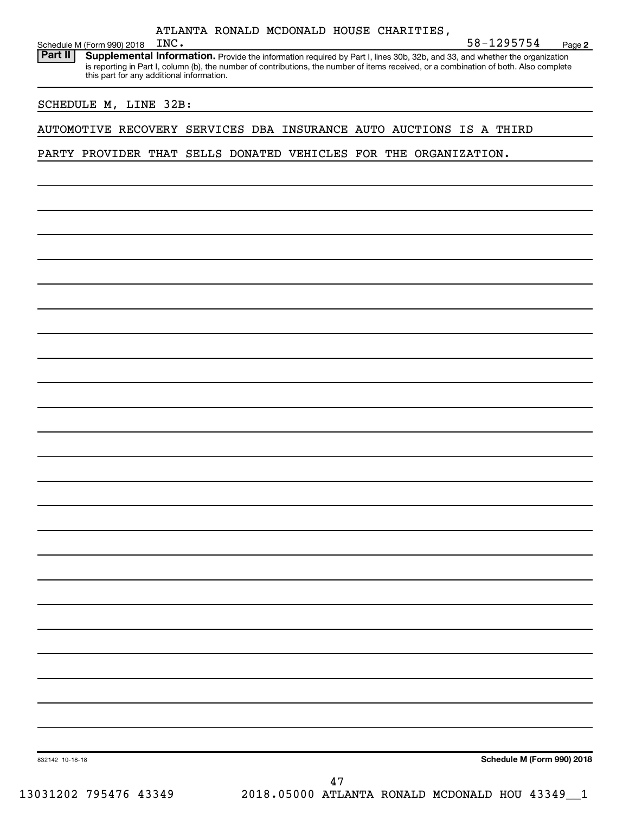| ATLANTA RONALD MCDONALD HOUSE CHARITIES, |  |
|------------------------------------------|--|
|------------------------------------------|--|

Schedule M (Form 990) 2018 INC.<br>**Part II** Supplemental Inform

**2** Part II | Supplemental Information. Provide the information required by Part I, lines 30b, 32b, and 33, and whether the organization is reporting in Part I, column (b), the number of contributions, the number of items received, or a combination of both. Also complete this part for any additional information.

### SCHEDULE M, LINE 32B:

### AUTOMOTIVE RECOVERY SERVICES DBA INSURANCE AUTO AUCTIONS IS A THIRD

### PARTY PROVIDER THAT SELLS DONATED VEHICLES FOR THE ORGANIZATION.

**Schedule M (Form 990) 2018**

INC. 58-1295754

832142 10-18-18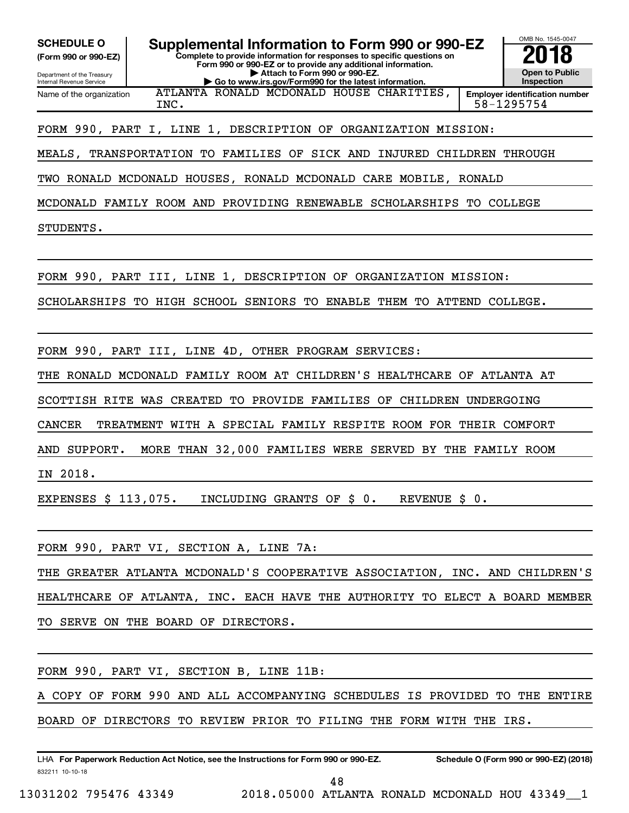**(Form 990 or 990-EZ)**

**Complete to provide information for responses to specific questions on** SCHEDULE O **Supplemental Information to Form 990 or 990-EZ 2018**<br>(Form 990 or 990-EZ) Complete to provide information for responses to specific questions on

Department of the Treasury Internal Revenue Service Name of the organization **Form 990 or 990-EZ or to provide any additional information. | Attach to Form 990 or 990-EZ. | Go to www.irs.gov/Form990 for the latest information.**

ATLANTA RONALD MCDONALD HOUSE CHARITIES,

**Open to Public Inspection Employer identification number**  $\texttt{INC.} \quad 58-1295754$ 

OMB No. 1545-0047

FORM 990, PART I, LINE 1, DESCRIPTION OF ORGANIZATION MISSION:

MEALS, TRANSPORTATION TO FAMILIES OF SICK AND INJURED CHILDREN THROUGH

TWO RONALD MCDONALD HOUSES, RONALD MCDONALD CARE MOBILE, RONALD

MCDONALD FAMILY ROOM AND PROVIDING RENEWABLE SCHOLARSHIPS TO COLLEGE

STUDENTS.

FORM 990, PART III, LINE 1, DESCRIPTION OF ORGANIZATION MISSION:

SCHOLARSHIPS TO HIGH SCHOOL SENIORS TO ENABLE THEM TO ATTEND COLLEGE.

FORM 990, PART III, LINE 4D, OTHER PROGRAM SERVICES:

THE RONALD MCDONALD FAMILY ROOM AT CHILDREN'S HEALTHCARE OF ATLANTA AT

SCOTTISH RITE WAS CREATED TO PROVIDE FAMILIES OF CHILDREN UNDERGOING

CANCER TREATMENT WITH A SPECIAL FAMILY RESPITE ROOM FOR THEIR COMFORT

AND SUPPORT. MORE THAN 32,000 FAMILIES WERE SERVED BY THE FAMILY ROOM

IN 2018.

EXPENSES \$ 113,075. INCLUDING GRANTS OF \$ 0. REVENUE \$ 0.

FORM 990, PART VI, SECTION A, LINE 7A:

THE GREATER ATLANTA MCDONALD'S COOPERATIVE ASSOCIATION, INC. AND CHILDREN'S HEALTHCARE OF ATLANTA, INC. EACH HAVE THE AUTHORITY TO ELECT A BOARD MEMBER TO SERVE ON THE BOARD OF DIRECTORS.

FORM 990, PART VI, SECTION B, LINE 11B:

COPY OF FORM 990 AND ALL ACCOMPANYING SCHEDULES IS PROVIDED TO THE ENTIRE

BOARD OF DIRECTORS TO REVIEW PRIOR TO FILING THE FORM WITH THE IRS.

832211 10-10-18 LHA For Paperwork Reduction Act Notice, see the Instructions for Form 990 or 990-EZ. Schedule O (Form 990 or 990-EZ) (2018)

48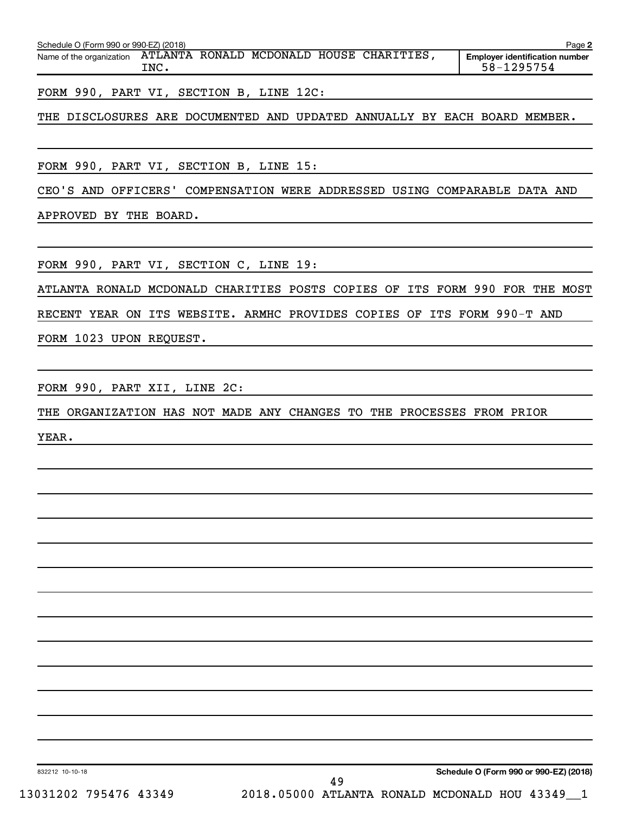| Schedule O (Form 990 or 990-EZ) (2018)<br>Page: |       |  |  |  |                                          |                                                     |  |  |  |  |
|-------------------------------------------------|-------|--|--|--|------------------------------------------|-----------------------------------------------------|--|--|--|--|
| Name of the organization                        | INC . |  |  |  | ATLANTA RONALD MCDONALD HOUSE CHARITIES, | <b>Emplover identification number</b><br>58-1295754 |  |  |  |  |

FORM 990, PART VI, SECTION B, LINE 12C:

THE DISCLOSURES ARE DOCUMENTED AND UPDATED ANNUALLY BY EACH BOARD MEMBER.

FORM 990, PART VI, SECTION B, LINE 15:

CEO'S AND OFFICERS' COMPENSATION WERE ADDRESSED USING COMPARABLE DATA AND

APPROVED BY THE BOARD.

FORM 990, PART VI, SECTION C, LINE 19:

ATLANTA RONALD MCDONALD CHARITIES POSTS COPIES OF ITS FORM 990 FOR THE MOST

RECENT YEAR ON ITS WEBSITE. ARMHC PROVIDES COPIES OF ITS FORM 990-T AND

FORM 1023 UPON REQUEST.

FORM 990, PART XII, LINE 2C:

THE ORGANIZATION HAS NOT MADE ANY CHANGES TO THE PROCESSES FROM PRIOR

YEAR.

49

832212 10-10-18

**Schedule O (Form 990 or 990-EZ) (2018)**